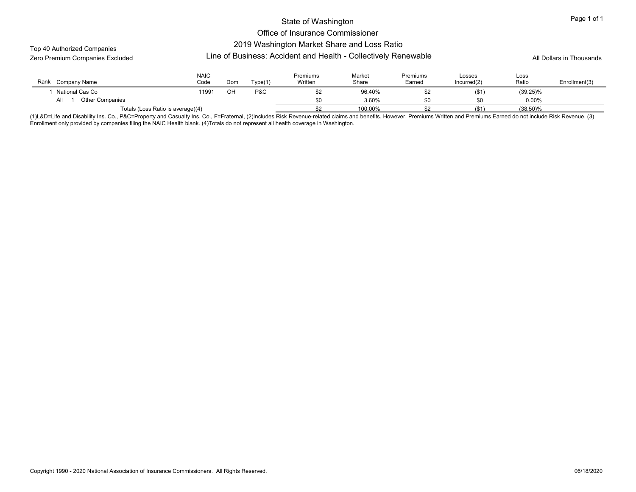#### Office of Insurance Commissioner

Top 40 Authorized Companies

## 2019 Washington Market Share and Loss Ratio

Line of Business: Accident and Health - Collectively Renewable Zero Premium Companies Excluded All Dollars in Thousands

| Rank<br>Company Name              | <b>NAIC</b><br>Code | Dom | rvpe(1) | Premiums<br>Written | Market<br>Share | Premiums<br>Earned | Losses<br>Incurred(2) | Loss<br>Ratio | Enrollment(3) |
|-----------------------------------|---------------------|-----|---------|---------------------|-----------------|--------------------|-----------------------|---------------|---------------|
| National Cas Co                   | 11991               | OH  | P&C     | \$2                 | 96.40%          |                    | (\$1)                 | $(39.25)\%$   |               |
| <b>Other Companies</b><br>All     |                     |     |         | ¢∩                  | 3.60%           |                    | \$0                   | 0.00%         |               |
| Totals (Loss Ratio is average)(4) |                     |     |         | ີ                   | 100.00%         |                    | $($ \$1               | $(38.50)\%$   |               |

(1)L&D=Life and Disability Ins. Co., P&C=Property and Casualty Ins. Co., F=Fraternal, (2)Includes Risk Revenue-related claims and benefits. However, Premiums Written and Premiums Earned do not include Risk Revenue. (3) Enrollment only provided by companies filing the NAIC Health blank. (4)Totals do not represent all health coverage in Washington.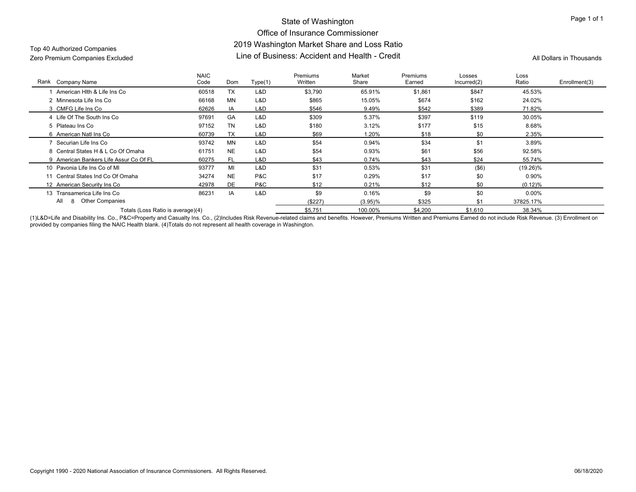## State of Washington Office of Insurance Commissioner 2019 Washington Market Share and Loss Ratio Line of Business: Accident and Health - Credit Zero Premium Companies Excluded All Dollars in Thousands

# Top 40 Authorized Companies

| Rank Company Name                      | <b>NAIC</b><br>Code | Dom       | Type(1) | Premiums<br>Written | Market<br>Share | <b>Premiums</b><br>Earned | Losses<br>Incurred(2) | Loss<br>Ratio | Enrollment(3) |
|----------------------------------------|---------------------|-----------|---------|---------------------|-----------------|---------------------------|-----------------------|---------------|---------------|
| American Hith & Life Ins Co            | 60518               | <b>TX</b> | L&D     | \$3,790             | 65.91%          | \$1,861                   | \$847                 | 45.53%        |               |
| 2 Minnesota Life Ins Co                | 66168               | MN        | L&D     | \$865               | 15.05%          | \$674                     | \$162                 | 24.02%        |               |
| 3 CMFG Life Ins Co                     | 62626               | IA        | L&D     | \$546               | 9.49%           | \$542                     | \$389                 | 71.82%        |               |
| 4 Life Of The South Ins Co             | 97691               | GA        | L&D     | \$309               | 5.37%           | \$397                     | \$119                 | 30.05%        |               |
| 5 Plateau Ins Co                       | 97152               | <b>TN</b> | L&D     | \$180               | 3.12%           | \$177                     | \$15                  | 8.68%         |               |
| 6 American Natl Ins Co                 | 60739               | <b>TX</b> | L&D     | \$69                | 1.20%           | \$18                      | \$0                   | 2.35%         |               |
| 7 Securian Life Ins Co                 | 93742               | MN        | L&D     | \$54                | 0.94%           | \$34                      | \$1                   | 3.89%         |               |
| 8 Central States H & L Co Of Omaha     | 61751               | <b>NE</b> | L&D     | \$54                | 0.93%           | \$61                      | \$56                  | 92.58%        |               |
| 9 American Bankers Life Assur Co Of FL | 60275               | <b>FL</b> | L&D     | \$43                | 0.74%           | \$43                      | \$24                  | 55.74%        |               |
| 10 Pavonia Life Ins Co of MI           | 93777               | MI        | L&D     | \$31                | 0.53%           | \$31                      | $($ \$6)              | $(19.26)\%$   |               |
| 11 Central States Ind Co Of Omaha      | 34274               | <b>NE</b> | P&C     | \$17                | 0.29%           | \$17                      | \$0                   | $0.90\%$      |               |
| 12 American Security Ins Co            | 42978               | <b>DE</b> | P&C     | \$12                | 0.21%           | \$12                      | \$0                   | (0.12)%       |               |
| 13 Transamerica Life Ins Co            | 86231               | IA        | L&D     | \$9                 | 0.16%           | \$9                       | \$0                   | $0.00\%$      |               |
| <b>Other Companies</b><br>All          |                     |           |         | (\$227)             | $(3.95)\%$      | \$325                     | \$1                   | 37825.17%     |               |
| Totals (Loss Ratio is average)(4)      |                     |           |         | \$5,751             | 100.00%         | \$4,200                   | \$1,610               | 38.34%        |               |

(1)L&D=Life and Disability Ins. Co., P&C=Property and Casualty Ins. Co., (2)Includes Risk Revenue-related claims and benefits. However, Premiums Written and Premiums Earned do not include Risk Revenue. (3) Enrollment on provided by companies filing the NAIC Health blank. (4)Totals do not represent all health coverage in Washington.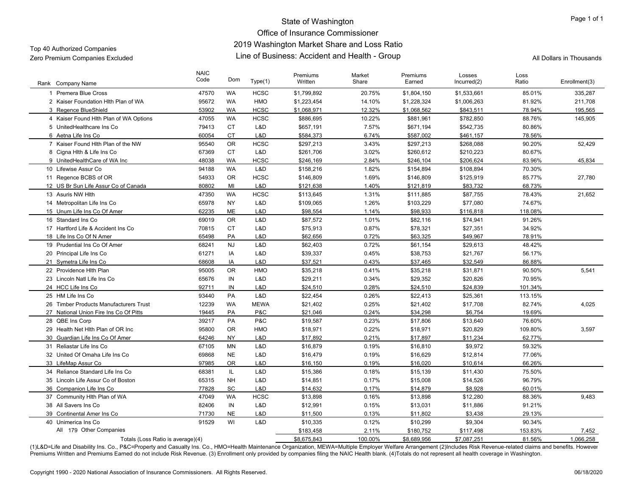## State of Washington Office of Insurance Commissioner 2019 Washington Market Share and Loss Ratio Line of Business: Accident and Health - Group Zero Premium Companies Excluded All Dollars in Thousands

| Rank Company Name                      | <b>NAIC</b><br>Code | Dom       | Type(1)     | Premiums<br>Written | Market<br>Share | Premiums<br>Earned | Losses<br>Incurred(2) | Loss<br>Ratio | Enrollment(3) |
|----------------------------------------|---------------------|-----------|-------------|---------------------|-----------------|--------------------|-----------------------|---------------|---------------|
| 1 Premera Blue Cross                   | 47570               | <b>WA</b> | <b>HCSC</b> | \$1,799,892         | 20.75%          | \$1,804,150        | \$1,533,661           | 85.01%        | 335,287       |
| 2 Kaiser Foundation Hith Plan of WA    | 95672               | <b>WA</b> | <b>HMO</b>  | \$1,223,454         | 14.10%          | \$1,228,324        | \$1,006,263           | 81.92%        | 211,708       |
| 3 Regence BlueShield                   | 53902               | <b>WA</b> | <b>HCSC</b> | \$1,068,971         | 12.32%          | \$1,068,562        | \$843,511             | 78.94%        | 195,565       |
| 4 Kaiser Found Hlth Plan of WA Options | 47055               | <b>WA</b> | <b>HCSC</b> | \$886,695           | 10.22%          | \$881,961          | \$782,850             | 88.76%        | 145,905       |
| 5 UnitedHealthcare Ins Co              | 79413               | <b>CT</b> | L&D         | \$657,191           | 7.57%           | \$671,194          | \$542,735             | 80.86%        |               |
| 6 Aetna Life Ins Co                    | 60054               | <b>CT</b> | L&D         | \$584,373           | 6.74%           | \$587,002          | \$461,157             | 78.56%        |               |
| 7 Kaiser Found Hith Plan of the NW     | 95540               | <b>OR</b> | <b>HCSC</b> | \$297,213           | 3.43%           | \$297,213          | \$268.088             | 90.20%        | 52,429        |
| 8 Cigna Hith & Life Ins Co             | 67369               | <b>CT</b> | L&D         | \$261,706           | 3.02%           | \$260,612          | \$210,223             | 80.67%        |               |
| 9 UnitedHealthCare of WA Inc           | 48038               | <b>WA</b> | <b>HCSC</b> | \$246,169           | 2.84%           | \$246,104          | \$206,624             | 83.96%        | 45,834        |
| 10 Lifewise Assur Co                   | 94188               | <b>WA</b> | L&D         | \$158,216           | 1.82%           | \$154,894          | \$108,894             | 70.30%        |               |
| 11 Regence BCBS of OR                  | 54933               | <b>OR</b> | <b>HCSC</b> | \$146,809           | 1.69%           | \$146,809          | \$125,919             | 85.77%        | 27,780        |
| 12 US Br Sun Life Assur Co of Canada   | 80802               | MI        | L&D         | \$121,638           | 1.40%           | \$121,819          | \$83,732              | 68.73%        |               |
| 13 Asuris NW Hlth                      | 47350               | <b>WA</b> | <b>HCSC</b> | \$113,645           | 1.31%           | \$111,885          | \$87,755              | 78.43%        | 21,652        |
| 14 Metropolitan Life Ins Co            | 65978               | <b>NY</b> | L&D         | \$109,065           | 1.26%           | \$103,229          | \$77,080              | 74.67%        |               |
| 15 Unum Life Ins Co Of Amer            | 62235               | <b>ME</b> | L&D         | \$98.554            | 1.14%           | \$98,933           | \$116,818             | 118.08%       |               |
| 16 Standard Ins Co                     | 69019               | <b>OR</b> | L&D         | \$87,572            | 1.01%           | \$82,116           | \$74,941              | 91.26%        |               |
| 17 Hartford Life & Accident Ins Co     | 70815               | <b>CT</b> | L&D         | \$75,913            | 0.87%           | \$78,321           | \$27,351              | 34.92%        |               |
| 18 Life Ins Co Of N Amer               | 65498               | PA        | L&D         | \$62,656            | 0.72%           | \$63,325           | \$49,967              | 78.91%        |               |
| 19 Prudential Ins Co Of Amer           | 68241               | <b>NJ</b> | L&D         | \$62,403            | 0.72%           | \$61,154           | \$29,613              | 48.42%        |               |
| 20 Principal Life Ins Co               | 61271               | IA        | L&D         | \$39,337            | 0.45%           | \$38,753           | \$21,767              | 56.17%        |               |
| 21 Symetra Life Ins Co                 | 68608               | IA        | L&D         | \$37,521            | 0.43%           | \$37,465           | \$32,549              | 86.88%        |               |
| 22 Providence Hith Plan                | 95005               | <b>OR</b> | HMO         | \$35,218            | 0.41%           | \$35,218           | \$31,871              | 90.50%        | 5,541         |
| 23 Lincoln Natl Life Ins Co            | 65676               | IN        | L&D         | \$29,211            | 0.34%           | \$29,352           | \$20,826              | 70.95%        |               |
| 24 HCC Life Ins Co                     | 92711               | IN        | L&D         | \$24,510            | 0.28%           | \$24,510           | \$24,839              | 101.34%       |               |
| 25 HM Life Ins Co                      | 93440               | PA        | L&D         | \$22,454            | 0.26%           | \$22,413           | \$25,361              | 113.15%       |               |
| 26 Timber Products Manufacturers Trust | 12239               | <b>WA</b> | <b>MEWA</b> | \$21,402            | 0.25%           | \$21,402           | \$17,708              | 82.74%        | 4.025         |
| 27 National Union Fire Ins Co Of Pitts | 19445               | PA        | P&C         | \$21.046            | 0.24%           | \$34,298           | \$6,754               | 19.69%        |               |
| 28 QBE Ins Corp                        | 39217               | PA        | P&C         | \$19,587            | 0.23%           | \$17,806           | \$13,640              | 76.60%        |               |
| 29 Health Net Hith Plan of OR Inc      | 95800               | <b>OR</b> | HMO         | \$18,971            | 0.22%           | \$18,971           | \$20,829              | 109.80%       | 3,597         |
| 30 Guardian Life Ins Co Of Amer        | 64246               | <b>NY</b> | L&D         | \$17,892            | 0.21%           | \$17,897           | \$11,234              | 62.77%        |               |
| 31 Reliastar Life Ins Co               | 67105               | MN        | L&D         | \$16,879            | 0.19%           | \$16,810           | \$9,972               | 59.32%        |               |
| 32 United Of Omaha Life Ins Co         | 69868               | <b>NE</b> | L&D         | \$16,479            | 0.19%           | \$16,629           | \$12,814              | 77.06%        |               |
| 33 LifeMap Assur Co                    | 97985               | <b>OR</b> | L&D         | \$16.150            | 0.19%           | \$16,020           | \$10,614              | 66.26%        |               |
| 34 Reliance Standard Life Ins Co       | 68381               | IL.       | L&D         | \$15,386            | 0.18%           | \$15,139           | \$11,430              | 75.50%        |               |
| 35 Lincoln Life Assur Co of Boston     | 65315               | <b>NH</b> | L&D         | \$14,851            | 0.17%           | \$15,008           | \$14,526              | 96.79%        |               |
| 36 Companion Life Ins Co               | 77828               | SC        | L&D         | \$14,632            | 0.17%           | \$14,879           | \$8,928               | 60.01%        |               |
| 37 Community Hith Plan of WA           | 47049               | <b>WA</b> | <b>HCSC</b> | \$13,898            | 0.16%           | \$13,898           | \$12,280              | 88.36%        | 9,483         |
| 38 All Savers Ins Co                   | 82406               | IN        | L&D         | \$12,991            | 0.15%           | \$13,031           | \$11,886              | 91.21%        |               |
| 39 Continental Amer Ins Co             | 71730               | <b>NE</b> | L&D         | \$11,500            | 0.13%           | \$11,802           | \$3,438               | 29.13%        |               |
| 40 Unimerica Ins Co                    | 91529               | WI        | L&D         | \$10,335            | 0.12%           | \$10,299           | \$9,304               | 90.34%        |               |
| All 179 Other Companies                |                     |           |             | \$183,458           | 2.11%           | \$180,752          | \$117,498             | 153.83%       | 7,452         |
| Totals (Loss Ratio is average)(4)      |                     |           |             | \$8,675,843         | 100.00%         | \$8,689,956        | \$7,087,251           | 81.56%        | 1,066,258     |

(1)L&D=Life and Disability Ins. Co., P&C=Property and Casualty Ins. Co., HMO=Health Maintenance Organization, MEWA=Multiple Employer Welfare Arrangement (2)Includes Risk Revenue-related claims and benefits. However Premiums Written and Premiums Earned do not include Risk Revenue. (3) Enrollment only provided by companies filing the NAIC Health blank. (4)Totals do not represent all health coverage in Washington.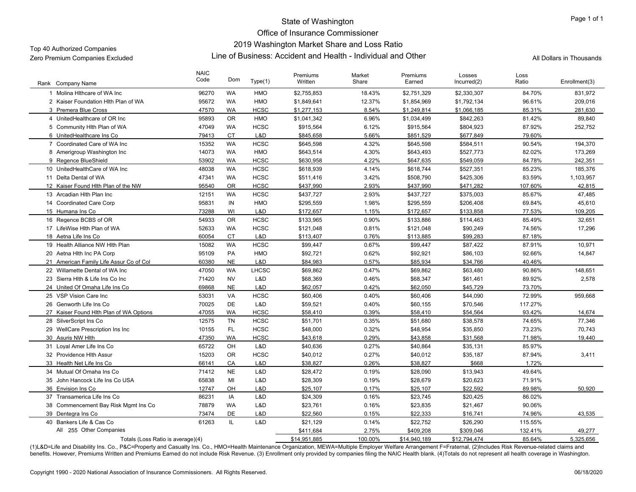## State of Washington Office of Insurance Commissioner 2019 Washington Market Share and Loss Ratio Line of Business: Accident and Health - Individual and Other Zero Premium Companies Excluded All Dollars in Thousands

| Company Name<br>Rank                    | <b>NAIC</b><br>Code | Dom       | Type(1)      | Premiums<br>Written | Market<br>Share | Premiums<br>Earned | Losses<br>Incurred(2) | Loss<br>Ratio | Enrollment(3) |
|-----------------------------------------|---------------------|-----------|--------------|---------------------|-----------------|--------------------|-----------------------|---------------|---------------|
| 1 Molina Hithcare of WA Inc.            | 96270               | <b>WA</b> | HMO          | \$2,755,853         | 18.43%          | \$2,751,329        | \$2,330,307           | 84.70%        | 831,972       |
| 2 Kaiser Foundation Hith Plan of WA     | 95672               | <b>WA</b> | <b>HMO</b>   | \$1,849,641         | 12.37%          | \$1,854,969        | \$1,792,134           | 96.61%        | 209,016       |
| 3 Premera Blue Cross                    | 47570               | <b>WA</b> | <b>HCSC</b>  | \$1,277,153         | 8.54%           | \$1,249,814        | \$1,066,185           | 85.31%        | 281,630       |
| 4 UnitedHealthcare of OR Inc            | 95893               | <b>OR</b> | <b>HMO</b>   | \$1,041,342         | 6.96%           | \$1,034,499        | \$842,263             | 81.42%        | 89,840        |
| 5 Community Hith Plan of WA             | 47049               | <b>WA</b> | <b>HCSC</b>  | \$915,564           | 6.12%           | \$915,564          | \$804,923             | 87.92%        | 252,752       |
| 6 UnitedHealthcare Ins Co               | 79413               | <b>CT</b> | L&D          | \$845.658           | 5.66%           | \$851,529          | \$677.849             | 79.60%        |               |
| 7 Coordinated Care of WA Inc            | 15352               | <b>WA</b> | <b>HCSC</b>  | \$645,598           | 4.32%           | \$645,598          | \$584,511             | 90.54%        | 194,370       |
| 8 Amerigroup Washington Inc             | 14073               | WA        | HMO          | \$643,514           | 4.30%           | \$643,493          | \$527,773             | 82.02%        | 173,269       |
| 9 Regence BlueShield                    | 53902               | <b>WA</b> | <b>HCSC</b>  | \$630,958           | 4.22%           | \$647,635          | \$549,059             | 84.78%        | 242,351       |
| 10 UnitedHealthCare of WA Inc           | 48038               | <b>WA</b> | <b>HCSC</b>  | \$618,939           | 4.14%           | \$618,744          | \$527,351             | 85.23%        | 185,376       |
| 11 Delta Dental of WA                   | 47341               | <b>WA</b> | <b>HCSC</b>  | \$511,416           | 3.42%           | \$508,790          | \$425,306             | 83.59%        | 1,103,957     |
| 12 Kaiser Found Hith Plan of the NW     | 95540               | <b>OR</b> | <b>HCSC</b>  | \$437,990           | 2.93%           | \$437,990          | \$471,282             | 107.60%       | 42,815        |
| 13 Arcadian Hith Plan Inc               | 12151               | <b>WA</b> | <b>HCSC</b>  | \$437,727           | 2.93%           | \$437,727          | \$375,003             | 85.67%        | 47,485        |
| 14 Coordinated Care Corp                | 95831               | IN        | HMO          | \$295,559           | 1.98%           | \$295,559          | \$206,408             | 69.84%        | 45,610        |
| 15 Humana Ins Co                        | 73288               | WI        | L&D          | \$172,657           | 1.15%           | \$172,657          | \$133,858             | 77.53%        | 109,205       |
| 16 Regence BCBS of OR                   | 54933               | <b>OR</b> | <b>HCSC</b>  | \$133,965           | 0.90%           | \$133,886          | \$114,463             | 85.49%        | 32,651        |
| 17 LifeWise Hith Plan of WA             | 52633               | <b>WA</b> | <b>HCSC</b>  | \$121,048           | 0.81%           | \$121,048          | \$90,249              | 74.56%        | 17,296        |
| 18 Aetna Life Ins Co                    | 60054               | <b>CT</b> | L&D          | \$113,407           | 0.76%           | \$113,885          | \$99,283              | 87.18%        |               |
| 19 Health Alliance NW Hith Plan         | 15082               | <b>WA</b> | <b>HCSC</b>  | \$99,447            | 0.67%           | \$99,447           | \$87,422              | 87.91%        | 10,971        |
| 20 Aetna Hith Inc PA Corp               | 95109               | PA        | HMO          | \$92,721            | 0.62%           | \$92,921           | \$86,103              | 92.66%        | 14,847        |
| 21 American Family Life Assur Co of Col | 60380               | <b>NE</b> | L&D          | \$84.983            | 0.57%           | \$85.934           | \$34,766              | 40.46%        |               |
| 22 Willamette Dental of WA Inc          | 47050               | <b>WA</b> | <b>LHCSC</b> | \$69,862            | 0.47%           | \$69,862           | \$63,480              | 90.86%        | 148,651       |
| 23 Sierra Hlth & Life Ins Co Inc        | 71420               | <b>NV</b> | L&D          | \$68,369            | 0.46%           | \$68,347           | \$61,461              | 89.92%        | 2,578         |
| 24 United Of Omaha Life Ins Co          | 69868               | <b>NE</b> | L&D          | \$62,057            | 0.42%           | \$62,050           | \$45,729              | 73.70%        |               |
| 25 VSP Vision Care Inc                  | 53031               | VA        | <b>HCSC</b>  | \$60,406            | 0.40%           | \$60,406           | \$44,090              | 72.99%        | 959,668       |
| 26 Genworth Life Ins Co                 | 70025               | <b>DE</b> | L&D          | \$59,521            | 0.40%           | \$60,155           | \$70,546              | 117.27%       |               |
| 27 Kaiser Found Hlth Plan of WA Options | 47055               | <b>WA</b> | <b>HCSC</b>  | \$58,410            | 0.39%           | \$58,410           | \$54,564              | 93.42%        | 14,674        |
| 28 SilverScript Ins Co                  | 12575               | <b>TN</b> | <b>HCSC</b>  | \$51,701            | 0.35%           | \$51,680           | \$38,578              | 74.65%        | 77,346        |
| 29 WellCare Prescription Ins Inc        | 10155               | FL.       | <b>HCSC</b>  | \$48,000            | 0.32%           | \$48,954           | \$35,850              | 73.23%        | 70,743        |
| 30 Asuris NW Hith                       | 47350               | <b>WA</b> | <b>HCSC</b>  | \$43,618            | 0.29%           | \$43,858           | \$31,568              | 71.98%        | 19,440        |
| 31 Loyal Amer Life Ins Co               | 65722               | OH        | L&D          | \$40,636            | 0.27%           | \$40,864           | \$35,131              | 85.97%        |               |
| 32 Providence Hlth Assur                | 15203               | <b>OR</b> | <b>HCSC</b>  | \$40,012            | 0.27%           | \$40,012           | \$35,187              | 87.94%        | 3,411         |
| 33 Health Net Life Ins Co               | 66141               | CA        | L&D          | \$38,827            | 0.26%           | \$38,827           | \$668                 | 1.72%         |               |
| 34 Mutual Of Omaha Ins Co               | 71412               | <b>NE</b> | L&D          | \$28,472            | 0.19%           | \$28,090           | \$13,943              | 49.64%        |               |
| 35 John Hancock Life Ins Co USA         | 65838               | MI        | L&D          | \$28,309            | 0.19%           | \$28,679           | \$20,623              | 71.91%        |               |
| 36 Envision Ins Co                      | 12747               | OH        | L&D          | \$25.107            | 0.17%           | \$25.107           | \$22.592              | 89.98%        | 50.920        |
| 37 Transamerica Life Ins Co             | 86231               | IA        | L&D          | \$24,309            | 0.16%           | \$23,745           | \$20,425              | 86.02%        |               |
| 38 Commencement Bay Risk Mgmt Ins Co    | 78879               | WA        | L&D          | \$23,761            | 0.16%           | \$23,835           | \$21,467              | 90.06%        |               |
| 39 Dentegra Ins Co                      | 73474               | DE        | L&D          | \$22,560            | 0.15%           | \$22,333           | \$16,741              | 74.96%        | 43,535        |
| 40 Bankers Life & Cas Co                | 61263               | IL.       | L&D          | \$21,129            | 0.14%           | \$22,752           | \$26,290              | 115.55%       |               |
| All 255 Other Companies                 |                     |           |              | \$411,684           | 2.75%           | \$409,208          | \$309,046             | 132.41%       | 49,277        |
| Totals (Loss Ratio is average)(4)       |                     |           |              | \$14,951,885        | 100.00%         | \$14.940.189       | \$12.794.474          | 85.64%        | 5.325.656     |

(1)L&D=Life and Disability Ins. Co., P&C=Property and Casualty Ins. Co., HMO=Health Maintenance Organization, MEWA=Multiple Employer Welfare Arrangement F=Fraternal, (2)Includes Risk Revenue-related claims and benefits. However, Premiums Written and Premiums Earned do not include Risk Revenue. (3) Enrollment only provided by companies filing the NAIC Health blank. (4)Totals do not represent all health coverage in Washington.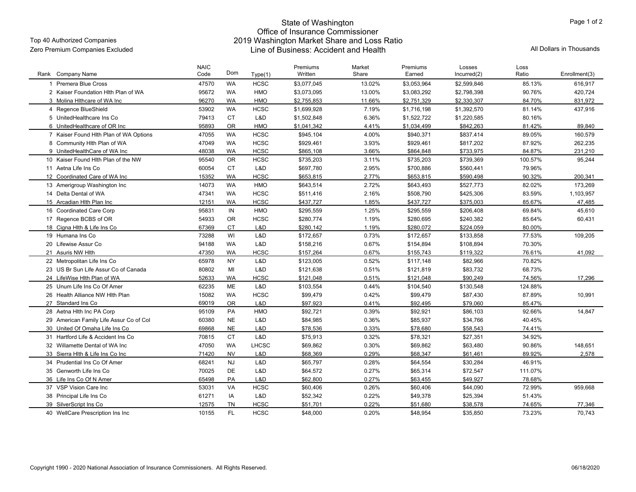# State of Washington Office of Insurance Commissioner 2019 Washington Market Share and Loss Ratio Line of Business: Accident and Health Zero Premium Companies Excluded All Dollars in Thousands

Page 1 of 2

| Rank Company Name                       | <b>NAIC</b><br>Code | Dom       | Type(1)      | Premiums<br>Written | Market<br>Share | Premiums<br>Earned | Losses<br>Incurred(2) | Loss<br>Ratio | Enrollment(3) |
|-----------------------------------------|---------------------|-----------|--------------|---------------------|-----------------|--------------------|-----------------------|---------------|---------------|
| Premera Blue Cross                      | 47570               | <b>WA</b> | <b>HCSC</b>  | \$3,077,045         | 13.02%          | \$3.053.964        | \$2.599.846           | 85.13%        | 616,917       |
| 2 Kaiser Foundation Hith Plan of WA     | 95672               | <b>WA</b> | HMO          | \$3,073,095         | 13.00%          | \$3,083,292        | \$2,798,398           | 90.76%        | 420,724       |
| 3 Molina Hithcare of WA Inc             | 96270               | <b>WA</b> | HMO          | \$2,755,853         | 11.66%          | \$2,751,329        | \$2,330,307           | 84.70%        | 831,972       |
| 4 Regence BlueShield                    | 53902               | WA        | <b>HCSC</b>  | \$1,699,928         | 7.19%           | \$1,716,198        | \$1,392,570           | 81.14%        | 437,916       |
| 5 UnitedHealthcare Ins Co               | 79413               | <b>CT</b> | L&D          | \$1,502,848         | 6.36%           | \$1,522,722        | \$1,220,585           | 80.16%        |               |
| 6 UnitedHealthcare of OR Inc            | 95893               | <b>OR</b> | <b>HMO</b>   | \$1.041.342         | 4.41%           | \$1.034.499        | \$842.263             | 81.42%        | 89.840        |
| 7 Kaiser Found Hlth Plan of WA Options  | 47055               | <b>WA</b> | <b>HCSC</b>  | \$945.104           | 4.00%           | \$940,371          | \$837,414             | 89.05%        | 160,579       |
| 8 Community Hith Plan of WA             | 47049               | <b>WA</b> | <b>HCSC</b>  | \$929.461           | 3.93%           | \$929.461          | \$817.202             | 87.92%        | 262,235       |
| 9 UnitedHealthCare of WA Inc            | 48038               | <b>WA</b> | <b>HCSC</b>  | \$865,108           | 3.66%           | \$864,848          | \$733,975             | 84.87%        | 231,210       |
| 10 Kaiser Found Hith Plan of the NW     | 95540               | <b>OR</b> | <b>HCSC</b>  | \$735,203           | 3.11%           | \$735,203          | \$739,369             | 100.57%       | 95,244        |
| 11 Aetna Life Ins Co                    | 60054               | <b>CT</b> | L&D          | \$697,780           | 2.95%           | \$700,886          | \$560,441             | 79.96%        |               |
| 12 Coordinated Care of WA Inc           | 15352               | <b>WA</b> | <b>HCSC</b>  | \$653,815           | 2.77%           | \$653,815          | \$590,498             | 90.32%        | 200,341       |
| 13 Amerigroup Washington Inc            | 14073               | <b>WA</b> | <b>HMO</b>   | \$643.514           | 2.72%           | \$643.493          | \$527,773             | 82.02%        | 173,269       |
| 14 Delta Dental of WA                   | 47341               | <b>WA</b> | <b>HCSC</b>  | \$511,416           | 2.16%           | \$508,790          | \$425,306             | 83.59%        | 1,103,957     |
| 15 Arcadian Hith Plan Inc               | 12151               | <b>WA</b> | <b>HCSC</b>  | \$437,727           | 1.85%           | \$437,727          | \$375,003             | 85.67%        | 47,485        |
| 16 Coordinated Care Corp                | 95831               | IN        | <b>HMO</b>   | \$295,559           | 1.25%           | \$295,559          | \$206,408             | 69.84%        | 45,610        |
| 17 Regence BCBS of OR                   | 54933               | <b>OR</b> | <b>HCSC</b>  | \$280,774           | 1.19%           | \$280,695          | \$240,382             | 85.64%        | 60,431        |
| 18 Cigna Hith & Life Ins Co             | 67369               | <b>CT</b> | L&D          | \$280,142           | 1.19%           | \$280,072          | \$224,059             | 80.00%        |               |
| 19 Humana Ins Co                        | 73288               | WI        | L&D          | \$172,657           | 0.73%           | \$172,657          | \$133,858             | 77.53%        | 109.205       |
| 20 Lifewise Assur Co                    | 94188               | <b>WA</b> | L&D          | \$158,216           | 0.67%           | \$154,894          | \$108,894             | 70.30%        |               |
| 21 Asuris NW Hlth                       | 47350               | <b>WA</b> | <b>HCSC</b>  | \$157,264           | 0.67%           | \$155,743          | \$119,322             | 76.61%        | 41.092        |
| 22 Metropolitan Life Ins Co             | 65978               | <b>NY</b> | L&D          | \$123,005           | 0.52%           | \$117,148          | \$82,966              | 70.82%        |               |
| 23 US Br Sun Life Assur Co of Canada    | 80802               | MI        | L&D          | \$121,638           | 0.51%           | \$121,819          | \$83,732              | 68.73%        |               |
| 24 LifeWise Hlth Plan of WA             | 52633               | <b>WA</b> | <b>HCSC</b>  | \$121.048           | 0.51%           | \$121,048          | \$90.249              | 74.56%        | 17.296        |
| 25 Unum Life Ins Co Of Amer             | 62235               | ME        | L&D          | \$103,554           | 0.44%           | \$104,540          | \$130,548             | 124.88%       |               |
| 26 Health Alliance NW Hith Plan         | 15082               | WA        | <b>HCSC</b>  | \$99,479            | 0.42%           | \$99,479           | \$87,430              | 87.89%        | 10,991        |
| 27 Standard Ins Co                      | 69019               | <b>OR</b> | L&D          | \$97,923            | 0.41%           | \$92,495           | \$79,060              | 85.47%        |               |
| 28 Aetna Hith Inc PA Corp               | 95109               | PA        | <b>HMO</b>   | \$92.721            | 0.39%           | \$92,921           | \$86,103              | 92.66%        | 14,847        |
| 29 American Family Life Assur Co of Col | 60380               | <b>NE</b> | L&D          | \$84,985            | 0.36%           | \$85,937           | \$34,766              | 40.45%        |               |
| 30 United Of Omaha Life Ins Co          | 69868               | <b>NE</b> | L&D          | \$78,536            | 0.33%           | \$78,680           | \$58,543              | 74.41%        |               |
| 31 Hartford Life & Accident Ins Co      | 70815               | <b>CT</b> | L&D          | \$75,913            | 0.32%           | \$78,321           | \$27,351              | 34.92%        |               |
| 32 Willamette Dental of WA Inc          | 47050               | WA        | <b>LHCSC</b> | \$69,862            | 0.30%           | \$69,862           | \$63,480              | 90.86%        | 148,651       |
| 33 Sierra Hlth & Life Ins Co Inc        | 71420               | <b>NV</b> | L&D          | \$68.369            | 0.29%           | \$68,347           | \$61.461              | 89.92%        | 2,578         |
| 34 Prudential Ins Co Of Amer            | 68241               | <b>NJ</b> | L&D          | \$65,797            | 0.28%           | \$64,554           | \$30,284              | 46.91%        |               |
| 35 Genworth Life Ins Co                 | 70025               | DE        | L&D          | \$64,572            | 0.27%           | \$65,314           | \$72,547              | 111.07%       |               |
| 36 Life Ins Co Of N Amer                | 65498               | PA        | L&D          | \$62,800            | 0.27%           | \$63,455           | \$49,927              | 78.68%        |               |
| 37 VSP Vision Care Inc                  | 53031               | VA        | <b>HCSC</b>  | \$60,406            | 0.26%           | \$60,406           | \$44,090              | 72.99%        | 959,668       |
| 38 Principal Life Ins Co                | 61271               | IA        | L&D          | \$52,342            | 0.22%           | \$49,378           | \$25,394              | 51.43%        |               |
| 39 SilverScript Ins Co                  | 12575               | <b>TN</b> | <b>HCSC</b>  | \$51,701            | 0.22%           | \$51,680           | \$38,578              | 74.65%        | 77,346        |
| 40 WellCare Prescription Ins Inc        | 10155               | FL        | <b>HCSC</b>  | \$48,000            | 0.20%           | \$48,954           | \$35,850              | 73.23%        | 70,743        |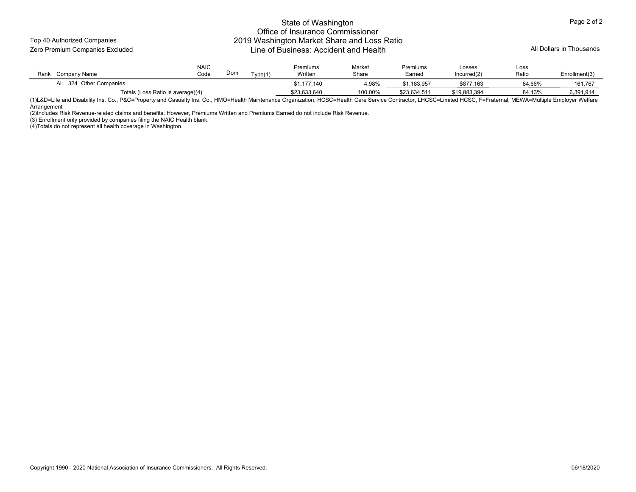Top 40 Authorized Companies

## State of Washington Office of Insurance Commissioner 2019 Washington Market Share and Loss Ratio Zero Premium Companies Excluded Line of Business: Accident and Health All Dollars in Thousands

| Rank<br>Company Name | <b>NAIC</b><br>Code               | Dom | Tvna(1) | Premiums<br>Written | Market<br>Share | Premiums<br>Earned | $\mathsf{Loss}$ es<br>Incurred(2) | Loss<br>Ratio | Enrollment(3) |
|----------------------|-----------------------------------|-----|---------|---------------------|-----------------|--------------------|-----------------------------------|---------------|---------------|
| 324 Other Companies  |                                   |     |         | \$1,177,140         | 4.98%           | \$1,183,957        | \$877,163                         | 84.66%        | 161.767       |
|                      | Totals (Loss Ratio is average)(4) |     |         | \$23.633.640        | 100.00%         | \$23.634.511       | \$19,883,394                      | 84.13%        | 6,391,914     |

(1)L&D=Life and Disability Ins. Co., P&C=Property and Casualty Ins. Co., HMO=Health Maintenance Organization, HCSC=Health Care Service Contractor, LHCSC=Limited HCSC, F=Fraternal, MEWA=Multiple Employer Welfare **Arrangement** 

(2)Includes Risk Revenue-related claims and benefits. However, Premiums Written and Premiums Earned do not include Risk Revenue.

(3) Enrollment only provided by companies filing the NAIC Health blank.

(4)Totals do not represent all health coverage in Washington.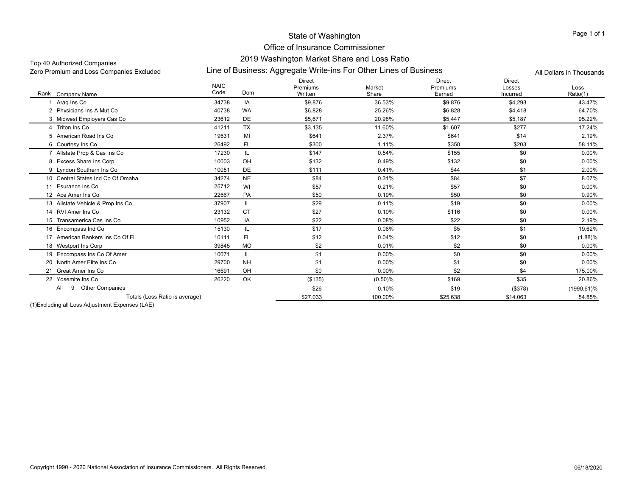## Top 40 Authorized Companies

Line of Business: Aggregate Write-ins For Other Lines of Business Zero Premium and Loss Companies Excluded All Dollars in Thousands

|                                    | <b>NAIC</b><br>Code | Dom       | <b>Direct</b><br>Premiums | Market     | <b>Direct</b><br>Premiums | <b>Direct</b><br>Losses | Loss          |
|------------------------------------|---------------------|-----------|---------------------------|------------|---------------------------|-------------------------|---------------|
| Rank<br>Company Name               |                     |           | Written                   | Share      | Earned                    | Incurred                | Ratio(1)      |
| Arag Ins Co                        | 34738               | IA        | \$9,876                   | 36.53%     | \$9,876                   | \$4,293                 | 43.47%        |
| 2 Physicians Ins A Mut Co          | 40738               | <b>WA</b> | \$6,828                   | 25.26%     | \$6,828                   | \$4,418                 | 64.70%        |
| 3 Midwest Employers Cas Co         | 23612               | DE        | \$5,671                   | 20.98%     | \$5,447                   | \$5,187                 | 95.22%        |
| 4 Triton Ins Co                    | 41211               | <b>TX</b> | \$3,135                   | 11.60%     | \$1,607                   | \$277                   | 17.24%        |
| 5 American Road Ins Co             | 19631               | MI        | \$641                     | 2.37%      | \$641                     | \$14                    | 2.19%         |
| 6 Courtesy Ins Co                  | 26492               | <b>FL</b> | \$300                     | 1.11%      | \$350                     | \$203                   | 58.11%        |
| 7 Allstate Prop & Cas Ins Co       | 17230               | IL        | \$147                     | 0.54%      | \$155                     | \$0                     | $0.00\%$      |
| 8 Excess Share Ins Corp            | 10003               | OH        | \$132                     | 0.49%      | \$132                     | \$0                     | $0.00\%$      |
| 9 Lyndon Southern Ins Co           | 10051               | <b>DE</b> | \$111                     | 0.41%      | \$44                      | \$1                     | 2.00%         |
| 10 Central States Ind Co Of Omaha  | 34274               | <b>NE</b> | \$84                      | 0.31%      | \$84                      | \$7                     | 8.07%         |
| 11 Esurance Ins Co                 | 25712               | WI        | \$57                      | 0.21%      | \$57                      | \$0                     | $0.00\%$      |
| 12 Ace Amer Ins Co                 | 22667               | PA        | \$50                      | 0.19%      | \$50                      | \$0                     | 0.90%         |
| 13 Allstate Vehicle & Prop Ins Co  | 37907               | IL        | \$29                      | 0.11%      | \$19                      | \$0                     | $0.00\%$      |
| 14 RVI Amer Ins Co                 | 23132               | <b>CT</b> | \$27                      | 0.10%      | \$116                     | \$0                     | 0.00%         |
| 15 Transamerica Cas Ins Co         | 10952               | IA        | \$22                      | 0.08%      | \$22                      | \$0                     | 2.19%         |
| 16 Encompass Ind Co                | 15130               | IL.       | \$17                      | 0.06%      | \$5                       | \$1                     | 19.62%        |
| 17 American Bankers Ins Co Of FL   | 10111               | <b>FL</b> | \$12                      | 0.04%      | \$12                      | \$0                     | (1.88)%       |
| 18 Westport Ins Corp               | 39845               | <b>MO</b> | \$2                       | 0.01%      | \$2                       | \$0                     | $0.00\%$      |
| 19 Encompass Ins Co Of Amer        | 10071               | IL        | \$1                       | 0.00%      | \$0                       | \$0                     | $0.00\%$      |
| 20 North Amer Elite Ins Co         | 29700               | <b>NH</b> | \$1                       | 0.00%      | \$1                       | \$0                     | $0.00\%$      |
| 21 Great Amer Ins Co               | 16691               | OH        | \$0                       | 0.00%      | \$2                       | \$4                     | 175.00%       |
| 22 Yosemite Ins Co                 | 26220               | OK        | ( \$135)                  | $(0.50)$ % | \$169                     | \$35                    | 20.86%        |
| <b>Other Companies</b><br>All<br>9 |                     |           | \$26                      | 0.10%      | \$19                      | (\$378)                 | $(1990.61)\%$ |
| Totals (Loss Ratio is average)     |                     |           | \$27,033                  | 100.00%    | \$25,638                  | \$14,063                | 54.85%        |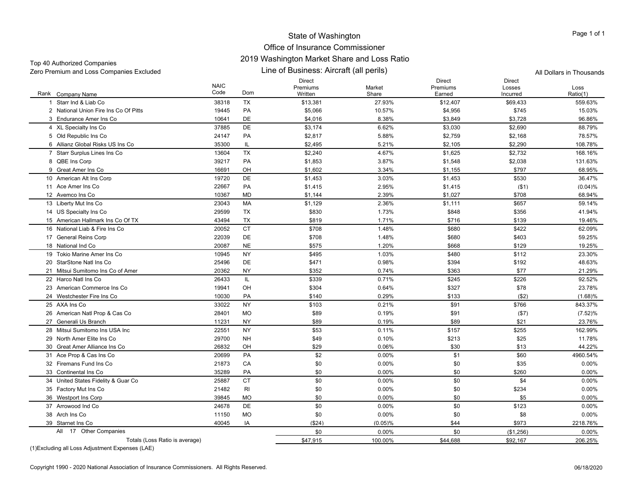## Office of Insurance Commissioner 2019 Washington Market Share and Loss Ratio

| Top +0 / tatiforized Companies<br>Zero Premium and Loss Companies Excluded |                     |           | Line of Business: Aircraft (all perils) | All Dollars in Thousands |                              |                                     |                  |
|----------------------------------------------------------------------------|---------------------|-----------|-----------------------------------------|--------------------------|------------------------------|-------------------------------------|------------------|
| Rank Company Name                                                          | <b>NAIC</b><br>Code | Dom       | Direct<br>Premiums<br>Written           | Market<br>Share          | Direct<br>Premiums<br>Earned | <b>Direct</b><br>Losses<br>Incurred | Loss<br>Ratio(1) |
| 1 Starr Ind & Liab Co                                                      | 38318               | TX        | \$13,381                                | 27.93%                   | \$12,407                     | \$69,433                            | 559.63%          |
| 2 National Union Fire Ins Co Of Pitts                                      | 19445               | PA        | \$5,066                                 | 10.57%                   | \$4,956                      | \$745                               | 15.03%           |
| 3 Endurance Amer Ins Co                                                    | 10641               | DE        | \$4,016                                 | 8.38%                    | \$3,849                      | \$3,728                             | 96.86%           |
| 4 XL Specialty Ins Co                                                      | 37885               | <b>DE</b> | \$3,174                                 | 6.62%                    | \$3,030                      | \$2,690                             | 88.79%           |
| 5 Old Republic Ins Co                                                      | 24147               | PA        | \$2,817                                 | 5.88%                    | \$2,759                      | \$2,168                             | 78.57%           |
| 6 Allianz Global Risks US Ins Co                                           | 35300               | IL.       | \$2,495                                 | 5.21%                    | \$2,105                      | \$2,290                             | 108.78%          |
| 7 Starr Surplus Lines Ins Co                                               | 13604               | <b>TX</b> | \$2,240                                 | 4.67%                    | \$1,625                      | \$2,732                             | 168.16%          |
| 8 QBE Ins Corp                                                             | 39217               | PA        | \$1,853                                 | 3.87%                    | \$1,548                      | \$2,038                             | 131.63%          |
| 9 Great Amer Ins Co                                                        | 16691               | OH        | \$1,602                                 | 3.34%                    | \$1,155                      | \$797                               | 68.95%           |
| 10 American Alt Ins Corp                                                   | 19720               | DE        | \$1,453                                 | 3.03%                    | \$1,453                      | \$530                               | 36.47%           |
| 11 Ace Amer Ins Co                                                         | 22667               | PA        | \$1,415                                 | 2.95%                    | \$1,415                      | (\$1)                               | (0.04)%          |
| 12 Avemco Ins Co                                                           | 10367               | MD        | \$1,144                                 | 2.39%                    | \$1,027                      | \$708                               | 68.94%           |
| 13 Liberty Mut Ins Co                                                      | 23043               | MA        | \$1,129                                 | 2.36%                    | \$1,111                      | \$657                               | 59.14%           |
| 14 US Specialty Ins Co                                                     | 29599               | <b>TX</b> | \$830                                   | 1.73%                    | \$848                        | \$356                               | 41.94%           |
| 15 American Hallmark Ins Co Of TX                                          | 43494               | TX        | \$819                                   | 1.71%                    | \$716                        | \$139                               | 19.46%           |
| 16 National Liab & Fire Ins Co                                             | 20052               | <b>CT</b> | \$708                                   | 1.48%                    | \$680                        | \$422                               | 62.09%           |
| 17 General Reins Corp                                                      | 22039               | DE        | \$708                                   | 1.48%                    | \$680                        | \$403                               | 59.25%           |
| 18 National Ind Co                                                         | 20087               | <b>NE</b> | \$575                                   | 1.20%                    | \$668                        | \$129                               | 19.25%           |
| 19 Tokio Marine Amer Ins Co                                                | 10945               | <b>NY</b> | \$495                                   | 1.03%                    | \$480                        | \$112                               | 23.30%           |
| 20 StarStone Natl Ins Co                                                   | 25496               | DE        | \$471                                   | 0.98%                    | \$394                        | \$192                               | 48.63%           |
| 21 Mitsui Sumitomo Ins Co of Amer                                          | 20362               | NY        | \$352                                   | 0.74%                    | \$363                        | \$77                                | 21.29%           |
| 22 Harco Natl Ins Co                                                       | 26433               | IL        | \$339                                   | 0.71%                    | \$245                        | \$226                               | 92.52%           |
| 23 American Commerce Ins Co                                                | 19941               | OH        | \$304                                   | 0.64%                    | \$327                        | \$78                                | 23.78%           |
| 24 Westchester Fire Ins Co                                                 | 10030               | PA        | \$140                                   | 0.29%                    | \$133                        | ( \$2)                              | (1.68)%          |
| 25 AXA Ins Co                                                              | 33022               | <b>NY</b> | \$103                                   | 0.21%                    | \$91                         | \$766                               | 843.37%          |
| 26 American Natl Prop & Cas Co                                             | 28401               | MO        | \$89                                    | 0.19%                    | \$91                         | (\$7)                               | (7.52)%          |
| 27 Generali Us Branch                                                      | 11231               | <b>NY</b> | \$89                                    | 0.19%                    | \$89                         | \$21                                | 23.76%           |
| 28 Mitsui Sumitomo Ins USA Inc                                             | 22551               | <b>NY</b> | \$53                                    | 0.11%                    | \$157                        | \$255                               | 162.99%          |
| 29 North Amer Elite Ins Co                                                 | 29700               | <b>NH</b> | \$49                                    | 0.10%                    | \$213                        | \$25                                | 11.78%           |
| 30 Great Amer Alliance Ins Co                                              | 26832               | OH        | \$29                                    | 0.06%                    | \$30                         | \$13                                | 44.22%           |
| 31 Ace Prop & Cas Ins Co                                                   | 20699               | PA        | \$2                                     | 0.00%                    | \$1                          | \$60                                | 4960.54%         |
| 32 Firemans Fund Ins Co                                                    | 21873               | CA        | \$0                                     | 0.00%                    | \$0                          | \$35                                | 0.00%            |
| 33 Continental Ins Co                                                      | 35289               | PA        | \$0                                     | 0.00%                    | \$0                          | \$260                               | 0.00%            |
| 34 United States Fidelity & Guar Co                                        | 25887               | <b>CT</b> | \$0                                     | 0.00%                    | \$0                          | \$4                                 | 0.00%            |
| 35 Factory Mut Ins Co                                                      | 21482               | RI        | \$0                                     | 0.00%                    | \$0                          | \$234                               | 0.00%            |
| 36 Westport Ins Corp                                                       | 39845               | MO        | \$0                                     | 0.00%                    | \$0                          | \$5                                 | 0.00%            |
| 37 Arrowood Ind Co                                                         | 24678               | <b>DE</b> | \$0                                     | 0.00%                    | \$0                          | \$123                               | 0.00%            |
| 38 Arch Ins Co                                                             | 11150               | <b>MO</b> | \$0                                     | 0.00%                    | \$0                          | \$8                                 | 0.00%            |
| 39 Starnet Ins Co                                                          | 40045               | IA        | ( \$24)                                 | (0.05)%                  | \$44                         | \$973                               | 2218.76%         |
| All 17 Other Companies                                                     |                     |           | \$0                                     | 0.00%                    | \$0                          | (\$1,256)                           | $0.00\%$         |
| Totals (Loss Ratio is average)                                             |                     |           | \$47,915                                | 100.00%                  | \$44,688                     | \$92,167                            | 206.25%          |
|                                                                            |                     |           |                                         |                          |                              |                                     |                  |

(1)Excluding all Loss Adjustment Expenses (LAE)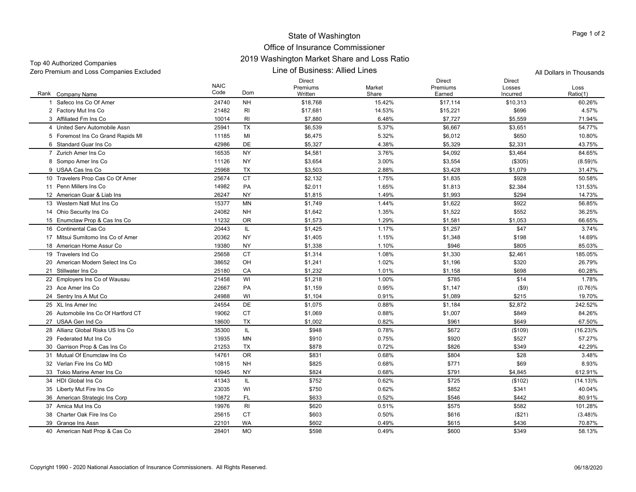## Office of Insurance Commissioner 2019 Washington Market Share and Loss Ratio

Zero Premium and Loss Companies Excluded All Dollars in Thousands

Top 40 Authorized Companies

Line of Business: Allied Lines

Rank Company Name NAIC CodeDirect Premiums WrittenMarket ShareDirect Premiums EarnedDirect Losses IncurredLossRatio(1) k Company Name Code Dom Written Share Earned Ratio(1) 1 Safeco Ins Co Of Amer 24740 NH \$18,768 15.42% \$17,114 \$10,313 60.26% 2 Factory Mut Ins Co 2 Factory Mut Ins Co 21482 RI \$17,681 14.53% \$15,221 \$696 4.57% 3 Affiliated Fm Ins Co 3 Affiliated Fm Ins Co 10014 RI \$7,880 6.48% \$7,727 \$5,559 71.94% 4 United Serv Automobile Assn 25941 TX $\textsf{X} \hspace{1.5mm} \text{$5,539} \hspace{1.5mm} \text{54.77\%} \hspace{1.5mm} \text{54.77\%}$ 5 Foremost Ins Co Grand Rapids MI 11185 MI \$6,475 \$6.012 \$650 10.80% 6 Standard Guar Ins Co 42986 DE \$5,327 4.38% \$5,329 \$2,331 43.75% 7 Zurich Amer Ins Co 16535 NY \$4,581 3.76% \$4,092 \$3,464 84.65% 8 Sompo Amer Ins Co. 8 Sompo Amer Ins Co 11126 NY \$3,654 3.00% \$3,554 (\$305) (8.59)% 9 USAA Cas Ins Co 25968 TX $\textsf{X} \hspace{1.5mm} \text{$3,503} \hspace{1.5mm} \text{2.88\%} \hspace{1.5mm} \text{$3,428} \hspace{1.5mm} \text{$51,079} \hspace{1.5mm} \text{$31.47\%}$ 10 Travelers Prop Cas Co Of Amer \$2,132 \$1,75% \$1,835 \$928 50.58% 11 Penn Millers Ins Co 14982 PAA \$2,011 1.65% \$1,813 \$2,384 131.53% 12 American Guar & Liab Ins 26247 NY \$1,815 1.49% \$1,993 \$294 14.73% 13 Western Natl Mut Ins Co 15377 MN \$1,749 1.44% \$1,622 \$922 56.85% 14 Ohio Security Ins Co. 4 Ohio Security Ins Co 24082 NH \$1,642 1.35% \$1,522 \$552 36.25% 15 Enumclaw Prop & Cas Ins Co 11232 OR \$1,573 \$1,29% \$1,581 \$1,053 66.65% 16 Continental Cas Co 6 Continental Cas Co 20443 IL \$1,425 1.17% \$1,257 \$47 3.74% 17 Mitsui Sumitomo Ins Co of Amer 20362 NY \$1,405 1.15% \$1,348 \$198 14.69% 18 American Home Assur Co 19380 NY $\bm{\mathsf{Y}}$  51,338 5 1.10% \$946 \$805 85.03% \$9.03% 19 Travelers Ind Co 25658 CT \$1,314 1.08% \$1,330 \$2,461 185.05% 20 American Modern Select Ins Co 38652 OH \$1,241 1.02% \$1,196 \$320 26.79% 21 Stillwater Ins Co 25180 CA \$1,232 1.01% \$1,158 \$698 60.28% 22 Employers Ins Co of Wausau 21458 WI \$1,218 1.00% \$785 \$14 1.78% 23 Ace Amer Ins Co 22667 PA \$1,159 0.95% \$1,147 (\$9) (0.76)% 24 Sentry Ins A Mut Co 4 Sentry Ins A Mut Co 24988 WI \$1,104 \$1,089 \$215 19.70% 25 XL Ins Amer Inc 24554 DE \$1,075 0.88% \$1,184 \$2,872 242.52% 26 Automobile Ins Co Of Hartford CT 19062 CT ${\tt T}$  \$1,069  ${\tt 0.88\%}$   ${\tt \$1,007}$   ${\tt \$849}$   ${\tt \$84.26\%}$ 27 USAA Gen Ind Co 18600 TX $\times$   $\times$  \$1,002  $\times$  0.82%  $\times$  \$961  $\times$  \$649  $\times$  67.50% 28 Allianz Global Risks US Ins Co 35300 IL \$948 0.78% \$672 (\$109) (16.23)% 29 Federated Mut Ins Co 13935 MN \$910 0.75% $\%$  57.27%  $\frac{1}{20}$  5920 5527 57.27% 30 Garrison Prop & Cas Ins Co 21253 TX \$878 \$826 \$349 42.29% 31 Mutual Of Enumclaw Ins Co 14761 OR \$831 0.68% $\%$  3.48%  $\frac{1}{3.48\%}$ 32 Verlan Fire Ins Co MD 10815 NH \$825 0.68% $\%$  8.93%  $\frac{1}{371}$  8.93% 33 Tokio Marine Amer Ins Co 10945 NY \$824 0.68%% \$791 \$4.845 612.91% 34 HDI Global Ins Co 41343 IL \$752 0.62% \$725 (\$102) (14.13)% 35 Liberty Mut Fire Ins Co. 5 Liberty Mut Fire Ins Co 23035 WI \$750 \$852 \$341 40.04% 36 American Strategic Ins Corp 10872 FL \$633 \$546 \$442 80.91% 37 Amica Mut Ins Co 19976 RI \$620 0.51%  $\%$  5575 \$582 5582 5582 \$101.28% 38 Charter Oak Fire Ins Co 25615 CTCT \$603 0.50% \$616 (\$21) (3.48)% 39 Grange Ins Assn 9 Grange Ins Assn 22101 WA \$602 0.49% \$615 \$436 70.87% 40 American Natl Prop & Cas Co 28401 MO \$598 \$600 \$349 58.13%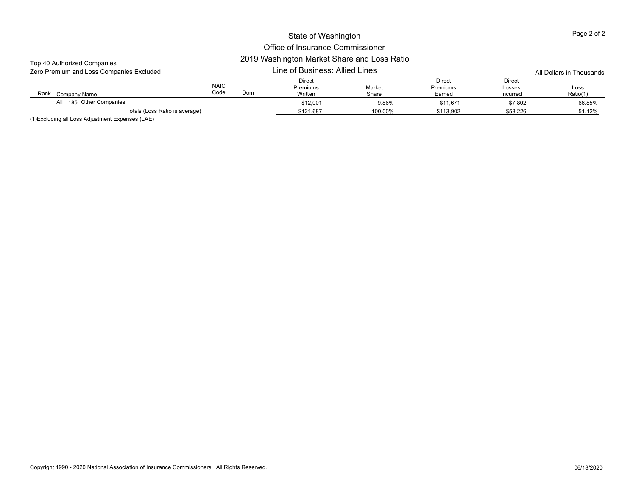| Top 40 Authorized Companies              |                     |           |                                      |                 |                              |                                     |                  |
|------------------------------------------|---------------------|-----------|--------------------------------------|-----------------|------------------------------|-------------------------------------|------------------|
| Zero Premium and Loss Companies Excluded |                     |           | Line of Business: Allied Lines       |                 | All Dollars in Thousands     |                                     |                  |
| Rank<br>Company Name                     | <b>NAIC</b><br>Code | Dom       | <b>Direct</b><br>Premiums<br>Written | Market<br>Share | Direct<br>Premiums<br>Earned | <b>Direct</b><br>Losses<br>Incurred | Loss<br>Ratio(1) |
| All 185 Other Companies                  |                     |           | \$12,001                             | 9.86%           | \$11,671                     | \$7,802                             | 66.85%           |
| Totals (Loss Ratio is average)           |                     | \$121,687 | 100.00%                              | \$113,902       | \$58,226                     | 51.12%                              |                  |
|                                          |                     |           |                                      |                 |                              |                                     |                  |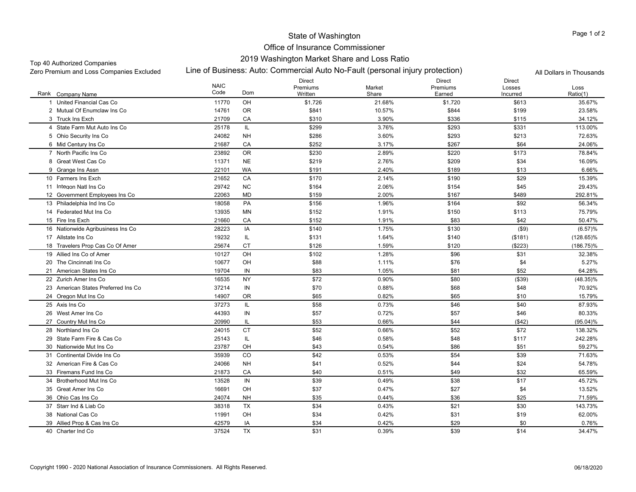## Office of Insurance Commissioner 2019 Washington Market Share and Loss Ratio

#### Top 40 Authorized Companies

Line of Business: Auto: Commercial Auto No-Fault (personal injury protection) Zero Premium and Loss Companies Excluded All Dollars in Thousands

|                                     | <b>NAIC</b> |            | <b>Direct</b><br>Premiums | Market | <b>Direct</b><br>Premiums | <b>Direct</b><br>Losses | Loss         |
|-------------------------------------|-------------|------------|---------------------------|--------|---------------------------|-------------------------|--------------|
| Rank Company Name                   | Code        | Dom        | Written                   | Share  | Earned                    | Incurred                | Ratio(1)     |
| United Financial Cas Co<br>-1       | 11770       | OH         | \$1,726                   | 21.68% | \$1,720                   | \$613                   | 35.67%       |
| 2 Mutual Of Enumclaw Ins Co.        | 14761       | <b>OR</b>  | \$841                     | 10.57% | \$844                     | \$199                   | 23.58%       |
| 3 Truck Ins Exch                    | 21709       | CA         | \$310                     | 3.90%  | \$336                     | \$115                   | 34.12%       |
| 4 State Farm Mut Auto Ins Co        | 25178       | IL         | \$299                     | 3.76%  | \$293                     | \$331                   | 113.00%      |
| 5 Ohio Security Ins Co              | 24082       | <b>NH</b>  | \$286                     | 3.60%  | \$293                     | \$213                   | 72.63%       |
| 6 Mid Century Ins Co                | 21687       | CA         | \$252                     | 3.17%  | \$267                     | \$64                    | 24.06%       |
| 7 North Pacific Ins Co              | 23892       | <b>OR</b>  | \$230                     | 2.89%  | \$220                     | \$173                   | 78.84%       |
| 8 Great West Cas Co                 | 11371       | <b>NE</b>  | \$219                     | 2.76%  | \$209                     | \$34                    | 16.09%       |
| 9 Grange Ins Assn                   | 22101       | WA         | \$191                     | 2.40%  | \$189                     | \$13                    | 6.66%        |
| 10 Farmers Ins Exch                 | 21652       | CA         | \$170                     | 2.14%  | \$190                     | \$29                    | 15.39%       |
| 11 Integon Natl Ins Co              | 29742       | <b>NC</b>  | \$164                     | 2.06%  | \$154                     | \$45                    | 29.43%       |
| 12 Government Employees Ins Co      | 22063       | MD         | \$159                     | 2.00%  | \$167                     | \$489                   | 292.81%      |
| 13 Philadelphia Ind Ins Co          | 18058       | PA         | \$156                     | 1.96%  | \$164                     | \$92                    | 56.34%       |
| 14 Federated Mut Ins Co             | 13935       | <b>MN</b>  | \$152                     | 1.91%  | \$150                     | \$113                   | 75.79%       |
| 15 Fire Ins Exch                    | 21660       | CA         | \$152                     | 1.91%  | \$83                      | \$42                    | 50.47%       |
| 16 Nationwide Agribusiness Ins Co   | 28223       | IA         | \$140                     | 1.75%  | \$130                     | $($ \$9)                | (6.57)%      |
| 17 Allstate Ins Co                  | 19232       | IL         | \$131                     | 1.64%  | \$140                     | (\$181)                 | $(128.65)\%$ |
| 18 Travelers Prop Cas Co Of Amer    | 25674       | <b>CT</b>  | \$126                     | 1.59%  | \$120                     | (\$223)                 | $(186.75)\%$ |
| 19 Allied Ins Co of Amer            | 10127       | OH         | \$102                     | 1.28%  | \$96                      | \$31                    | 32.38%       |
| 20 The Cincinnati Ins Co            | 10677       | OH         | \$88                      | 1.11%  | \$76                      | \$4                     | 5.27%        |
| 21 American States Ins Co           | 19704       | IN         | \$83                      | 1.05%  | \$81                      | \$52                    | 64.28%       |
| 22 Zurich Amer Ins Co               | 16535       | <b>NY</b>  | \$72                      | 0.90%  | \$80                      | ( \$39)                 | (48.35)%     |
| 23 American States Preferred Ins Co | 37214       | ${\sf IN}$ | \$70                      | 0.88%  | \$68                      | \$48                    | 70.92%       |
| 24 Oregon Mut Ins Co                | 14907       | 0R         | \$65                      | 0.82%  | \$65                      | \$10                    | 15.79%       |
| 25 Axis Ins Co                      | 37273       | IL         | \$58                      | 0.73%  | \$46                      | \$40                    | 87.93%       |
| 26 West Amer Ins Co                 | 44393       | ${\sf IN}$ | \$57                      | 0.72%  | \$57                      | \$46                    | 80.33%       |
| 27 Country Mut Ins Co               | 20990       | IL         | \$53                      | 0.66%  | \$44                      | ( \$42)                 | $(95.04)\%$  |
| 28 Northland Ins Co                 | 24015       | <b>CT</b>  | \$52                      | 0.66%  | \$52                      | \$72                    | 138.32%      |
| 29 State Farm Fire & Cas Co         | 25143       | IL         | \$46                      | 0.58%  | \$48                      | \$117                   | 242.28%      |
| 30 Nationwide Mut Ins Co            | 23787       | OH         | \$43                      | 0.54%  | \$86                      | \$51                    | 59.27%       |
| 31 Continental Divide Ins Co        | 35939       | CO         | \$42                      | 0.53%  | \$54                      | \$39                    | 71.63%       |
| 32 American Fire & Cas Co           | 24066       | <b>NH</b>  | \$41                      | 0.52%  | \$44                      | \$24                    | 54.78%       |
| 33 Firemans Fund Ins Co             | 21873       | CA         | \$40                      | 0.51%  | \$49                      | \$32                    | 65.59%       |
| 34 Brotherhood Mut Ins Co           | 13528       | IN         | \$39                      | 0.49%  | \$38                      | \$17                    | 45.72%       |
| 35 Great Amer Ins Co                | 16691       | OH         | \$37                      | 0.47%  | \$27                      | \$4                     | 13.52%       |
| 36 Ohio Cas Ins Co                  | 24074       | <b>NH</b>  | \$35                      | 0.44%  | \$36                      | \$25                    | 71.59%       |
| 37 Starr Ind & Liab Co              | 38318       | <b>TX</b>  | \$34                      | 0.43%  | \$21                      | \$30                    | 143.73%      |
| 38 National Cas Co                  | 11991       | OH         | \$34                      | 0.42%  | \$31                      | \$19                    | 62.00%       |
| 39 Allied Prop & Cas Ins Co         | 42579       | IA         | \$34                      | 0.42%  | \$29                      | \$0                     | 0.76%        |
| 40 Charter Ind Co                   | 37524       | <b>TX</b>  | \$31                      | 0.39%  | \$39                      | \$14                    | 34.47%       |

Page 1 of 2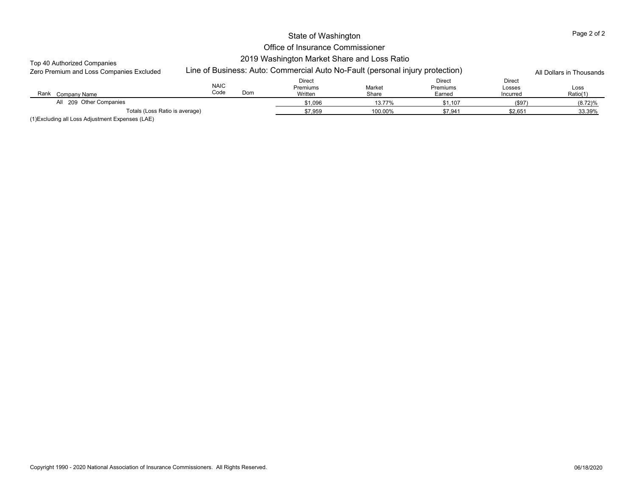## Office of Insurance Commissioner 2019 Washington Market Share and Loss Ratio

## Top 40 Authorized Companies

| Zero Premium and Loss Companies Excluded            |                     | Line of Business: Auto: Commercial Auto No-Fault (personal injury protection) |                 |                                     |                              | All Dollars in Thousands |
|-----------------------------------------------------|---------------------|-------------------------------------------------------------------------------|-----------------|-------------------------------------|------------------------------|--------------------------|
| Rank<br>Company Name                                | <b>NAIC</b><br>Code | <b>Direct</b><br>Premiums<br>Dom<br>Written                                   | Market<br>Share | Direct<br><b>Premiums</b><br>Earned | Direct<br>Losses<br>Incurred | Loss<br>Ratio(1)         |
| All 209 Other Companies                             |                     | \$1,096                                                                       | 13.77%          | \$1.107                             | (\$97)                       | (8.72)%                  |
| Totals (Loss Ratio is average)<br>$\cdots$ $\cdots$ |                     | \$7.959                                                                       | 100.00%         | \$7.941                             | \$2.651                      | 33.39%                   |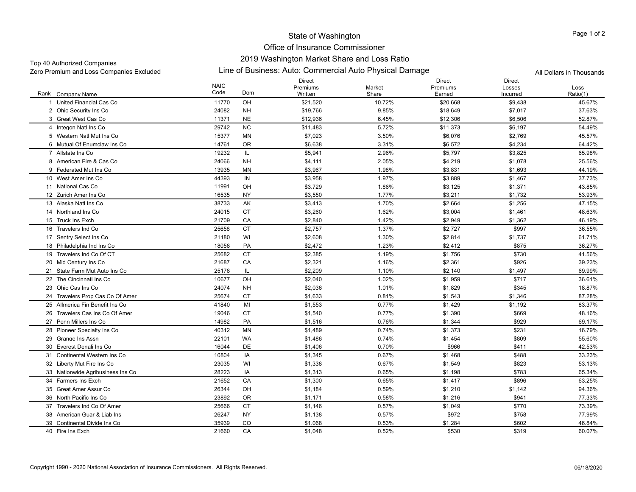## State of Washington Office of Insurance Commissioner

## 2019 Washington Market Share and Loss Ratio

Top 40 Authorized Companies

Zero Premium and Loss Companies Excluded Line of Business: Auto: Commercial Auto Physical Damage All Dollars in Thousands

|                                   | <b>NAIC</b> |           | <b>Direct</b><br>Premiums | Market | <b>Direct</b><br>Premiums | <b>Direct</b><br>Losses | Loss     |
|-----------------------------------|-------------|-----------|---------------------------|--------|---------------------------|-------------------------|----------|
| Rank Company Name                 | Code        | Dom       | Written                   | Share  | Earned                    | Incurred                | Ratio(1) |
| United Financial Cas Co           | 11770       | OH        | \$21,520                  | 10.72% | \$20,668                  | \$9,438                 | 45.67%   |
| 2 Ohio Security Ins Co            | 24082       | <b>NH</b> | \$19,766                  | 9.85%  | \$18,649                  | \$7,017                 | 37.63%   |
| 3 Great West Cas Co               | 11371       | <b>NE</b> | \$12,936                  | 6.45%  | \$12,306                  | \$6,506                 | 52.87%   |
| 4 Integon Natl Ins Co             | 29742       | <b>NC</b> | \$11,483                  | 5.72%  | \$11,373                  | \$6,197                 | 54.49%   |
| 5 Western Natl Mut Ins Co         | 15377       | MN        | \$7,023                   | 3.50%  | \$6,076                   | \$2,769                 | 45.57%   |
| 6 Mutual Of Enumclaw Ins Co       | 14761       | <b>OR</b> | \$6,638                   | 3.31%  | \$6,572                   | \$4,234                 | 64.42%   |
| 7 Allstate Ins Co                 | 19232       | IL.       | \$5,941                   | 2.96%  | \$5,797                   | \$3,825                 | 65.98%   |
| 8 American Fire & Cas Co          | 24066       | <b>NH</b> | \$4,111                   | 2.05%  | \$4,219                   | \$1,078                 | 25.56%   |
| 9 Federated Mut Ins Co            | 13935       | MN        | \$3,967                   | 1.98%  | \$3,831                   | \$1,693                 | 44.19%   |
| 10 West Amer Ins Co               | 44393       | IN        | \$3,958                   | 1.97%  | \$3,889                   | \$1,467                 | 37.73%   |
| 11 National Cas Co                | 11991       | OH        | \$3,729                   | 1.86%  | \$3,125                   | \$1,371                 | 43.85%   |
| 12 Zurich Amer Ins Co             | 16535       | <b>NY</b> | \$3,550                   | 1.77%  | \$3,211                   | \$1,732                 | 53.93%   |
| 13 Alaska Natl Ins Co             | 38733       | AK        | \$3,413                   | 1.70%  | \$2,664                   | \$1,256                 | 47.15%   |
| 14 Northland Ins Co               | 24015       | <b>CT</b> | \$3,260                   | 1.62%  | \$3,004                   | \$1,461                 | 48.63%   |
| 15 Truck Ins Exch                 | 21709       | CA        | \$2,840                   | 1.42%  | \$2,949                   | \$1,362                 | 46.19%   |
| 16 Travelers Ind Co               | 25658       | <b>CT</b> | \$2,757                   | 1.37%  | \$2,727                   | \$997                   | 36.55%   |
| 17 Sentry Select Ins Co           | 21180       | WI        | \$2,608                   | 1.30%  | \$2,814                   | \$1,737                 | 61.71%   |
| 18 Philadelphia Ind Ins Co        | 18058       | PA        | \$2,472                   | 1.23%  | \$2,412                   | \$875                   | 36.27%   |
| 19 Travelers Ind Co Of CT         | 25682       | <b>CT</b> | \$2,385                   | 1.19%  | \$1,756                   | \$730                   | 41.56%   |
| 20 Mid Century Ins Co             | 21687       | CA        | \$2,321                   | 1.16%  | \$2,361                   | \$926                   | 39.23%   |
| 21 State Farm Mut Auto Ins Co     | 25178       | IL.       | \$2,209                   | 1.10%  | \$2,140                   | \$1,497                 | 69.99%   |
| 22 The Cincinnati Ins Co          | 10677       | OH        | \$2,040                   | 1.02%  | \$1,959                   | \$717                   | 36.61%   |
| 23 Ohio Cas Ins Co                | 24074       | <b>NH</b> | \$2,036                   | 1.01%  | \$1,829                   | \$345                   | 18.87%   |
| 24 Travelers Prop Cas Co Of Amer  | 25674       | <b>CT</b> | \$1,633                   | 0.81%  | \$1,543                   | \$1,346                 | 87.28%   |
| 25 Allmerica Fin Benefit Ins Co   | 41840       | MI        | \$1,553                   | 0.77%  | \$1,429                   | \$1,192                 | 83.37%   |
| 26 Travelers Cas Ins Co Of Amer   | 19046       | <b>CT</b> | \$1,540                   | 0.77%  | \$1,390                   | \$669                   | 48.16%   |
| 27 Penn Millers Ins Co            | 14982       | PA        | \$1,516                   | 0.76%  | \$1,344                   | \$929                   | 69.17%   |
| 28 Pioneer Specialty Ins Co       | 40312       | MN        | \$1,489                   | 0.74%  | \$1,373                   | \$231                   | 16.79%   |
| 29 Grange Ins Assn                | 22101       | WA        | \$1,486                   | 0.74%  | \$1,454                   | \$809                   | 55.60%   |
| 30 Everest Denali Ins Co          | 16044       | DE        | \$1,406                   | 0.70%  | \$966                     | \$411                   | 42.53%   |
| 31 Continental Western Ins Co     | 10804       | IA        | \$1,345                   | 0.67%  | \$1,468                   | \$488                   | 33.23%   |
| 32 Liberty Mut Fire Ins Co        | 23035       | WI        | \$1,338                   | 0.67%  | \$1,549                   | \$823                   | 53.13%   |
| 33 Nationwide Agribusiness Ins Co | 28223       | IA        | \$1,313                   | 0.65%  | \$1,198                   | \$783                   | 65.34%   |
| 34 Farmers Ins Exch               | 21652       | CA        | \$1,300                   | 0.65%  | \$1,417                   | \$896                   | 63.25%   |
| 35 Great Amer Assur Co            | 26344       | OH        | \$1,184                   | 0.59%  | \$1,210                   | \$1,142                 | 94.36%   |
| 36 North Pacific Ins Co           | 23892       | <b>OR</b> | \$1,171                   | 0.58%  | \$1,216                   | \$941                   | 77.33%   |
| 37 Travelers Ind Co Of Amer       | 25666       | <b>CT</b> | \$1,146                   | 0.57%  | \$1,049                   | \$770                   | 73.39%   |
| 38 American Guar & Liab Ins       | 26247       | <b>NY</b> | \$1,138                   | 0.57%  | \$972                     | \$758                   | 77.99%   |
| 39 Continental Divide Ins Co      | 35939       | CO        | \$1,068                   | 0.53%  | \$1,284                   | \$602                   | 46.84%   |
| 40 Fire Ins Exch                  | 21660       | CA        | \$1,048                   | 0.52%  | \$530                     | \$319                   | 60.07%   |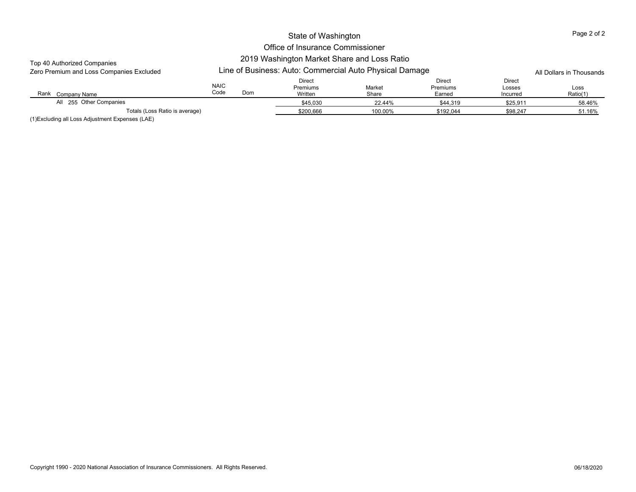## Office of Insurance Commissioner 2019 Washington Market Share and Loss Ratio

#### Top 40 Authorized Companies

| Zero Premium and Loss Companies Excluded |                     | Line of Business: Auto: Commercial Auto Physical Damage |                                      |                 |                              |                              |                  |  |
|------------------------------------------|---------------------|---------------------------------------------------------|--------------------------------------|-----------------|------------------------------|------------------------------|------------------|--|
| Rank<br>Company Name                     | <b>NAIC</b><br>Code | Dom                                                     | <b>Direct</b><br>Premiums<br>Written | Market<br>Share | Direct<br>Premiums<br>Earned | Direct<br>Losses<br>Incurred | Loss<br>Ratio(1) |  |
| All 255 Other Companies                  |                     |                                                         | \$45,030                             | 22.44%          | \$44,319                     | \$25,911                     | 58.46%           |  |
| Totals (Loss Ratio is average)           |                     |                                                         | \$200.666                            | 100.00%         | \$192.044                    | \$98.247                     | 51.16%           |  |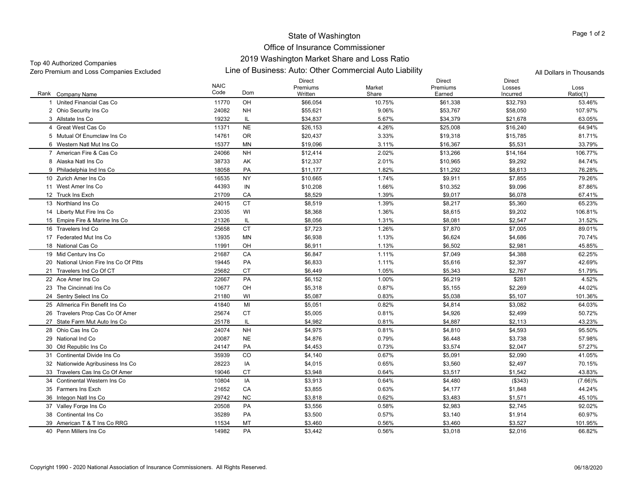## State of Washington Office of Insurance Commissioner

## 2019 Washington Market Share and Loss Ratio

Top 40 Authorized Companies

Zero Premium and Loss Companies Excluded Line of Business: Auto: Other Commercial Auto Liability All Dollars in Thousands

|                                        | <b>NAIC</b> |           | <b>Direct</b><br>Premiums | Market | <b>Direct</b><br>Premiums | <b>Direct</b><br>Losses | Loss       |
|----------------------------------------|-------------|-----------|---------------------------|--------|---------------------------|-------------------------|------------|
| Rank Company Name                      | Code        | Dom       | Written                   | Share  | Earned                    | Incurred                | Ratio(1)   |
| United Financial Cas Co                | 11770       | OH        | \$66,054                  | 10.75% | \$61,338                  | \$32,793                | 53.46%     |
| 2 Ohio Security Ins Co                 | 24082       | <b>NH</b> | \$55,621                  | 9.06%  | \$53,767                  | \$58,050                | 107.97%    |
| 3 Allstate Ins Co                      | 19232       | IL.       | \$34,837                  | 5.67%  | \$34,379                  | \$21,678                | 63.05%     |
| 4 Great West Cas Co                    | 11371       | <b>NE</b> | \$26,153                  | 4.26%  | \$25,008                  | \$16,240                | 64.94%     |
| 5 Mutual Of Enumclaw Ins Co            | 14761       | 0R        | \$20,437                  | 3.33%  | \$19,318                  | \$15,785                | 81.71%     |
| 6 Western Natl Mut Ins Co              | 15377       | <b>MN</b> | \$19,096                  | 3.11%  | \$16,367                  | \$5,531                 | 33.79%     |
| 7 American Fire & Cas Co               | 24066       | <b>NH</b> | \$12,414                  | 2.02%  | \$13,266                  | \$14,164                | 106.77%    |
| 8 Alaska Natl Ins Co                   | 38733       | AK        | \$12,337                  | 2.01%  | \$10,965                  | \$9,292                 | 84.74%     |
| 9 Philadelphia Ind Ins Co              | 18058       | PA        | \$11,177                  | 1.82%  | \$11,292                  | \$8,613                 | 76.28%     |
| 10 Zurich Amer Ins Co                  | 16535       | <b>NY</b> | \$10,665                  | 1.74%  | \$9,911                   | \$7,855                 | 79.26%     |
| 11 West Amer Ins Co                    | 44393       | IN        | \$10,208                  | 1.66%  | \$10,352                  | \$9,096                 | 87.86%     |
| 12 Truck Ins Exch                      | 21709       | CA        | \$8,529                   | 1.39%  | \$9,017                   | \$6,078                 | 67.41%     |
| 13 Northland Ins Co                    | 24015       | <b>CT</b> | \$8,519                   | 1.39%  | \$8,217                   | \$5,360                 | 65.23%     |
| 14 Liberty Mut Fire Ins Co             | 23035       | WI        | \$8,368                   | 1.36%  | \$8,615                   | \$9,202                 | 106.81%    |
| 15 Empire Fire & Marine Ins Co         | 21326       | IL.       | \$8,056                   | 1.31%  | \$8,081                   | \$2,547                 | 31.52%     |
| 16 Travelers Ind Co                    | 25658       | <b>CT</b> | \$7,723                   | 1.26%  | \$7,870                   | \$7,005                 | 89.01%     |
| 17 Federated Mut Ins Co                | 13935       | MN        | \$6,938                   | 1.13%  | \$6,624                   | \$4,686                 | 70.74%     |
| 18 National Cas Co                     | 11991       | OH        | \$6,911                   | 1.13%  | \$6,502                   | \$2,981                 | 45.85%     |
| 19 Mid Century Ins Co                  | 21687       | CA        | \$6,847                   | 1.11%  | \$7,049                   | \$4,388                 | 62.25%     |
| 20 National Union Fire Ins Co Of Pitts | 19445       | PA        | \$6,833                   | 1.11%  | \$5,616                   | \$2,397                 | 42.69%     |
| 21 Travelers Ind Co Of CT              | 25682       | <b>CT</b> | \$6,449                   | 1.05%  | \$5,343                   | \$2,767                 | 51.79%     |
| 22 Ace Amer Ins Co                     | 22667       | PA        | \$6,152                   | 1.00%  | \$6,219                   | \$281                   | 4.52%      |
| 23 The Cincinnati Ins Co               | 10677       | OH        | \$5,318                   | 0.87%  | \$5,155                   | \$2,269                 | 44.02%     |
| 24 Sentry Select Ins Co                | 21180       | WI        | \$5,087                   | 0.83%  | \$5,038                   | \$5,107                 | 101.36%    |
| 25 Allmerica Fin Benefit Ins Co        | 41840       | MI        | \$5,051                   | 0.82%  | \$4,814                   | \$3,082                 | 64.03%     |
| 26 Travelers Prop Cas Co Of Amer       | 25674       | <b>CT</b> | \$5,005                   | 0.81%  | \$4,926                   | \$2,499                 | 50.72%     |
| 27 State Farm Mut Auto Ins Co          | 25178       | IL        | \$4,982                   | 0.81%  | \$4,887                   | \$2,113                 | 43.23%     |
| 28 Ohio Cas Ins Co                     | 24074       | <b>NH</b> | \$4,975                   | 0.81%  | \$4,810                   | \$4,593                 | 95.50%     |
| 29 National Ind Co                     | 20087       | <b>NE</b> | \$4,876                   | 0.79%  | \$6,448                   | \$3,738                 | 57.98%     |
| 30 Old Republic Ins Co                 | 24147       | PA        | \$4,453                   | 0.73%  | \$3,574                   | \$2,047                 | 57.27%     |
| 31 Continental Divide Ins Co           | 35939       | CO        | \$4,140                   | 0.67%  | \$5,091                   | \$2,090                 | 41.05%     |
| 32 Nationwide Agribusiness Ins Co      | 28223       | IA        | \$4,015                   | 0.65%  | \$3,560                   | \$2,497                 | 70.15%     |
| 33 Travelers Cas Ins Co Of Amer        | 19046       | <b>CT</b> | \$3.948                   | 0.64%  | \$3.517                   | \$1,542                 | 43.83%     |
| 34 Continental Western Ins Co          | 10804       | IA        | \$3,913                   | 0.64%  | \$4,480                   | ( \$343)                | $(7.66)\%$ |
| 35 Farmers Ins Exch                    | 21652       | CA        | \$3,855                   | 0.63%  | \$4,177                   | \$1,848                 | 44.24%     |
| 36 Integon Natl Ins Co                 | 29742       | <b>NC</b> | \$3,818                   | 0.62%  | \$3,483                   | \$1,571                 | 45.10%     |
| 37 Valley Forge Ins Co                 | 20508       | PA        | \$3,556                   | 0.58%  | \$2,983                   | \$2,745                 | 92.02%     |
| 38 Continental Ins Co                  | 35289       | PA        | \$3,500                   | 0.57%  | \$3,140                   | \$1,914                 | 60.97%     |
| 39 American T & T Ins Co RRG           | 11534       | MT        | \$3,460                   | 0.56%  | \$3,460                   | \$3,527                 | 101.95%    |
| 40 Penn Millers Ins Co                 | 14982       | PA        | \$3,442                   | 0.56%  | \$3,018                   | \$2,016                 | 66.82%     |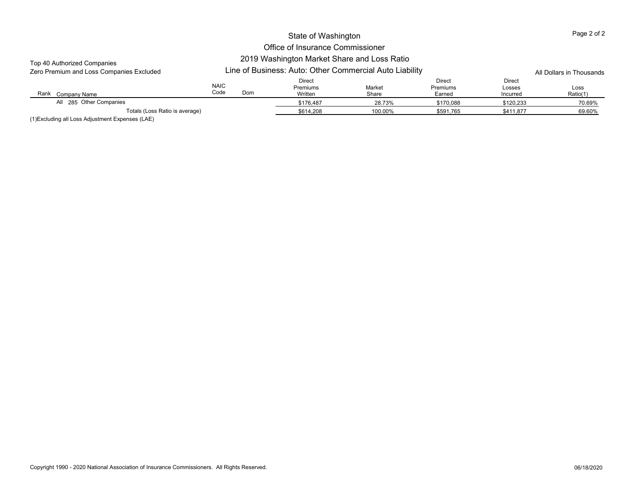# Office of Insurance Commissioner

#### Top 40 Authorized Companies

#### 2019 Washington Market Share and Loss Ratio Line of Business: Auto: Other Commercial Auto Liability

| Zero Premium and Loss Companies Excluded |                     |     | Line of Business: Auto: Other Commercial Auto Liability | All Dollars in Thousands |                              |                              |                  |
|------------------------------------------|---------------------|-----|---------------------------------------------------------|--------------------------|------------------------------|------------------------------|------------------|
| Rank<br>Company Name                     | <b>NAIC</b><br>Code | Dom | Direct<br>Premiums<br>Written                           | Market<br>Share          | Direct<br>Premiums<br>Earned | Direct<br>Losses<br>Incurred | Loss<br>Ratio(1) |
| All 285 Other Companies                  |                     |     | \$176,487                                               | 28.73%                   | \$170,088                    | \$120,233                    | 70.69%           |
| Totals (Loss Ratio is average)           |                     |     | \$614,208                                               | 100.00%                  | \$591.765                    | \$411.877                    | 69.60%           |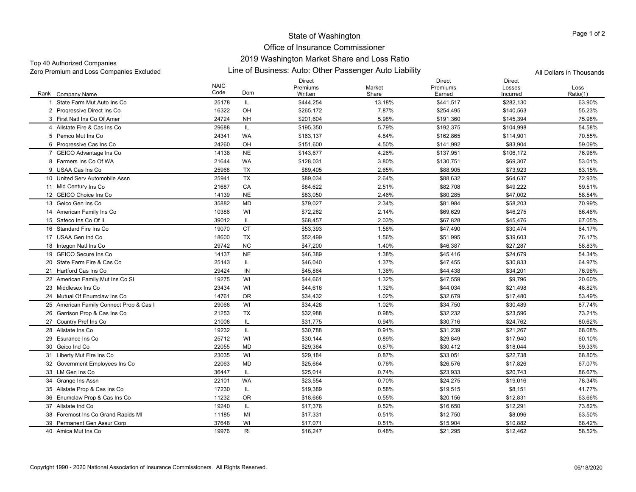Line of Business: Auto: Other Passenger Auto Liability Zero Premium and Loss Companies Excluded All Dollars in Thousands Top 40 Authorized Companies

|                                         |             |           | <b>Direct</b> |        | <b>Direct</b> | Direct    |          |
|-----------------------------------------|-------------|-----------|---------------|--------|---------------|-----------|----------|
|                                         | <b>NAIC</b> |           | Premiums      | Market | Premiums      | Losses    | Loss     |
| Rank Company Name                       | Code        | Dom       | Written       | Share  | Earned        | Incurred  | Ratio(1) |
| 1 State Farm Mut Auto Ins Co            | 25178       | IL.       | \$444,254     | 13.18% | \$441,517     | \$282,130 | 63.90%   |
| 2 Progressive Direct Ins Co             | 16322       | OH        | \$265,172     | 7.87%  | \$254,495     | \$140,563 | 55.23%   |
| 3 First Natl Ins Co Of Amer             | 24724       | <b>NH</b> | \$201,604     | 5.98%  | \$191,360     | \$145,394 | 75.98%   |
| 4 Allstate Fire & Cas Ins Co            | 29688       | IL.       | \$195,350     | 5.79%  | \$192,375     | \$104,998 | 54.58%   |
| 5 Pemco Mut Ins Co                      | 24341       | <b>WA</b> | \$163,137     | 4.84%  | \$162,865     | \$114,901 | 70.55%   |
| 6 Progressive Cas Ins Co                | 24260       | OH        | \$151,600     | 4.50%  | \$141,992     | \$83,904  | 59.09%   |
| 7 GEICO Advantage Ins Co                | 14138       | <b>NE</b> | \$143,677     | 4.26%  | \$137,951     | \$106,172 | 76.96%   |
| 8 Farmers Ins Co Of WA                  | 21644       | <b>WA</b> | \$128,031     | 3.80%  | \$130,751     | \$69,307  | 53.01%   |
| 9 USAA Cas Ins Co                       | 25968       | TX        | \$89,405      | 2.65%  | \$88,905      | \$73,923  | 83.15%   |
| 10 United Serv Automobile Assn          | 25941       | <b>TX</b> | \$89,034      | 2.64%  | \$88,632      | \$64,637  | 72.93%   |
| 11 Mid Century Ins Co                   | 21687       | CA        | \$84,622      | 2.51%  | \$82,708      | \$49,222  | 59.51%   |
| 12 GEICO Choice Ins Co                  | 14139       | <b>NE</b> | \$83,050      | 2.46%  | \$80,285      | \$47,002  | 58.54%   |
| 13 Geico Gen Ins Co                     | 35882       | <b>MD</b> | \$79,027      | 2.34%  | \$81,984      | \$58,203  | 70.99%   |
| 14 American Family Ins Co               | 10386       | WI        | \$72,262      | 2.14%  | \$69,629      | \$46,275  | 66.46%   |
| 15 Safeco Ins Co Of IL                  | 39012       | IL        | \$68,457      | 2.03%  | \$67,828      | \$45,476  | 67.05%   |
| 16 Standard Fire Ins Co                 | 19070       | <b>CT</b> | \$53,393      | 1.58%  | \$47,490      | \$30,474  | 64.17%   |
| 17 USAA Gen Ind Co                      | 18600       | <b>TX</b> | \$52,499      | 1.56%  | \$51,995      | \$39,603  | 76.17%   |
| 18 Integon Natl Ins Co                  | 29742       | <b>NC</b> | \$47,200      | 1.40%  | \$46,387      | \$27,287  | 58.83%   |
| 19 GEICO Secure Ins Co                  | 14137       | <b>NE</b> | \$46,389      | 1.38%  | \$45,416      | \$24,679  | 54.34%   |
| 20 State Farm Fire & Cas Co             | 25143       | IL.       | \$46,040      | 1.37%  | \$47,455      | \$30,833  | 64.97%   |
| 21 Hartford Cas Ins Co                  | 29424       | IN        | \$45,864      | 1.36%  | \$44,438      | \$34,201  | 76.96%   |
| 22 American Family Mut Ins Co SI        | 19275       | WI        | \$44,661      | 1.32%  | \$47,559      | \$9,796   | 20.60%   |
| 23 Middlesex Ins Co                     | 23434       | WI        | \$44,616      | 1.32%  | \$44,034      | \$21,498  | 48.82%   |
| 24 Mutual Of Enumclaw Ins Co            | 14761       | OR        | \$34,432      | 1.02%  | \$32,679      | \$17,480  | 53.49%   |
| 25 American Family Connect Prop & Cas I | 29068       | WI        | \$34,428      | 1.02%  | \$34,750      | \$30,489  | 87.74%   |
| 26 Garrison Prop & Cas Ins Co           | 21253       | TX        | \$32,988      | 0.98%  | \$32,232      | \$23,596  | 73.21%   |
| 27 Country Pref Ins Co                  | 21008       | IL        | \$31,775      | 0.94%  | \$30,716      | \$24,762  | 80.62%   |
| 28 Allstate Ins Co                      | 19232       | IL.       | \$30,788      | 0.91%  | \$31,239      | \$21,267  | 68.08%   |
| 29 Esurance Ins Co                      | 25712       | WI        | \$30,144      | 0.89%  | \$29,849      | \$17,940  | 60.10%   |
| 30 Geico Ind Co                         | 22055       | <b>MD</b> | \$29,364      | 0.87%  | \$30,412      | \$18,044  | 59.33%   |
| 31 Liberty Mut Fire Ins Co              | 23035       | WI        | \$29,184      | 0.87%  | \$33,051      | \$22,738  | 68.80%   |
| 32 Government Employees Ins Co          | 22063       | <b>MD</b> | \$25,664      | 0.76%  | \$26,576      | \$17,826  | 67.07%   |
| 33 LM Gen Ins Co                        | 36447       | IL        | \$25,014      | 0.74%  | \$23,933      | \$20,743  | 86.67%   |
| 34 Grange Ins Assn                      | 22101       | <b>WA</b> | \$23,554      | 0.70%  | \$24,275      | \$19,016  | 78.34%   |
| 35 Allstate Prop & Cas Ins Co           | 17230       | IL        | \$19,389      | 0.58%  | \$19,515      | \$8,151   | 41.77%   |
| 36 Enumclaw Prop & Cas Ins Co           | 11232       | <b>OR</b> | \$18,666      | 0.55%  | \$20,156      | \$12,831  | 63.66%   |
| 37 Allstate Ind Co                      | 19240       | IL.       | \$17,376      | 0.52%  | \$16,650      | \$12,291  | 73.82%   |
| 38 Foremost Ins Co Grand Rapids MI      | 11185       | MI        | \$17,331      | 0.51%  | \$12,750      | \$8,096   | 63.50%   |
| 39 Permanent Gen Assur Corp             | 37648       | WI        | \$17,071      | 0.51%  | \$15,904      | \$10,882  | 68.42%   |
| 40 Amica Mut Ins Co                     | 19976       | RI        | \$16,247      | 0.48%  | \$21.295      | \$12,462  | 58.52%   |
|                                         |             |           |               |        |               |           |          |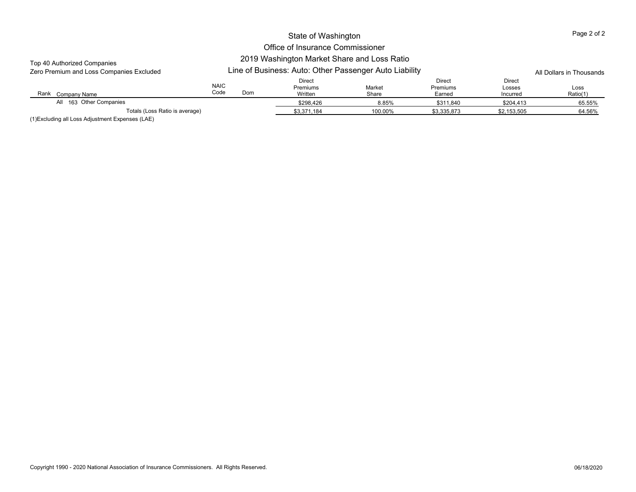## Office of Insurance Commissioner 2019 Washington Market Share and Loss Ratio

#### Top 40 Authorized Companies

 $\overline{\phantom{a}}$ 

| Zero Premium and Loss Companies Excluded |                                | Line of Business: Auto: Other Passenger Auto Liability |                 |                              |                              |                  |  |  |
|------------------------------------------|--------------------------------|--------------------------------------------------------|-----------------|------------------------------|------------------------------|------------------|--|--|
| Rank<br>Company Name                     | <b>NAIC</b><br>Code<br>Dom     | Direct<br><b>Premiums</b><br>Written                   | Market<br>Share | Direct<br>Premiums<br>Earned | Direct<br>Losses<br>Incurred | Loss<br>Ratio(1) |  |  |
| All 163 Other Companies                  |                                | \$298,426                                              | 8.85%           | \$311,840                    | \$204.413                    | 65.55%           |  |  |
| $\cdots$ $\cdots$                        | Totals (Loss Ratio is average) | \$3,371,184                                            | 100.00%         | \$3.335.873                  | \$2.153.505                  | 64.56%           |  |  |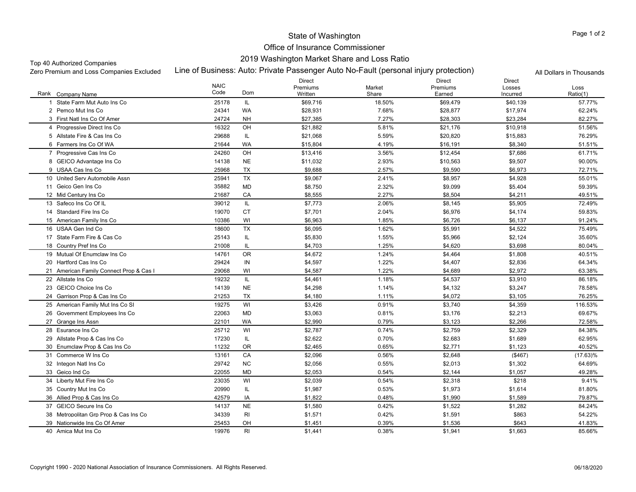## Office of Insurance Commissioner 2019 Washington Market Share and Loss Ratio

#### Top 40 Authorized Companies

Line of Business: Auto: Private Passenger Auto No-Fault (personal injury protection) Zero Premium and Loss Companies Excluded All Dollars in Thousands

|                                         | <b>NAIC</b> |           | <b>Direct</b><br>Premiums | Market | <b>Direct</b><br>Premiums | <b>Direct</b><br>Losses | Loss        |
|-----------------------------------------|-------------|-----------|---------------------------|--------|---------------------------|-------------------------|-------------|
| Rank Company Name                       | Code        | Dom       | Written                   | Share  | Earned                    | Incurred                | Ratio(1)    |
| State Farm Mut Auto Ins Co              | 25178       | IL.       | \$69,716                  | 18.50% | \$69,479                  | \$40,139                | 57.77%      |
| 2 Pemco Mut Ins Co                      | 24341       | <b>WA</b> | \$28,931                  | 7.68%  | \$28,877                  | \$17,974                | 62.24%      |
| 3 First Natl Ins Co Of Amer             | 24724       | <b>NH</b> | \$27,385                  | 7.27%  | \$28,303                  | \$23,284                | 82.27%      |
| 4 Progressive Direct Ins Co             | 16322       | OH        | \$21,882                  | 5.81%  | \$21,176                  | \$10,918                | 51.56%      |
| 5 Allstate Fire & Cas Ins Co            | 29688       | IL.       | \$21,068                  | 5.59%  | \$20,820                  | \$15,883                | 76.29%      |
| 6 Farmers Ins Co Of WA                  | 21644       | <b>WA</b> | \$15,804                  | 4.19%  | \$16,191                  | \$8,340                 | 51.51%      |
| 7 Progressive Cas Ins Co                | 24260       | OH        | \$13,416                  | 3.56%  | \$12,454                  | \$7,686                 | 61.71%      |
| 8 GEICO Advantage Ins Co                | 14138       | <b>NE</b> | \$11,032                  | 2.93%  | \$10,563                  | \$9,507                 | 90.00%      |
| 9 USAA Cas Ins Co                       | 25968       | <b>TX</b> | \$9,688                   | 2.57%  | \$9,590                   | \$6,973                 | 72.71%      |
| 10 United Serv Automobile Assn          | 25941       | <b>TX</b> | \$9,067                   | 2.41%  | \$8,957                   | \$4,928                 | 55.01%      |
| 11 Geico Gen Ins Co                     | 35882       | <b>MD</b> | \$8,750                   | 2.32%  | \$9,099                   | \$5,404                 | 59.39%      |
| 12 Mid Century Ins Co                   | 21687       | CA        | \$8,555                   | 2.27%  | \$8,504                   | \$4,211                 | 49.51%      |
| 13 Safeco Ins Co Of IL                  | 39012       | IL.       | \$7,773                   | 2.06%  | \$8,145                   | \$5,905                 | 72.49%      |
| 14 Standard Fire Ins Co                 | 19070       | <b>CT</b> | \$7,701                   | 2.04%  | \$6.976                   | \$4,174                 | 59.83%      |
| 15 American Family Ins Co               | 10386       | WI        | \$6,963                   | 1.85%  | \$6,726                   | \$6,137                 | 91.24%      |
| 16 USAA Gen Ind Co                      | 18600       | <b>TX</b> | \$6,095                   | 1.62%  | \$5,991                   | \$4,522                 | 75.49%      |
| 17 State Farm Fire & Cas Co             | 25143       | IL.       | \$5,830                   | 1.55%  | \$5,966                   | \$2,124                 | 35.60%      |
| 18 Country Pref Ins Co                  | 21008       | IL        | \$4,703                   | 1.25%  | \$4,620                   | \$3,698                 | 80.04%      |
| 19 Mutual Of Enumclaw Ins Co            | 14761       | 0R        | \$4,672                   | 1.24%  | \$4,464                   | \$1,808                 | 40.51%      |
| 20 Hartford Cas Ins Co                  | 29424       | IN        | \$4,597                   | 1.22%  | \$4,407                   | \$2,836                 | 64.34%      |
| 21 American Family Connect Prop & Cas I | 29068       | WI        | \$4,587                   | 1.22%  | \$4,689                   | \$2,972                 | 63.38%      |
| 22 Allstate Ins Co                      | 19232       | IL.       | \$4,461                   | 1.18%  | \$4,537                   | \$3,910                 | 86.18%      |
| 23 GEICO Choice Ins Co                  | 14139       | <b>NE</b> | \$4,298                   | 1.14%  | \$4,132                   | \$3,247                 | 78.58%      |
| 24 Garrison Prop & Cas Ins Co           | 21253       | TX        | \$4,180                   | 1.11%  | \$4,072                   | \$3,105                 | 76.25%      |
| 25 American Family Mut Ins Co SI        | 19275       | WI        | \$3,426                   | 0.91%  | \$3,740                   | \$4,359                 | 116.53%     |
| 26 Government Emplovees Ins Co          | 22063       | <b>MD</b> | \$3,063                   | 0.81%  | \$3,176                   | \$2,213                 | 69.67%      |
| 27 Grange Ins Assn                      | 22101       | <b>WA</b> | \$2,990                   | 0.79%  | \$3,123                   | \$2,266                 | 72.58%      |
| 28 Esurance Ins Co                      | 25712       | WI        | \$2,787                   | 0.74%  | \$2,759                   | \$2,329                 | 84.38%      |
| 29 Allstate Prop & Cas Ins Co           | 17230       | IL.       | \$2,622                   | 0.70%  | \$2,683                   | \$1,689                 | 62.95%      |
| 30 Enumclaw Prop & Cas Ins Co           | 11232       | 0R        | \$2,465                   | 0.65%  | \$2,771                   | \$1,123                 | 40.52%      |
| 31 Commerce W Ins Co                    | 13161       | CA        | \$2,096                   | 0.56%  | \$2,648                   | ( \$467)                | $(17.63)\%$ |
| 32 Integon Natl Ins Co                  | 29742       | <b>NC</b> | \$2,056                   | 0.55%  | \$2,013                   | \$1,302                 | 64.69%      |
| 33 Geico Ind Co                         | 22055       | MD        | \$2,053                   | 0.54%  | \$2,144                   | \$1,057                 | 49.28%      |
| 34 Liberty Mut Fire Ins Co              | 23035       | WI        | \$2,039                   | 0.54%  | \$2,318                   | \$218                   | 9.41%       |
| 35 Country Mut Ins Co                   | 20990       | IL.       | \$1,987                   | 0.53%  | \$1,973                   | \$1,614                 | 81.80%      |
| 36 Allied Prop & Cas Ins Co             | 42579       | IA        | \$1,822                   | 0.48%  | \$1,990                   | \$1,589                 | 79.87%      |
| 37 GEICO Secure Ins Co                  | 14137       | <b>NE</b> | \$1,580                   | 0.42%  | \$1,522                   | \$1,282                 | 84.24%      |
| 38 Metropolitan Grp Prop & Cas Ins Co   | 34339       | RI        | \$1,571                   | 0.42%  | \$1,591                   | \$863                   | 54.22%      |
| 39 Nationwide Ins Co Of Amer            | 25453       | OH        | \$1,451                   | 0.39%  | \$1,536                   | \$643                   | 41.83%      |
| 40 Amica Mut Ins Co                     | 19976       | RI        | \$1,441                   | 0.38%  | \$1,941                   | \$1,663                 | 85.66%      |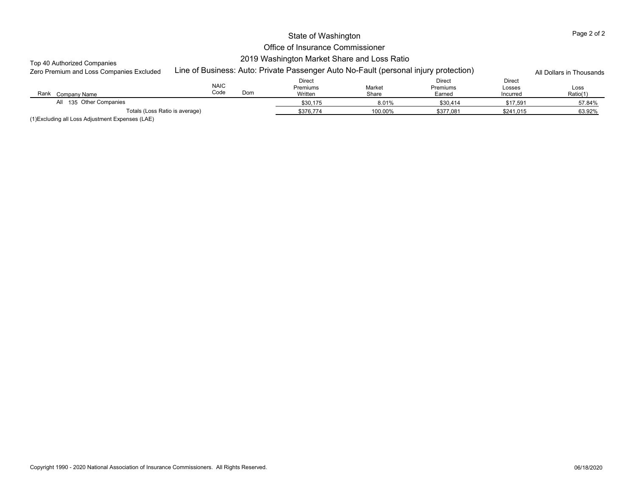## Office of Insurance Commissioner 2019 Washington Market Share and Loss Ratio

## Top 40 Authorized Companies

| Zero Premium and Loss Companies Excluded | Line of Business: Auto: Private Passenger Auto No-Fault (personal injury protection) |                                      | All Dollars in Thousands |                              |                              |                  |
|------------------------------------------|--------------------------------------------------------------------------------------|--------------------------------------|--------------------------|------------------------------|------------------------------|------------------|
| Rank<br>Company Name                     | <b>NAIC</b><br>Code<br>Dom                                                           | Direct<br><b>Premiums</b><br>Written | Market<br>Share          | Direct<br>Premiums<br>Earned | Direct<br>Losses<br>Incurred | Loss<br>Ratio(1) |
| All 135 Other Companies                  |                                                                                      | \$30,175                             | 8.01%                    | \$30,414                     | \$17,591                     | 57.84%           |
| Totals (Loss Ratio is average)           |                                                                                      | \$376.774                            | 100.00%                  | \$377.081                    | \$241.015                    | 63.92%           |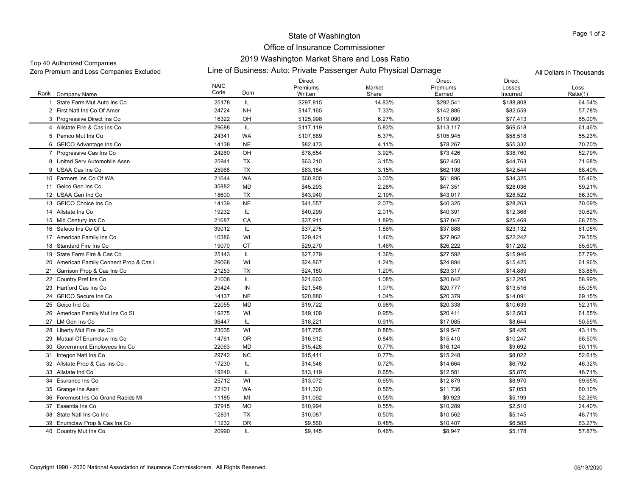## Office of Insurance Commissioner 2019 Washington Market Share and Loss Ratio

## Top 40 Authorized Companies

Zero Premium and Loss Companies Excluded Line of Business: Auto: Private Passenger Auto Physical Damage All Dollars in Thousands

|                                         | <b>NAIC</b> |           | <b>Direct</b><br>Premiums | Market | <b>Direct</b><br>Premiums | <b>Direct</b><br>Losses | Loss     |
|-----------------------------------------|-------------|-----------|---------------------------|--------|---------------------------|-------------------------|----------|
| Rank Company Name                       | Code        | Dom       | Written                   | Share  | Earned                    | Incurred                | Ratio(1) |
| State Farm Mut Auto Ins Co              | 25178       | IL        | \$297,815                 | 14.83% | \$292,541                 | \$188,808               | 64.54%   |
| 2 First Natl Ins Co Of Amer             | 24724       | <b>NH</b> | \$147,165                 | 7.33%  | \$142,886                 | \$82,559                | 57.78%   |
| 3 Progressive Direct Ins Co             | 16322       | OH        | \$125,998                 | 6.27%  | \$119,090                 | \$77,413                | 65.00%   |
| 4 Allstate Fire & Cas Ins Co            | 29688       | IL        | \$117,119                 | 5.83%  | \$113,117                 | \$69,518                | 61.46%   |
| 5 Pemco Mut Ins Co                      | 24341       | WA        | \$107,889                 | 5.37%  | \$105,945                 | \$58,518                | 55.23%   |
| 6 GEICO Advantage Ins Co                | 14138       | <b>NE</b> | \$82,473                  | 4.11%  | \$78,267                  | \$55,332                | 70.70%   |
| 7 Progressive Cas Ins Co                | 24260       | OH        | \$78,654                  | 3.92%  | \$73,426                  | \$38,760                | 52.79%   |
| 8 United Serv Automobile Assn           | 25941       | TX        | \$63,210                  | 3.15%  | \$62,450                  | \$44,763                | 71.68%   |
| 9 USAA Cas Ins Co                       | 25968       | TX        | \$63,184                  | 3.15%  | \$62,198                  | \$42,544                | 68.40%   |
| 10 Farmers Ins Co Of WA                 | 21644       | <b>WA</b> | \$60,800                  | 3.03%  | \$61,896                  | \$34,325                | 55.46%   |
| 11 Geico Gen Ins Co                     | 35882       | <b>MD</b> | \$45,293                  | 2.26%  | \$47,351                  | \$28,036                | 59.21%   |
| 12 USAA Gen Ind Co                      | 18600       | TX        | \$43,940                  | 2.19%  | \$43,017                  | \$28,522                | 66.30%   |
| 13 GEICO Choice Ins Co                  | 14139       | <b>NE</b> | \$41,557                  | 2.07%  | \$40,325                  | \$28,263                | 70.09%   |
| 14 Allstate Ins Co                      | 19232       | IL        | \$40,299                  | 2.01%  | \$40,391                  | \$12,368                | 30.62%   |
| 15 Mid Century Ins Co                   | 21687       | CA        | \$37,911                  | 1.89%  | \$37,047                  | \$25,469                | 68.75%   |
| 16 Safeco Ins Co Of IL                  | 39012       | IL.       | \$37,275                  | 1.86%  | \$37,888                  | \$23.132                | 61.05%   |
| 17 American Family Ins Co               | 10386       | WI        | \$29,421                  | 1.46%  | \$27,962                  | \$22,242                | 79.55%   |
| 18 Standard Fire Ins Co                 | 19070       | <b>CT</b> | \$29,270                  | 1.46%  | \$26,222                  | \$17,202                | 65.60%   |
| 19 State Farm Fire & Cas Co             | 25143       | IL.       | \$27,279                  | 1.36%  | \$27,592                  | \$15,946                | 57.79%   |
| 20 American Family Connect Prop & Cas I | 29068       | WI        | \$24,867                  | 1.24%  | \$24,894                  | \$15,425                | 61.96%   |
| 21 Garrison Prop & Cas Ins Co           | 21253       | <b>TX</b> | \$24,180                  | 1.20%  | \$23,317                  | \$14,889                | 63.86%   |
| 22 Country Pref Ins Co                  | 21008       | IL        | \$21,603                  | 1.08%  | \$20,842                  | \$12,295                | 58.99%   |
| 23 Hartford Cas Ins Co                  | 29424       | IN        | \$21,546                  | 1.07%  | \$20,777                  | \$13,516                | 65.05%   |
| 24 GEICO Secure Ins Co                  | 14137       | <b>NE</b> | \$20,880                  | 1.04%  | \$20,379                  | \$14,091                | 69.15%   |
| 25 Geico Ind Co                         | 22055       | MD        | \$19,722                  | 0.98%  | \$20,338                  | \$10,639                | 52.31%   |
| 26 American Family Mut Ins Co SI        | 19275       | WI        | \$19,109                  | 0.95%  | \$20,411                  | \$12,563                | 61.55%   |
| 27 LM Gen Ins Co                        | 36447       | IL        | \$18,221                  | 0.91%  | \$17,085                  | \$8,644                 | 50.59%   |
| 28 Liberty Mut Fire Ins Co              | 23035       | WI        | \$17,705                  | 0.88%  | \$19,547                  | \$8,426                 | 43.11%   |
| 29 Mutual Of Enumclaw Ins Co            | 14761       | <b>OR</b> | \$16,912                  | 0.84%  | \$15,410                  | \$10,247                | 66.50%   |
| 30 Government Employees Ins Co          | 22063       | MD        | \$15,428                  | 0.77%  | \$16,124                  | \$9,692                 | 60.11%   |
| 31 Integon Natl Ins Co                  | 29742       | NC        | \$15,411                  | 0.77%  | \$15,248                  | \$8,022                 | 52.61%   |
| 32 Allstate Prop & Cas Ins Co           | 17230       | IL        | \$14,546                  | 0.72%  | \$14,664                  | \$6,792                 | 46.32%   |
| 33 Allstate Ind Co                      | 19240       | IL        | \$13,119                  | 0.65%  | \$12,581                  | \$5,876                 | 46.71%   |
| 34 Esurance Ins Co                      | 25712       | WI        | \$13,072                  | 0.65%  | \$12,879                  | \$8,970                 | 69.65%   |
| 35 Grange Ins Assn                      | 22101       | <b>WA</b> | \$11,320                  | 0.56%  | \$11,736                  | \$7,053                 | 60.10%   |
| 36 Foremost Ins Co Grand Rapids MI      | 11185       | MI        | \$11,092                  | 0.55%  | \$9,923                   | \$5,199                 | 52.39%   |
| 37 Essentia Ins Co                      | 37915       | <b>MO</b> | \$10,994                  | 0.55%  | \$10,289                  | \$2,510                 | 24.40%   |
| 38 State Natl Ins Co Inc                | 12831       | <b>TX</b> | \$10,087                  | 0.50%  | \$10,562                  | \$5,145                 | 48.71%   |
| 39 Enumclaw Prop & Cas Ins Co           | 11232       | <b>OR</b> | \$9,560                   | 0.48%  | \$10,407                  | \$6,585                 | 63.27%   |
| 40 Country Mut Ins Co                   | 20990       | IL        | \$9,145                   | 0.46%  | \$8,947                   | \$5,178                 | 57.87%   |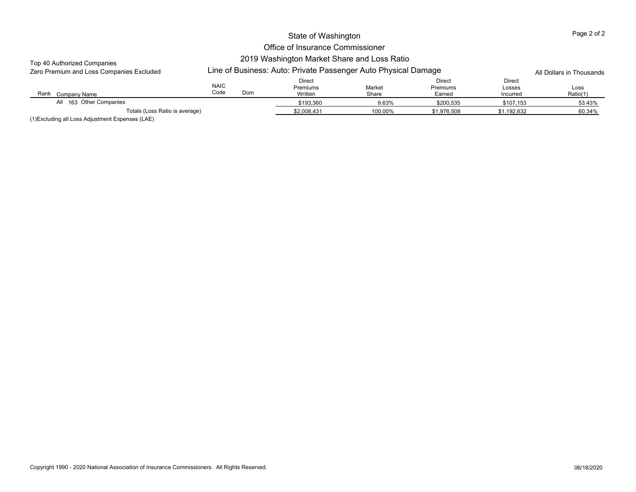## Office of Insurance Commissioner 2019 Washington Market Share and Loss Ratio

## Top 40 Authorized Companies

| <b>TUD TO AUTORIZED COMPAINES</b><br>Zero Premium and Loss Companies Excluded |                     | Line of Business: Auto: Private Passenger Auto Physical Damage |                               |                 |                                     |                              |                  |  |  |
|-------------------------------------------------------------------------------|---------------------|----------------------------------------------------------------|-------------------------------|-----------------|-------------------------------------|------------------------------|------------------|--|--|
| Rank<br>Company Name                                                          | <b>NAIC</b><br>Code | Dom                                                            | Direct<br>Premiums<br>Written | Market<br>Share | Direct<br><b>Premiums</b><br>Earned | Direct<br>Losses<br>Incurred | Loss<br>Ratio(1) |  |  |
| All 163 Other Companies                                                       |                     |                                                                | \$193.360                     | 9.63%           | \$200.535                           | \$107.153                    | 53.43%           |  |  |
| Totals (Loss Ratio is average)                                                |                     |                                                                | \$2,008.431                   | 100.00%         | \$1.976.508                         | \$1,192,632                  | 60.34%           |  |  |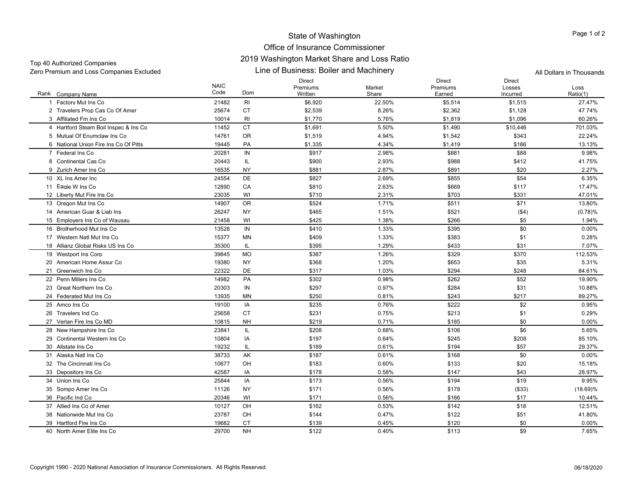#### Office of Insurance Commissioner 2019 Washington Market Share and Loss Ratio

Line of Business: Boiler and Machinery Zero Premium and Loss Companies Excluded All Dollars in Thousands Top 40 Authorized Companies

Rank Company Name NAIC CodeDirect Premiums WrittenMarket ShareDirect Premiums EarnedDirect Losses IncurredLossRatio(1) k Company Name Code Dom Written Share Earned Ratio(1) 1 Factory Mut Ins Co. 1 Factory Mut Ins Co 21482 RI \$6,920 22.50% \$5,514 \$1,515 27.47% 2 Travelers Prop Cas Co Of Amer 25674 CT \$2,539 \$2,362 \$1,128 47.74% 3 Affiliated Fm Ins Co 3 Affiliated Fm Ins Co 10014 RI \$1,770 5.76% \$1,819 \$1,096 60.26% 4 Hartford Steam Boil Inspec & Ins Co 11452 CT \$1,691 5.50% \$1,490 \$10,446 701.03% 5 Mutual Of Enumclaw Ins Co 14761 OR \$1,519 4.94% \$1,542 \$343 22.24% 6 National Union Fire Ins Co Of Pitts 19445 PAA \$1,335 4.34% \$1,419 \$186 13.13% 7 Federal Ins Co 20281 INN \$917 2.98%  $\%$  5881  $\%$  588 9.98% 8 Continental Cas Co 20443 IL \$900 2.93%  $\%$  6988 \$988 \$412 41.75% 9 Zurich Amer Ins Co 16535 NYNY \$881 2.87%  $\%$  5891  $\frac{1}{2}$  520  $\frac{2.27\%}{1}$ 10 XL Ins Amer Inc 24554 DE \$827 2.69% $\%$  6.35%  $\$855$  6.35% 11 Eagle W Ins Co 1 Eagle W Ins Co 12890 CA \$810 2.63% \$669 \$117 17.47% 12 Liberty Mut Fire Ins Co. 2 Liberty Mut Fire Ins Co 23035 WI \$710 2.31% \$703 \$331 47.01% 13 Oregon Mut Ins Co 3 Oregon Mut Ins Co 14907 OR \$524 1.71% \$511 \$71 13.80% 14 American Guar & Liab Ins 26247 NYY \$465 5465 5465 1.51% % 5521 (\$4) (\$9) (0.78) (\$9) 15 Employers Ins Co of Wausau 21458 WI \$425 1.38% \$266 \$5 1.94% 16 Brotherhood Mut Ins Co 13528 INN \$410 \$40 1.33%  $\%$  6.00%  $\frac{1}{395}$  5.995 6.00%  $\frac{1}{30}$  5.00% 17 Western Natl Mut Ins Co 15377 MNN \$409 1.33%  $\%$  6.28%  $\frac{1}{3383}$  5.383 5.1 5.1 6.28% 18 Allianz Global Risks US Ins Co 35300 IL \$395 1.29%  $\%$  5433 \$433 \$31 7.07% 19 Westport Ins Corp 9 Westport Ins Corp 39845 MO \$387 1.26% \$329 \$370 112.53% 20 American Home Assur Co 19380 NY \$368 1.20% $\%$  5.31%  $\frac{1}{36}$  5.31% 21 Greenwich Ins Co 22322 DEE 3317 1.03%  $\%$  64.61%  $\frac{1}{294}$  84.61% 22 Penn Millers Ins Co 14982 PAPA \$302 0.98%  $\%$  5262  $\%$  5262  $\%$  5262  $\%$  552  $\%$  19.90% 23 Great Northern Ins Co 20303 IN \$297 0.97% \$284 \$31 10.88% 24 Federated Mut Ins Co 13935 MNMN \$250 0.81% % 5243 \$217 \$9.27% 25 Amco Ins Co 19100 IA \$235 0.76% \$222 \$2 0.95% 26 Travelers Ind Co 25658 CTCT \$231 0.75%  $\%$  6.29%  $\frac{1}{213}$  6.29% 27 Verlan Fire Ins Co MD 10815 NHNH \$219 0.71%  $\%$  60 0.00%  $\%$  5185 60  $\%$  50 0.00% 28 New Hampshire Ins Co. 8 New Hampshire Ins Co 23841 IL \$208 \$106 5.65% 5.65% 29 Continental Western Ins Co 10804 IA \$197 0.64% $\%$  85.10%  $\frac{1}{2}$  85.10% 30 Allstate Ins Co 19232 IL \$189 0.61% \$194 \$57 29.37% 31 Alaska Natl Ins Co 38733 AK \$187 0.61% $\%$  60 0.00%  $\%$  5168 50  $\%$  0.00% 32 The Cincinnati Ins Co 10677 OH \$183 0.60% $\%$  5133 \$20 \$20 15.18% 33 Depositors Ins Co. 3 Depositors Ins Co 42587 IA \$178 \$147 \$43 28.97% 34 Union Ins Co 25844 IA \$173 0.56% \$194 \$19 9.95% 35 Sompo Amer Ins Co 5 Sompo Amer Ins Co 11126 NY \$171 0.56% \$178 (\$33) (18.69)% 36 Pacific Ind Co 20346 WI \$171 0.56%  $\%$  5166 \$17 517 517 517 510.44% 37 Allied Ins Co of Amer 10127 OH \$162 0.53% $\%$  5142 \$18 518 512.51% 38 Nationwide Mut Ins Co 23787 OH \$144 0.47% $\%$  5122 \$122 \$51 \$51 41.80% 39 Hartford Fire Ins Co 19682 CT \$139 0.45% $\%$  60 0.00%  $\%$  5120 50  $\%$ 40 North Amer Elite Ins Co 29700 NH \$122 0.40% $\%$  5113 \$9 7.65%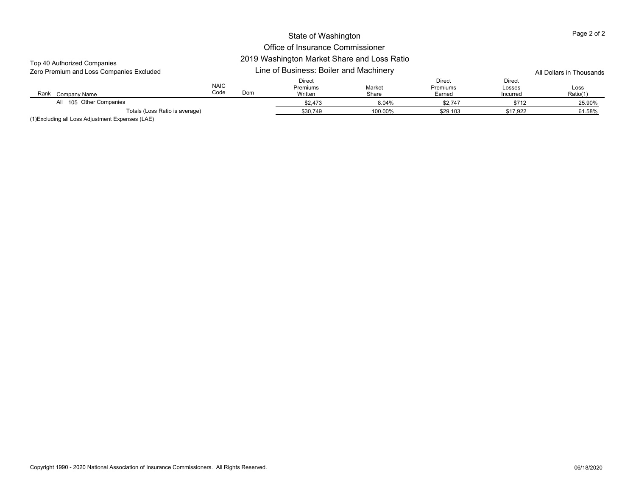## Office of Insurance Commissioner

## 2019 Washington Market Share and Loss Ratio

| Top 40 Authorized Companies<br>Zero Premium and Loss Companies Excluded | 2019 Washington Market Share and Loss Katio<br>Line of Business: Boiler and Machinery |     |                                      |                 |                                     |                              | All Dollars in Thousands |  |
|-------------------------------------------------------------------------|---------------------------------------------------------------------------------------|-----|--------------------------------------|-----------------|-------------------------------------|------------------------------|--------------------------|--|
| Rank<br>Company Name                                                    | <b>NAIC</b><br>Code                                                                   | Dom | Direct<br><b>Premiums</b><br>Written | Market<br>Share | <b>Direct</b><br>Premiums<br>Earned | Direct<br>Losses<br>Incurred | Loss<br>Ratio(1)         |  |
| All 105 Other Companies                                                 |                                                                                       |     | \$2,473                              | 8.04%           | \$2,747                             | \$712                        | 25.90%                   |  |
| Totals (Loss Ratio is average)                                          |                                                                                       |     | \$30,749                             | 100.00%         | \$29,103                            | \$17.922                     | 61.58%                   |  |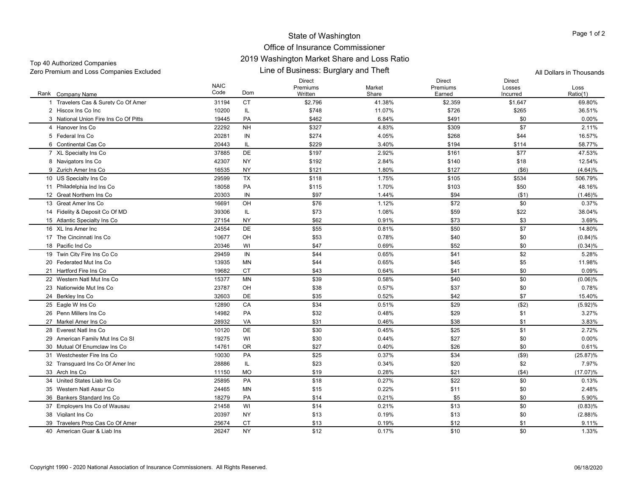#### Office of Insurance Commissioner 2019 Washington Market Share and Loss Ratio

Top 40 Authorized Companies Zero Premium and Loss Companies Excluded All Dollars in Thousands

Line of Business: Burglary and Theft

Rank Company Name NAIC CodeDirect Premiums WrittenMarket ShareDirect Premiums EarnedDirect Losses IncurredLossRatio(1) k Company Name Code Dom Written Share Earned Ratio(1) 1 Travelers Cas & Surety Co Of Amer 31194 CT \$2,796 41.38% \$2,359 \$1,647 69.80% 2 Hiscox Ins Co Inc 10200 IL \$748 11.07% $\%$  36.51%  $\frac{1}{26}$   $\frac{1}{26}$   $\frac{265}{265}$  36.51% 3 National Union Fire Ins Co Of Pitts 19445 PAPA \$462 6.84%  $\%$  60 0.00%  $\frac{1}{2}$  60 0.00% 4 Hanover Ins Co 22292 NH \$327 4.83% $\%$  309 \$309 \$7 \$7 2.11% 5 Federal Ins Co 20281 INN \$274 4.05%  $\%$  6268 \$268 \$44 5268 \$45 \$45.57% 6 Continental Cas Co 20443 IL \$229 3.40% $\%$  58.77%  $\frac{1}{94}$  59.77% 7 XL Specialty Ins Co 7 XL Specialty Ins Co 37885 DE \$197 2.92% \$161 \$77 47.53% 8 Navigators Ins Co 8 Navigators Ins Co 42307 NY \$192 2.84% \$140 \$18 12.54% 9 Zurich Amer Ins Co 16535 NYNY \$121 \$121 1.80% \$127 (\$6) (4.64)% 10 US Specialty Ins Co 0 US Specialty Ins Co 29599 TX \$118 1.75% \$105 \$534 506.79% 11 Philadelphia Ind Ins Co. 1 Philadelphia Ind Ins Co 18058 PA \$115 1.70% \$103 \$50 48.16% 12 Great Northern Ins Co 20303 INN \$97 1.44% \$94 (\$1) (1.46)% 13 Great Amer Ins Co 16691 OH \$76 1.12% $\%$  60 0.37%  $\frac{1}{2}$  572 50 50 0.37% 14 Fidelity & Denosit Co Of MD 4 Fidelity & Deposit Co Of MD 39306 IL \$73 1.08% \$59 \$22 38.04% 15 Atlantic Specialty Ins Co 27154 NY 62 \$73 3.69% 16 XL Ins Amer Inc 24554 DE \$55 0.81% $\%$  550 \$50 \$7 \$7 \$14.80% 17 The Cincinnati Ins Co 10677 OH OH \$53 0.78%  $\%$  60  $\frac{1}{20}$  50  $\frac{1}{20}$  (0.84)% 18 Pacific Ind Co 20346 WI \$47 0.69%  $\%$  652 \$52 \$0 \$0 (0.34)% 19 Twin City Fire Ins Co Co 9 Twin City Fire Ins Co Co 29459 IN \$44 0.65% \$41 \$2 5.28% 20 Federated Mut Ins Co 13935 MNN \$44 0.65%  $\%$  5  $\frac{11.98\%}{11.98\%}$ 21 Hartford Fire Ins Co 19682 CTT 343 0.64%  $\%$  60 0.09%  $\%$ 22 Western Natl Mut Ins Co 15377 MNMN \$39 0.58%  $\%$  60  $\frac{1}{20}$  50  $\frac{1}{20}$  (0.06)% 23 Nationwide Mut Ins Co 23787 OHOH \$38 0.57%  $\%$  6.78%  $\frac{1}{37}$  5.37  $\frac{1}{30}$  5.0  $\frac{1}{30}$  0.78% 24 Berkley Ins Co Berkley Ins Co 32603 DE \$35 0.52% \$42 \$7 15.40% 25 Eagle W Ins Co 5 Eagle W Ins Co 12890 CA \$34 0.51% \$29 (\$2) (5.92)% 26 Penn Millers Ins Co 14982 PAPA \$32 0.48%  $\%$  3.27%  $\frac{1}{29}$  5.29  $\frac{1}{32}$  5.1  $\frac{3.27}{10}$ 27 Markel Amer Ins Co 28932 VAVA \$31 0.46%  $\%$  3.83%  $\text{S}38$   $\text{S}1$  3.83% 28 Everest Natl Ins Co 10120 DEDE \$30 0.45%  $\%$  525 \$25 \$1 2.72% 29 American Family Mut Ins Co SI 19275 WI \$30 \$27 \$0 0.00% 30 Mutual Of Enumclaw Ins Co 14761 OROR \$27 0.40%  $\%$  60 0.61%  $\frac{1}{26}$  526 50 50 0.61% 31 Westchester Fire Ins Co 10030 PAA  $$25$  0.37% \$34 (\$9) (25.87)% 32 Transquard Ins Co Of Amer Inc 28886 IL \$23 \$20 7.97% 33 Arch Ins Co 11150 MO \$19 0.28% \$21 (\$4) (17.07)% 34 United States Liab Ins Co 25895 PAPA \$18 0.27%  $\%$  6.13%  $\frac{1}{32}$  5.22 6.13% 35 Western Natl Assur Co 24465 MN $N = 15$  0.22%  $\%$  511 50  $\text{S0}$  2.48% 36 Bankers Standard Ins Co 18279 PAPA  $$14$  0.21%  $\%$  5.90%  $\frac{1}{35}$  5.90% 37 Employers Ins Co of Wausau 21458 WI \$14 0.21% \$13 \$0 (0.83)% 38 Vigilant Ins Co Vigilant Ins Co 20397 NY \$13 0.19% \$13 \$0 (2.88)% 39 Travelers Prop Cas Co Of Amer 25674 CT \$13 \$1 \$1 9.11% 40 American Guar & Liab Ins 26247 NY \$12 0.17% $\%$  60 1.33%  $\frac{1}{30}$  510 50 50 1.33%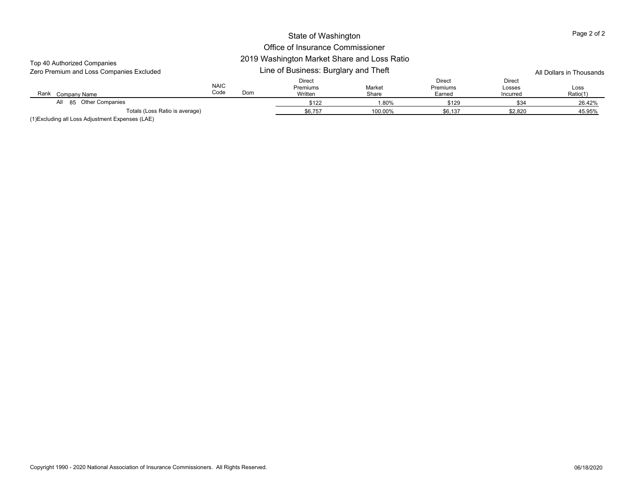# Office of Insurance Commissioner

## 2019 Washington Market Share and Loss Ratio

| Top 40 Authorized Companies<br>Zero Premium and Loss Companies Excluded | 2019 Washington Market Share and Loss Katio<br>Line of Business: Burglary and Theft |     |                               |                 |                                     |                              | All Dollars in Thousands |  |
|-------------------------------------------------------------------------|-------------------------------------------------------------------------------------|-----|-------------------------------|-----------------|-------------------------------------|------------------------------|--------------------------|--|
| Rank<br>Company Name                                                    | <b>NAIC</b><br>Code                                                                 | Dom | Direct<br>Premiums<br>Written | Market<br>Share | <b>Direct</b><br>Premiums<br>Earned | Direct<br>Losses<br>Incurred | Loss<br>Ratio(1)         |  |
| All 85 Other Companies                                                  |                                                                                     |     | \$122                         | 1.80%           | \$129                               | \$34                         | 26.42%                   |  |
| Totals (Loss Ratio is average)<br>$\cdots$<br>$\cdots$ $\cdots$         |                                                                                     |     | \$6,757                       | 100.00%         | \$6,137                             | \$2,820                      | 45.95%                   |  |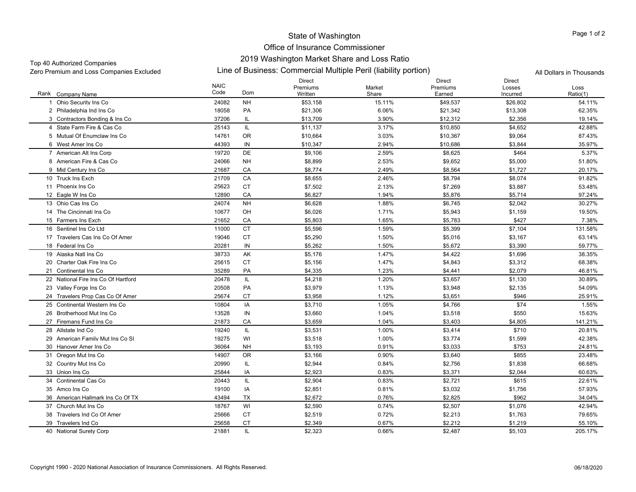## Office of Insurance Commissioner 2019 Washington Market Share and Loss Ratio

## Top 40 Authorized Companies

Zero Premium and Loss Companies Excluded Line of Business: Commercial Multiple Peril (liability portion) All Dollars in Thousands

|                                     | <b>NAIC</b> |           | <b>Direct</b><br>Premiums | Market | <b>Direct</b><br>Premiums | <b>Direct</b><br>Losses | Loss     |
|-------------------------------------|-------------|-----------|---------------------------|--------|---------------------------|-------------------------|----------|
| Rank Company Name                   | Code        | Dom       | Written                   | Share  | Earned                    | Incurred                | Ratio(1) |
| Ohio Security Ins Co                | 24082       | <b>NH</b> | \$53,158                  | 15.11% | \$49,537                  | \$26,802                | 54.11%   |
| 2 Philadelphia Ind Ins Co           | 18058       | PA        | \$21,306                  | 6.06%  | \$21,342                  | \$13,308                | 62.35%   |
| 3 Contractors Bonding & Ins Co.     | 37206       | IL.       | \$13,709                  | 3.90%  | \$12,312                  | \$2,356                 | 19.14%   |
| 4 State Farm Fire & Cas Co.         | 25143       | IL.       | \$11,137                  | 3.17%  | \$10,850                  | \$4,652                 | 42.88%   |
| 5 Mutual Of Enumclaw Ins Co         | 14761       | <b>OR</b> | \$10,664                  | 3.03%  | \$10,367                  | \$9,064                 | 87.43%   |
| 6 West Amer Ins Co                  | 44393       | IN        | \$10,347                  | 2.94%  | \$10,686                  | \$3,844                 | 35.97%   |
| 7 American Alt Ins Corp             | 19720       | <b>DE</b> | \$9,106                   | 2.59%  | \$8,625                   | \$464                   | 5.37%    |
| 8 American Fire & Cas Co            | 24066       | <b>NH</b> | \$8,899                   | 2.53%  | \$9,652                   | \$5,000                 | 51.80%   |
| 9 Mid Century Ins Co                | 21687       | CA        | \$8,774                   | 2.49%  | \$8,564                   | \$1,727                 | 20.17%   |
| 10 Truck Ins Exch                   | 21709       | CA        | \$8,655                   | 2.46%  | \$8,794                   | \$8,074                 | 91.82%   |
| 11 Phoenix Ins Co                   | 25623       | <b>CT</b> | \$7,502                   | 2.13%  | \$7,269                   | \$3,887                 | 53.48%   |
| 12 Eagle W Ins Co                   | 12890       | CA        | \$6,827                   | 1.94%  | \$5,876                   | \$5,714                 | 97.24%   |
| 13 Ohio Cas Ins Co                  | 24074       | <b>NH</b> | \$6,628                   | 1.88%  | \$6,745                   | \$2,042                 | 30.27%   |
| 14 The Cincinnati Ins Co            | 10677       | OH        | \$6,026                   | 1.71%  | \$5,943                   | \$1,159                 | 19.50%   |
| 15 Farmers Ins Exch                 | 21652       | CA        | \$5,803                   | 1.65%  | \$5,783                   | \$427                   | 7.38%    |
| 16 Sentinel Ins Co Ltd              | 11000       | <b>CT</b> | \$5,596                   | 1.59%  | \$5,399                   | \$7,104                 | 131.58%  |
| 17 Travelers Cas Ins Co Of Amer     | 19046       | <b>CT</b> | \$5,290                   | 1.50%  | \$5,016                   | \$3,167                 | 63.14%   |
| 18 Federal Ins Co                   | 20281       | IN        | \$5,262                   | 1.50%  | \$5,672                   | \$3,390                 | 59.77%   |
| 19 Alaska Natl Ins Co               | 38733       | AK        | \$5,176                   | 1.47%  | \$4,422                   | \$1,696                 | 38.35%   |
| 20 Charter Oak Fire Ins Co          | 25615       | <b>CT</b> | \$5,156                   | 1.47%  | \$4,843                   | \$3,312                 | 68.38%   |
| 21 Continental Ins Co               | 35289       | PA        | \$4,335                   | 1.23%  | \$4,441                   | \$2,079                 | 46.81%   |
| 22 National Fire Ins Co Of Hartford | 20478       | IL        | \$4,218                   | 1.20%  | \$3,657                   | \$1,130                 | 30.89%   |
| 23 Valley Forge Ins Co              | 20508       | PA        | \$3,979                   | 1.13%  | \$3,948                   | \$2,135                 | 54.09%   |
| 24 Travelers Prop Cas Co Of Amer    | 25674       | <b>CT</b> | \$3,958                   | 1.12%  | \$3,651                   | \$946                   | 25.91%   |
| 25 Continental Western Ins Co       | 10804       | IA        | \$3,710                   | 1.05%  | \$4,766                   | \$74                    | 1.55%    |
| 26 Brotherhood Mut Ins Co           | 13528       | IN        | \$3,660                   | 1.04%  | \$3,518                   | \$550                   | 15.63%   |
| 27 Firemans Fund Ins Co             | 21873       | CA        | \$3,659                   | 1.04%  | \$3,403                   | \$4,805                 | 141.21%  |
| 28 Allstate Ind Co                  | 19240       | IL.       | \$3,531                   | 1.00%  | \$3,414                   | \$710                   | 20.81%   |
| 29 American Family Mut Ins Co SI    | 19275       | WI        | \$3,518                   | 1.00%  | \$3,774                   | \$1,599                 | 42.38%   |
| 30 Hanover Amer Ins Co              | 36064       | <b>NH</b> | \$3,193                   | 0.91%  | \$3,033                   | \$753                   | 24.81%   |
| 31 Oregon Mut Ins Co                | 14907       | <b>OR</b> | \$3,166                   | 0.90%  | \$3,640                   | \$855                   | 23.48%   |
| 32 Country Mut Ins Co               | 20990       | IL        | \$2,944                   | 0.84%  | \$2,756                   | \$1,838                 | 66.68%   |
| 33 Union Ins Co                     | 25844       | IA        | \$2,923                   | 0.83%  | \$3,371                   | \$2,044                 | 60.63%   |
| 34 Continental Cas Co               | 20443       | IL        | \$2,904                   | 0.83%  | \$2,721                   | \$615                   | 22.61%   |
| 35 Amco Ins Co                      | 19100       | IA        | \$2,851                   | 0.81%  | \$3,032                   | \$1,756                 | 57.93%   |
| 36 American Hallmark Ins Co Of TX   | 43494       | <b>TX</b> | \$2,672                   | 0.76%  | \$2,825                   | \$962                   | 34.04%   |
| 37 Church Mut Ins Co                | 18767       | WI        | \$2,590                   | 0.74%  | \$2,507                   | \$1,076                 | 42.94%   |
| 38 Travelers Ind Co Of Amer         | 25666       | <b>CT</b> | \$2,519                   | 0.72%  | \$2,213                   | \$1,763                 | 79.65%   |
| 39 Travelers Ind Co                 | 25658       | <b>CT</b> | \$2,349                   | 0.67%  | \$2,212                   | \$1,219                 | 55.10%   |
| 40 National Surety Corp             | 21881       | IL        | \$2,323                   | 0.66%  | \$2,487                   | \$5,103                 | 205.17%  |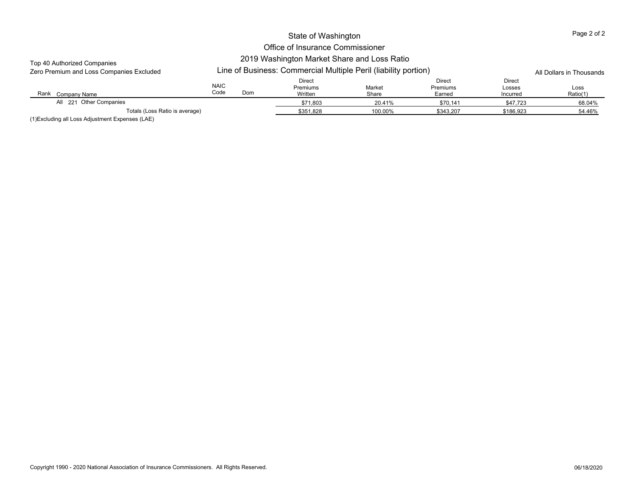## Office of Insurance Commissioner 2019 Washington Market Share and Loss Ratio

#### Top 40 Authorized Companies

| Zero Premium and Loss Companies Excluded |                     | Line of Business: Commercial Multiple Peril (liability portion) |                               |                 |                              |                              |                  |
|------------------------------------------|---------------------|-----------------------------------------------------------------|-------------------------------|-----------------|------------------------------|------------------------------|------------------|
| Rank<br>Company Name                     | <b>NAIC</b><br>Code | Dom                                                             | Direct<br>Premiums<br>Written | Market<br>Share | Direct<br>Premiums<br>Earned | Direct<br>Losses<br>Incurred | Loss<br>Ratio(1) |
| All 221 Other Companies                  |                     |                                                                 | \$71.803                      | 20.41%          | \$70,141                     | \$47,723                     | 68.04%           |
| Totals (Loss Ratio is average)           |                     |                                                                 | \$351.828                     | 100.00%         | \$343.207                    | \$186.923                    | 54.46%           |

(1)Excluding all Loss Adjustment Expenses (LAE)

Page 2 of 2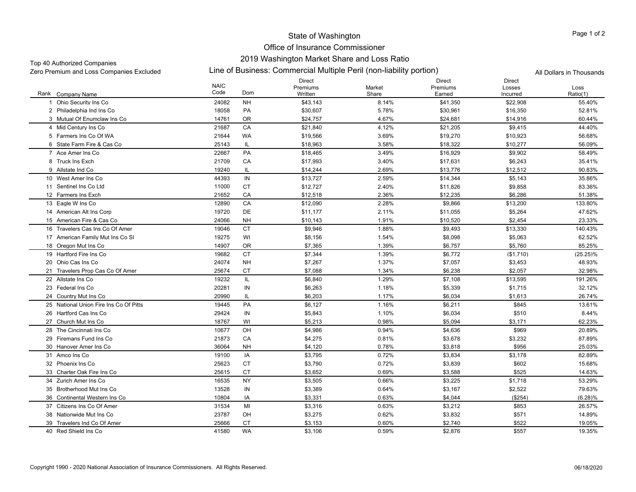## Office of Insurance Commissioner 2019 Washington Market Share and Loss Ratio

## Top 40 Authorized Companies

Line of Business: Commercial Multiple Peril (non-liability portion) Zero Premium and Loss Companies Excluded All Dollars in Thousands

|                                        | <b>NAIC</b> |           | <b>Direct</b><br>Premiums | Market | <b>Direct</b><br>Premiums | <b>Direct</b><br>Losses | Loss        |
|----------------------------------------|-------------|-----------|---------------------------|--------|---------------------------|-------------------------|-------------|
| Rank Company Name                      | Code        | Dom       | Written                   | Share  | Earned                    | Incurred                | Ratio(1)    |
| Ohio Security Ins Co                   | 24082       | <b>NH</b> | \$43,143                  | 8.14%  | \$41,350                  | \$22,908                | 55.40%      |
| 2 Philadelphia Ind Ins Co              | 18058       | PA        | \$30,607                  | 5.78%  | \$30,961                  | \$16,350                | 52.81%      |
| 3 Mutual Of Enumclaw Ins Co            | 14761       | 0R        | \$24,757                  | 4.67%  | \$24,681                  | \$14,916                | 60.44%      |
| 4 Mid Century Ins Co                   | 21687       | CA        | \$21,840                  | 4.12%  | \$21,205                  | \$9,415                 | 44.40%      |
| 5 Farmers Ins Co Of WA                 | 21644       | WA        | \$19,566                  | 3.69%  | \$19,270                  | \$10,923                | 56.68%      |
| 6 State Farm Fire & Cas Co             | 25143       | IL.       | \$18,963                  | 3.58%  | \$18,322                  | \$10,277                | 56.09%      |
| 7 Ace Amer Ins Co                      | 22667       | PA        | \$18,465                  | 3.49%  | \$16,929                  | \$9,902                 | 58.49%      |
| 8 Truck Ins Exch                       | 21709       | CA        | \$17,993                  | 3.40%  | \$17,631                  | \$6,243                 | 35.41%      |
| 9 Allstate Ind Co                      | 19240       | IL        | \$14,244                  | 2.69%  | \$13,776                  | \$12,512                | 90.83%      |
| 10 West Amer Ins Co                    | 44393       | IN        | \$13,727                  | 2.59%  | \$14,344                  | \$5,143                 | 35.86%      |
| 11 Sentinel Ins Co Ltd                 | 11000       | <b>CT</b> | \$12,727                  | 2.40%  | \$11,826                  | \$9,858                 | 83.36%      |
| 12 Farmers Ins Exch                    | 21652       | CA        | \$12,518                  | 2.36%  | \$12,235                  | \$6,286                 | 51.38%      |
| 13 Eagle W Ins Co                      | 12890       | CA        | \$12,090                  | 2.28%  | \$9,866                   | \$13,200                | 133.80%     |
| 14 American Alt Ins Corp               | 19720       | DE        | \$11,177                  | 2.11%  | \$11,055                  | \$5,264                 | 47.62%      |
| 15 American Fire & Cas Co              | 24066       | <b>NH</b> | \$10,143                  | 1.91%  | \$10,520                  | \$2,454                 | 23.33%      |
| 16 Travelers Cas Ins Co Of Amer        | 19046       | <b>CT</b> | \$9,946                   | 1.88%  | \$9,493                   | \$13,330                | 140.43%     |
| 17 American Family Mut Ins Co SI       | 19275       | WI        | \$8,156                   | 1.54%  | \$8,098                   | \$5,063                 | 62.52%      |
| 18 Oregon Mut Ins Co                   | 14907       | OR        | \$7,365                   | 1.39%  | \$6,757                   | \$5,760                 | 85.25%      |
| 19 Hartford Fire Ins Co                | 19682       | <b>CT</b> | \$7,344                   | 1.39%  | \$6,772                   | (\$1,710)               | $(25.25)\%$ |
| 20 Ohio Cas Ins Co                     | 24074       | <b>NH</b> | \$7,267                   | 1.37%  | \$7,057                   | \$3,453                 | 48.93%      |
| 21 Travelers Prop Cas Co Of Amer       | 25674       | <b>CT</b> | \$7,088                   | 1.34%  | \$6,238                   | \$2,057                 | 32.98%      |
| 22 Allstate Ins Co                     | 19232       | IL.       | \$6,840                   | 1.29%  | \$7,108                   | \$13,595                | 191.26%     |
| 23 Federal Ins Co                      | 20281       | IN        | \$6,263                   | 1.18%  | \$5,339                   | \$1,715                 | 32.12%      |
| 24 Country Mut Ins Co                  | 20990       | IL        | \$6,203                   | 1.17%  | \$6,034                   | \$1,613                 | 26.74%      |
| 25 National Union Fire Ins Co Of Pitts | 19445       | PA        | \$6,127                   | 1.16%  | \$6,211                   | \$845                   | 13.61%      |
| 26 Hartford Cas Ins Co                 | 29424       | IN        | \$5,843                   | 1.10%  | \$6,034                   | \$510                   | 8.44%       |
| 27 Church Mut Ins Co                   | 18767       | WI        | \$5,213                   | 0.98%  | \$5,094                   | \$3,171                 | 62.23%      |
| 28 The Cincinnati Ins Co               | 10677       | OH        | \$4,986                   | 0.94%  | \$4,636                   | \$969                   | 20.89%      |
| 29 Firemans Fund Ins Co                | 21873       | CA        | \$4,275                   | 0.81%  | \$3,678                   | \$3,232                 | 87.89%      |
| 30 Hanover Amer Ins Co                 | 36064       | NΗ        | \$4,120                   | 0.78%  | \$3,818                   | \$956                   | 25.03%      |
| 31 Amco Ins Co                         | 19100       | IA        | \$3,795                   | 0.72%  | \$3,834                   | \$3,178                 | 82.89%      |
| 32 Phoenix Ins Co                      | 25623       | <b>CT</b> | \$3,790                   | 0.72%  | \$3,839                   | \$602                   | 15.68%      |
| 33 Charter Oak Fire Ins Co             | 25615       | <b>CT</b> | \$3,652                   | 0.69%  | \$3,588                   | \$525                   | 14.63%      |
| 34 Zurich Amer Ins Co                  | 16535       | NY        | \$3,505                   | 0.66%  | \$3,225                   | \$1,718                 | 53.29%      |
| 35 Brotherhood Mut Ins Co              | 13528       | IN        | \$3,389                   | 0.64%  | \$3,167                   | \$2,522                 | 79.63%      |
| 36 Continental Western Ins Co          | 10804       | IA        | \$3,331                   | 0.63%  | \$4,044                   | (\$254)                 | (6.28)%     |
| 37 Citizens Ins Co Of Amer             | 31534       | MI        | \$3,316                   | 0.63%  | \$3,212                   | \$853                   | 26.57%      |
| 38 Nationwide Mut Ins Co               | 23787       | OH        | \$3,275                   | 0.62%  | \$3,832                   | \$571                   | 14.89%      |
| 39 Travelers Ind Co Of Amer            | 25666       | <b>CT</b> | \$3,153                   | 0.60%  | \$2,740                   | \$522                   | 19.05%      |
| 40 Red Shield Ins Co                   | 41580       | <b>WA</b> | \$3,106                   | 0.59%  | \$2,876                   | \$557                   | 19.35%      |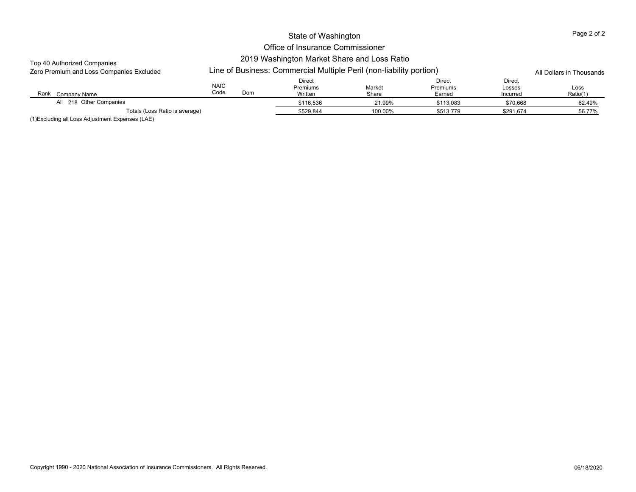## Office of Insurance Commissioner 2019 Washington Market Share and Loss Ratio

#### Top 40 Authorized Companies

| Zero Premium and Loss Companies Excluded | Line |
|------------------------------------------|------|
|------------------------------------------|------|

| Zero Premium and Loss Companies Excluded |                     |     | Line of Business: Commercial Multiple Peril (non-liability portion) |                 | All Dollars in Thousands     |                              |                  |
|------------------------------------------|---------------------|-----|---------------------------------------------------------------------|-----------------|------------------------------|------------------------------|------------------|
| Rank<br>Company Name                     | <b>NAIC</b><br>Code | Dom | <b>Direct</b><br>Premiums<br>Written                                | Market<br>Share | Direct<br>Premiums<br>Earned | Direct<br>Losses<br>Incurred | Loss<br>Ratio(1) |
| All 218 Other Companies                  |                     |     | \$116.536                                                           | 21.99%          | \$113.083                    | \$70.668                     | 62.49%           |
| Totals (Loss Ratio is average)           |                     |     | \$529.844                                                           | 100.00%         | \$513,779                    | \$291,674                    | 56.77%           |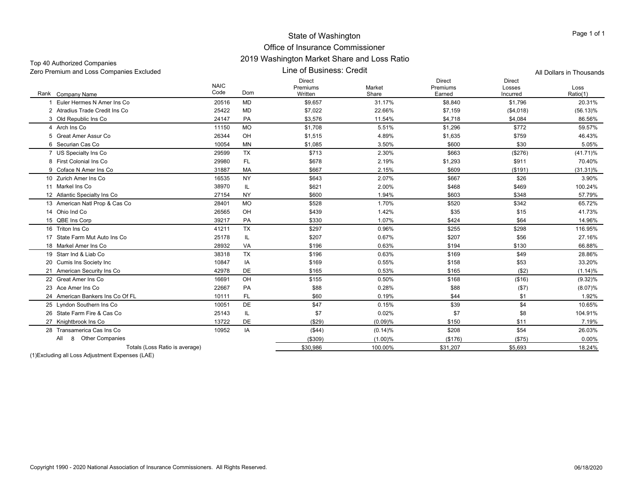| Zero Premium and Loss Companies Excluded |                     |           | All Dollars in Thousands             |                 |                                     |                                     |                  |
|------------------------------------------|---------------------|-----------|--------------------------------------|-----------------|-------------------------------------|-------------------------------------|------------------|
| Rank Company Name                        | <b>NAIC</b><br>Code | Dom       | <b>Direct</b><br>Premiums<br>Written | Market<br>Share | <b>Direct</b><br>Premiums<br>Earned | <b>Direct</b><br>Losses<br>Incurred | Loss<br>Ratio(1) |
| Euler Hermes N Amer Ins Co               | 20516               | <b>MD</b> | \$9,657                              | 31.17%          | \$8,840                             | \$1,796                             | 20.31%           |
| 2 Atradius Trade Credit Ins Co           | 25422               | MD        | \$7.022                              | 22.66%          | \$7.159                             | (\$4,018)                           | $(56.13)\%$      |
| 3 Old Republic Ins Co                    | 24147               | PA        | \$3,576                              | 11.54%          | \$4,718                             | \$4,084                             | 86.56%           |
| 4 Arch Ins Co                            | 11150               | <b>MO</b> | \$1,708                              | 5.51%           | \$1,296                             | \$772                               | 59.57%           |
| 5 Great Amer Assur Co                    | 26344               | OH        | \$1,515                              | 4.89%           | \$1,635                             | \$759                               | 46.43%           |
| 6 Securian Cas Co                        | 10054               | <b>MN</b> | \$1,085                              | 3.50%           | \$600                               | \$30                                | 5.05%            |
| 7 US Specialty Ins Co                    | 29599               | <b>TX</b> | \$713                                | 2.30%           | \$663                               | (\$276)                             | $(41.71)\%$      |
| 8 First Colonial Ins Co                  | 29980               | FL.       | \$678                                | 2.19%           | \$1,293                             | \$911                               | 70.40%           |
| 9 Coface N Amer Ins Co                   | 31887               | MA        | \$667                                | 2.15%           | \$609                               | (\$191)                             | $(31.31)\%$      |
| 10 Zurich Amer Ins Co                    | 16535               | <b>NY</b> | \$643                                | 2.07%           | \$667                               | \$26                                | 3.90%            |
| 11 Markel Ins Co                         | 38970               | IL        | \$621                                | 2.00%           | \$468                               | \$469                               | 100.24%          |
| 12 Atlantic Specialty Ins Co             | 27154               | <b>NY</b> | \$600                                | 1.94%           | \$603                               | \$348                               | 57.79%           |
| 13 American Natl Prop & Cas Co           | 28401               | <b>MO</b> | \$528                                | 1.70%           | \$520                               | \$342                               | 65.72%           |
| 14 Ohio Ind Co                           | 26565               | OH        | \$439                                | 1.42%           | \$35                                | \$15                                | 41.73%           |
| 15 QBE Ins Corp                          | 39217               | PA        | \$330                                | 1.07%           | \$424                               | \$64                                | 14.96%           |
| 16 Triton Ins Co                         | 41211               | <b>TX</b> | \$297                                | 0.96%           | \$255                               | \$298                               | 116.95%          |
| 17 State Farm Mut Auto Ins Co            | 25178               | IL        | \$207                                | 0.67%           | \$207                               | \$56                                | 27.16%           |
| 18 Markel Amer Ins Co                    | 28932               | VA        | \$196                                | 0.63%           | \$194                               | \$130                               | 66.88%           |
| 19 Starr Ind & Liab Co                   | 38318               | <b>TX</b> | \$196                                | 0.63%           | \$169                               | \$49                                | 28.86%           |
| 20 Cumis Ins Society Inc                 | 10847               | IA        | \$169                                | 0.55%           | \$158                               | \$53                                | 33.20%           |
| 21 American Security Ins Co              | 42978               | <b>DE</b> | \$165                                | 0.53%           | \$165                               | ( \$2)                              | (1.14)%          |
| 22 Great Amer Ins Co                     | 16691               | OH        | \$155                                | 0.50%           | \$168                               | ( \$16)                             | $(9.32)\%$       |
| 23 Ace Amer Ins Co                       | 22667               | PA        | \$88                                 | 0.28%           | \$88                                | (\$7)                               | $(8.07)\%$       |
| 24 American Bankers Ins Co Of FL         | 10111               | FL.       | \$60                                 | 0.19%           | \$44                                | \$1                                 | 1.92%            |
| 25 Lyndon Southern Ins Co                | 10051               | <b>DE</b> | \$47                                 | 0.15%           | \$39                                | \$4                                 | 10.65%           |
| 26 State Farm Fire & Cas Co              | 25143               | IL        | \$7                                  | 0.02%           | \$7                                 | \$8                                 | 104.91%          |
| 27 Knightbrook Ins Co                    | 13722               | <b>DE</b> | (S29)                                | (0.09)%         | \$150                               | \$11                                | 7.19%            |
| 28 Transamerica Cas Ins Co               | 10952               | IA        | ( \$44)                              | (0.14)%         | \$208                               | \$54                                | 26.03%           |
| 8 Other Companies<br>All                 |                     |           | ( \$309)                             | (1.00)%         | (\$176)                             | (\$75)                              | 0.00%            |
| Totals (Loss Ratio is average)           |                     |           | \$30,986                             | 100.00%         | \$31,207                            | \$5,693                             | 18.24%           |

(1)Excluding all Loss Adjustment Expenses (LAE)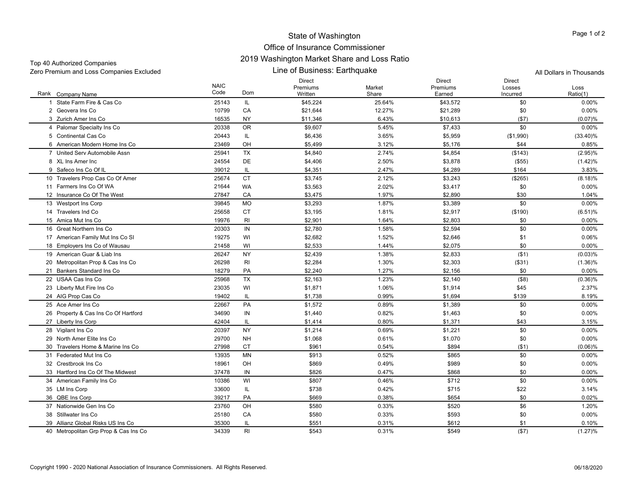### Office of Insurance Commissioner 2019 Washington Market Share and Loss Ratio

Zero Premium and Loss Companies Excluded All Dollars in Thousands

Top 40 Authorized Companies

Line of Business: Earthquake

Rank Company Name NAIC CodeDirect Premiums WrittenMarket ShareDirect Premiums EarnedDirect Losses IncurredLossRatio(1) k Company Name Code Dom Written Share Earned Ratio(1) 1 State Farm Fire & Cas Co. 1 State Farm Fire & Cas Co 25143 IL \$45,224 25.64% \$43,572 \$0 0.00% 2 Geovera Ins Co 10799 CA \$21,644 12.27% \$21,289 \$0 0.00% 3 Zurich Amer Ins Co 16535 NY \$11,346 6.43% \$10,613 (\$7) (0.07)% 4 Palomar Specialty Ins Co 20338 OR \$9,607 5.45% \$7,433 0.00% 5 Continental Cas Co 5 Continental Cas Co 20443 IL \$6,436 3.65% \$5,959 (\$1,990) (33.40)% 6 American Modern Home Ins Co 23469 OH \$5,499 3.12% \$5,176 \$44 0.85% 7 United Serv Automobile Assn 25941 TX \$4,840 2.74% \$4,854 (\$143) (2.95)% 8 XL Ins Amer Inc 24554 DE \$4,406 2.50% \$3,878 (\$55) (1.42)% 9 Safeco Ins Co Of IL 9 Safeco Ins Co Of IL 39012 IL \$4,351 2.47% \$4,289 \$164 3.83% 10 Travelers Prop Cas Co Of Amer 25674 CT \$3,745 \$3.243 (8.18)% 11 Farmers Ins Co Of WA 21644 WA $\,$  A  $\,$  \$3,563  $\,$   $\,$  2.02%  $\,$  \$3,417  $\,$  \$0  $\,$  0.00%  $\,$ 12 Insurance Co Of The West 27847 CAA \$3.475 1.97% \$2.890 \$30 1.04% 13 Westport Ins Corp 3 Westport Ins Corp 39845 MO \$3,293 1.87% \$3,389 0.00% 14 Travelers Ind Co 25658 CT \$3,195 1.81% \$2,917 (\$190) (6.51)% 15 Amica Mut Ins Co 5 Amica Mut Ins Co 19976 RI \$2,901 1.64% \$2,803 0.00% 16 Great Northern Ins Co 20303 IN \$2,780 1.58% \$2,594 \$0 0.00% 17 American Family Mut Ins Co SI 19275 WI \$2,682 1.52% \$2,646 \$1 0.06% 18 Employers Ins Co of Wausau 21458 WI \$2,533 1.44% \$2,075 \$0 0.00% 19 American Guar & Liab Ins 26247 NY \$2,439 1.38% \$2,833 (\$1) (0.03)% 20 Metropolitan Prop & Cas Ins Co 26298 RI \$2,284 1.30% \$2,303 (\$31) (1.36)% 21 Bankers Standard Ins Co 18279 PAA \$2,240 1.27% \$2,156 \$0 0.00% 22 USAA Cas Ins Co 25968 TX $X$  \$2,163 52,163 1.23% \$2,140 (\$8) (0.36)% (0.36)% 23 Liberty Mut Fire Ins Co. 3 Liberty Mut Fire Ins Co 23035 WI \$1,871 1.06% \$1,914 \$45 2.37% 24 AIG Prop Cas Co 4 AIG Prop Cas Co 19402 IL \$1,738 0.99% \$1.694 \$139 8.19% 25 Ace Amer Ins Co 22667 PA \$1,572 0.89% \$1,389 \$0 0.00% 26 Property & Cas Ins Co Of Hartford 34690 IN \$1,440 \$1,240 \$1,463 \$0 0.00% 27 Liberty Ins Corp 7 Liberty Ins Corp 42404 IL \$1,414 0.80% \$1,371 \$43 3.15% 28 Vigilant Ins Co. 8 Vigilant Ins Co 20397 NY \$1,214 0.69% \$1,221 0.00% 29 North Amer Elite Ins Co 29700 NH \$1,068 0.61% \$1,070 \$0 0.00% 30 Travelers Home & Marine Ins Co 27998 CTCT \$961 0.54% \$894 (\$1) (0.06)% 31 Federated Mut Ins Co 13935 MN \$913 0.52% $\%$  60 0.00%  $\%$  5865 60  $\%$  60 0.00% 32 Crestbrook Ins Co 18961 OH \$869 0.49% $\%$  60 0.00%  $\%$  5989 50  $\%$  0.00% 33 Hartford Ins Co Of The Midwest 37478 IN \$826 0.47% $\%$  68  $\%$  6868  $\%$  60  $\%$  60  $\%$  60  $\%$  60  $\%$  60  $\%$  60  $\%$  60  $\%$  60  $\%$  60  $\%$  60  $\%$  60  $\%$  60  $\%$  60  $\%$  60  $\%$  60  $\%$  60  $\%$  60  $\%$  60  $\%$  60  $\%$  60  $\%$  60  $\%$  60  $\%$  60  $\%$  60  $\%$  60  $\%$ 34 American Family Ins Co 4 American Family Ins Co 10386 WI \$807 0.46% \$712 0.00% 35 LM Ins Corp. 5 LM Ins Corp 33600 IL \$738 0.42% \$715 3.14% 36 OBE Ins Corp QBE Ins Corp 39217 PA \$669 0.38% \$654 \$0 0.02% 37 Nationwide Gen Ins Co 23760 OH \$580 0.33% $\%$  6 1.20%  $\frac{1}{20}$  5520 56 56 56 38 Stillwater Ins Co 25180 CACA \$580 0.33%  $\%$  60 0.00%  $\%$  593 0.00%  $\%$ 39 Allianz Global Risks US Ins Co 35300 IL \$551 0.31% $\%$  6612 5612 51 51 51 0.10% 40 Metropolitan Grp Prop & Cas Ins Co 34339 RI \$543 0.31% \$549 (\$7) (1.27)%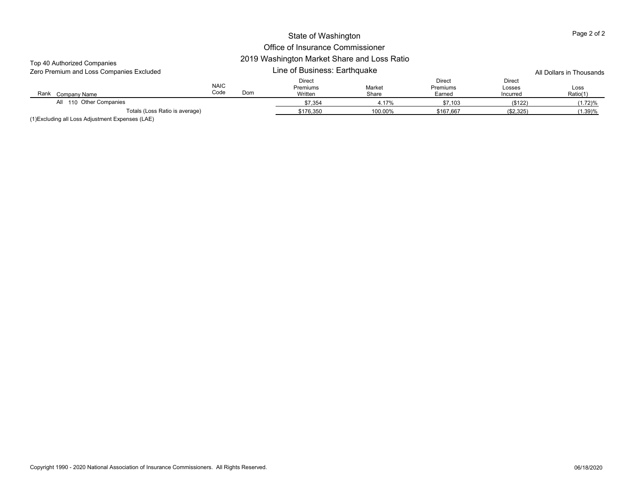#### Rank Company Name NAIC CodeDirect Premiums Written Market Share Direct Premiums Earned Direct Losses Incurred LossRatio(1) k Company Name Code Dom Written Share Earned Ratio(1) Line of Business: Earthquake Top 40 Authorized Companies Zero Premium and Loss Companies Excluded All Dollars in Thousands \$7,354 4.17% \$7,103 (\$122) (1.72)% Totals (Loss Ratio is average) \$176,350 100.00% \$167,667 (\$2,325) (1.39)% All 110 Other Companies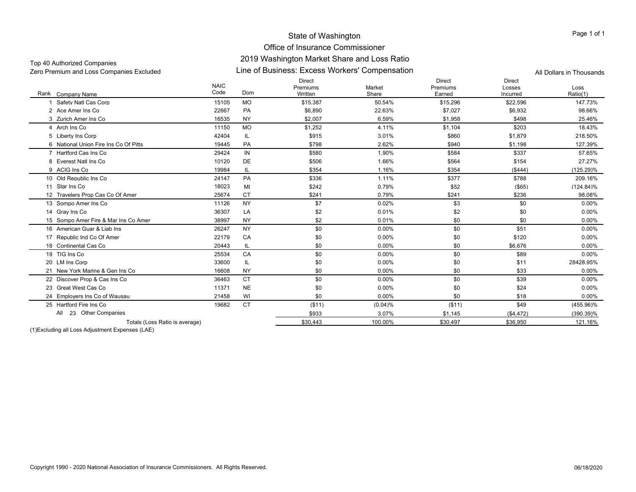| Top 40 Authorized Companies              | <u>ZU 19 WASHINGUN MANGE SHAIG ANG LOSS NAUO</u> |                          |
|------------------------------------------|--------------------------------------------------|--------------------------|
| Zero Premium and Loss Companies Excluded | Line of Business: Excess Workers' Compensation   | All Dollars in Thousands |

| Rank Company Name                     | <b>NAIC</b><br>Code | Dom       | <b>Direct</b><br>Premiums<br>Written | Market<br>Share | <b>Direct</b><br>Premiums<br>Earned | <b>Direct</b><br>Losses<br>Incurred | Loss<br>Ratio(1) |
|---------------------------------------|---------------------|-----------|--------------------------------------|-----------------|-------------------------------------|-------------------------------------|------------------|
| Safety Natl Cas Corp                  | 15105               | <b>MO</b> | \$15.387                             | 50.54%          | \$15,296                            | \$22,596                            | 147.73%          |
| 2 Ace Amer Ins Co.                    | 22667               | PA        | \$6,890                              | 22.63%          | \$7,027                             | \$6,932                             | 98.66%           |
| 3 Zurich Amer Ins Co                  | 16535               | <b>NY</b> | \$2,007                              | 6.59%           | \$1,958                             | \$498                               | 25.46%           |
| 4 Arch Ins Co                         | 11150               | <b>MO</b> | \$1,252                              | 4.11%           | \$1,104                             | \$203                               | 18.43%           |
| 5 Liberty Ins Corp                    | 42404               | IL        | \$915                                | 3.01%           | \$860                               | \$1,879                             | 218.50%          |
| 6 National Union Fire Ins Co Of Pitts | 19445               | PA        | \$798                                | 2.62%           | \$940                               | \$1,198                             | 127.39%          |
| 7 Hartford Cas Ins Co                 | 29424               | IN        | \$580                                | 1.90%           | \$584                               | \$337                               | 57.65%           |
| 8 Everest Natl Ins Co                 | 10120               | DE        | \$506                                | 1.66%           | \$564                               | \$154                               | 27.27%           |
| 9 ACIG Ins Co                         | 19984               | IL        | \$354                                | 1.16%           | \$354                               | ( \$444)                            | $(125.29)\%$     |
| 10 Old Republic Ins Co                | 24147               | PA        | \$336                                | 1.11%           | \$377                               | \$788                               | 209.16%          |
| 11 Star Ins Co                        | 18023               | MI        | \$242                                | 0.79%           | \$52                                | $($ \$65)                           | $(124.84)\%$     |
| 12 Travelers Prop Cas Co Of Amer      | 25674               | <b>CT</b> | \$241                                | 0.79%           | \$241                               | \$236                               | 98.08%           |
| 13 Sompo Amer Ins Co                  | 11126               | <b>NY</b> | \$7                                  | 0.02%           | \$3                                 | \$0                                 | $0.00\%$         |
| 14 Grav Ins Co                        | 36307               | LA        | \$2                                  | 0.01%           | \$2                                 | \$0                                 | 0.00%            |
| 15 Sompo Amer Fire & Mar Ins Co Amer  | 38997               | <b>NY</b> | \$2                                  | 0.01%           | \$0                                 | \$0                                 | 0.00%            |
| 16 American Guar & Liab Ins           | 26247               | <b>NY</b> | \$0                                  | 0.00%           | \$0                                 | \$51                                | 0.00%            |
| 17 Republic Ind Co Of Amer            | 22179               | CA        | \$0                                  | 0.00%           | \$0                                 | \$120                               | 0.00%            |
| 18 Continental Cas Co                 | 20443               | IL        | \$0                                  | 0.00%           | \$0                                 | \$6,676                             | $0.00\%$         |
| 19 TIG Ins Co                         | 25534               | CA        | \$0                                  | 0.00%           | \$0                                 | \$89                                | $0.00\%$         |
| 20 LM Ins Corp                        | 33600               | IL        | \$0                                  | 0.00%           | \$0                                 | \$11                                | 28428.95%        |
| 21 New York Marine & Gen Ins Co       | 16608               | <b>NY</b> | \$0                                  | 0.00%           | \$0                                 | \$33                                | 0.00%            |
| 22 Discover Prop & Cas Ins Co         | 36463               | <b>CT</b> | \$0                                  | 0.00%           | \$0                                 | \$39                                | $0.00\%$         |
| 23 Great West Cas Co                  | 11371               | <b>NE</b> | \$0                                  | 0.00%           | \$0                                 | \$24                                | 0.00%            |
| 24 Emplovers Ins Co of Wausau         | 21458               | WI        | \$0                                  | 0.00%           | \$0                                 | \$18                                | $0.00\%$         |
| 25 Hartford Fire Ins Co               | 19682               | <b>CT</b> | (\$11)                               | (0.04)%         | ( \$11)                             | \$49                                | $(455.96)\%$     |
| 23 Other Companies<br>All             |                     |           | \$933                                | 3.07%           | \$1.145                             | (\$4,472)                           | $(390.39)\%$     |
| Totals (Loss Ratio is average)        |                     |           | \$30.443                             | 100.00%         | \$30,497                            | \$36,950                            | 121.16%          |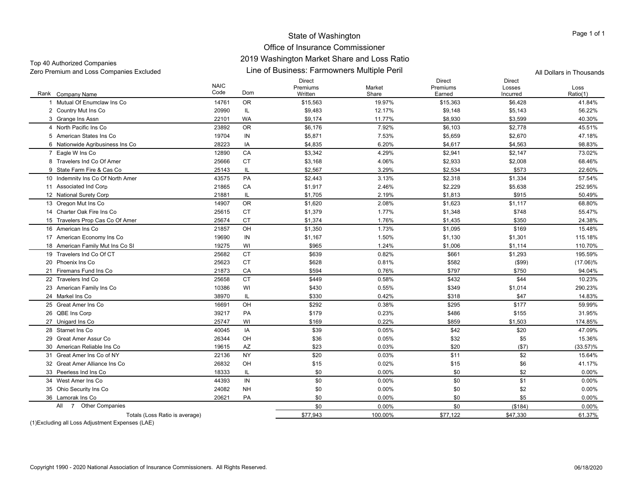#### Office of Insurance Commissioner 2019 Washington Market Share and Loss Ratio

Top 40 Authorized Companies

Line of Business: Farmowners Multiple Peril Zero Premium and Loss Companies Excluded All Dollars in Thousands

Rank Company Name NAIC CodeDirect Premiums WrittenMarket ShareDirect Premiums EarnedDirect Losses IncurredLossRatio(1) k Company Name Code Dom Written Share Earned Ratio(1) 1 Mutual Of Enumclaw Ins Co 14761 ORR \$15,563 19.97% \$15,363 \$6,428 41.84% 2 Country Mut Ins Co 2 Country Mut Ins Co 20990 IL \$9,483 12.17% \$9,148 \$5,143 56.22% 3 Grange Ins Assn 3 Grange Ins Assn 22101 WA \$9,174 11.77% \$8,930 \$3,599 40.30% 4 North Pacific Ins Co 23892 ORR \$6,176 7.92% \$6,103 \$2,778 45.51% 5 American States Ins Co 19704 IN \$5,871 7.53% \$5,659 \$2,670 47.18% 6 Nationwide Agribusiness Ins Co 28223 IA \$4,835 6.20% \$4,617 \$4,563 98.83% 7 Eagle W Ins Co 7 Eagle W Ins Co 12890 CA \$3,342 4.29% \$2,941 \$2,147 73.02% 8 Travelers Ind Co Of Amer 25666 CT ${\tt T}$  \$3,168  ${\tt 4.06\%}$  \$2,933 \$2,008  ${\tt 68.46\%}$ 9 State Farm Fire & Cas Co 25143 IL \$2,567 3.29% \$2,534 \$573 22.60% 10 Indemnity Ins Co Of North Amer 43575 PA \$2,443 3.13% \$2,318 \$1,334 57.54% 11 Associated Ind Corp 1 Associated Ind Corp 21865 CA \$1,917 2.46% \$2,229 \$5,638 252.95% 12 National Surety Corp 2 National Surety Corp 21881 IL \$1,705 2.19% \$1.813 \$915 50.49% 13 Oregon Mut Ins Co 3 Oregon Mut Ins Co 14907 OR \$1,620 2.08% \$1,623 \$1,117 68.80% 14 Charter Oak Fire Ins Co 25615 CT \$1,379 1.77% \$1,348 \$748 55.47% 15 Travelers Prop Cas Co Of Amer 25674 CT \$1,374 1.76% \$1,435 \$350 24.38% 16 American Ins Co 21857 OH \$1,350 1.73% \$1,095 \$169 15.48% 17 American Economy Ins Co 19690 IN \$1,167 1.50% \$1,130 \$1,301 115.18% 18 American Family Mut Ins Co SI 19275 WI \$965 1.24% \$1,006 \$1,114 110.70% 19 Travelers Ind Co Of CT 25682 CT \$639 0.82% $\%$   $\textcolor{red}{\textbf{3661}}$   $\textcolor{red}{\textbf{51.293}}$   $\textcolor{red}{\textbf{51.293}}$   $\textcolor{red}{\textbf{195.59\%}}$ 20 Phoenix Ins Co 25623 CT \$628 0.81% \$582 (\$99) (17.06)% 21 Firemans Fund Ins Co 21873 CAA 3594 0.76%  $\%$  6797 \$790 \$750 \$750 94.04% 22 Travelers Ind Co 25658 CTCT \$449 0.58%  $\%$  6  $\frac{10.23\%}{10.23\%}$  5432  $\frac{10.23\%}{10.23\%}$ 23 American Family Ins Co 3 American Family Ins Co 10386 WI \$430 \$349 \$1,014 290.23% 24 Markel Ins Co 38970 IL \$330 0.42%  $\%$  5318  $\frac{14.83\%}{14.83\%}$ 25 Great Amer Ins Co 16691 OHOH \$292 0.38% % \$295 \$177 59.99% 26 OBE Ins Corp QBE Ins Corp 39217 PA \$179 0.23% \$486 \$155 31.95% 27 Unigard Ins Co. 7 Unigard Ins Co 25747 WI \$169 0.22% \$859 \$1,503 174.85% 28 Starnet Ins Co 40045 IAA 339 0.05%  $\%$  6  $\frac{1}{2}$   $\frac{1}{2}$   $\frac{1}{2}$   $\frac{1}{2}$   $\frac{1}{2}$   $\frac{1}{2}$   $\frac{1}{2}$   $\frac{1}{2}$   $\frac{1}{2}$   $\frac{1}{2}$   $\frac{1}{2}$   $\frac{1}{2}$   $\frac{1}{2}$   $\frac{1}{2}$   $\frac{1}{2}$   $\frac{1}{2}$   $\frac{1}{2}$   $\frac{1}{2}$   $\frac{1}{2}$   $\frac{1}{2}$   $\frac{1}{2}$   $\frac{$ 29 Great Amer Assur Co 26344 OH \$36 0.05% \$32 \$5 15.36% 30 American Reliable Ins Co 19615 AZAZ \$23 0.03% % 520 \$20 (\$7) (33.57)% 31 Great Amer Ins Co of NY 22136 NYY \$20 0.03%  $\%$  511  $\text{S2}$  52 15.64% 32 Great Amer Alliance Ins Co 26832 OH \$15 0.02% $\%$  515 \$6 41.17% 33 Peerless Ind Ins Co 18333 IL \$0 0.00%  $\%$  60  $\text{ }$  50  $\text{ }$  52  $\text{ }$  0.00% 34 West Amer Ins Co 44393 INN \$0 0.00%  $\%$  60  $\text{ }$  50  $\text{ }$  51  $\text{ }$  0.00% 35 Ohio Security Ins Co. Ohio Security Ins Co 24082 NH \$0 0.00% \$0 \$2 0.00% 36 Lamorak Ins Co 20621 PAPA \$0 0.00%  $\%$  60  $\text{ }$  50  $\text{ }$  55  $\text{ }$  0.00%  $\texttt{60} \qquad \qquad \texttt{0.00\%} \qquad \qquad \texttt{60} \qquad \qquad \texttt{($184)} \qquad \qquad \texttt{0.00\%}$ Totals (Loss Ratio is average) 61.37% \$77,943 577,943 100.00% \$77,122 \$47,330 \$47,330 61.37% All7 Other Companies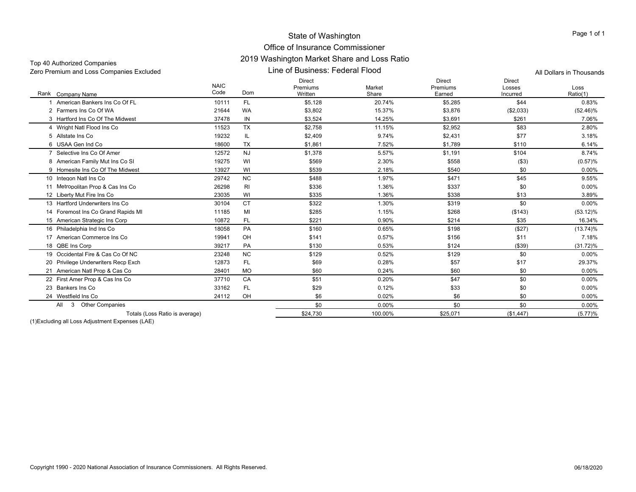## Office of Insurance Commissioner 2019 Washington Market Share and Loss Ratio

| Zero Premium and Loss Companies Excluded      |                     |                | All Dollars in Thousands             |                 |                                     |                              |                  |
|-----------------------------------------------|---------------------|----------------|--------------------------------------|-----------------|-------------------------------------|------------------------------|------------------|
| Rank Company Name                             | <b>NAIC</b><br>Code | Dom            | <b>Direct</b><br>Premiums<br>Written | Market<br>Share | <b>Direct</b><br>Premiums<br>Earned | Direct<br>Losses<br>Incurred | Loss<br>Ratio(1) |
| American Bankers Ins Co Of FL                 | 10111               | FL.            | \$5,128                              | 20.74%          | \$5,285                             | \$44                         | 0.83%            |
| 2 Farmers Ins Co Of WA                        | 21644               | WA             | \$3,802                              | 15.37%          | \$3,876                             | (\$2,033)                    | $(52.46)\%$      |
| 3 Hartford Ins Co Of The Midwest              | 37478               | IN             | \$3,524                              | 14.25%          | \$3,691                             | \$261                        | 7.06%            |
| 4 Wright Natl Flood Ins Co                    | 11523               | <b>TX</b>      | \$2,758                              | 11.15%          | \$2,952                             | \$83                         | 2.80%            |
| 5 Allstate Ins Co                             | 19232               | IL             | \$2,409                              | 9.74%           | \$2,431                             | \$77                         | 3.18%            |
| 6 USAA Gen Ind Co                             | 18600               | <b>TX</b>      | \$1,861                              | 7.52%           | \$1,789                             | \$110                        | 6.14%            |
| 7 Selective Ins Co Of Amer                    | 12572               | <b>NJ</b>      | \$1,378                              | 5.57%           | \$1.191                             | \$104                        | 8.74%            |
| 8 American Family Mut Ins Co SI               | 19275               | WI             | \$569                                | 2.30%           | \$558                               | ( \$3)                       | (0.57)%          |
| 9 Homesite Ins Co Of The Midwest              | 13927               | WI             | \$539                                | 2.18%           | \$540                               | \$0                          | 0.00%            |
| 10 Integon Natl Ins Co                        | 29742               | <b>NC</b>      | \$488                                | 1.97%           | \$471                               | \$45                         | 9.55%            |
| 11 Metropolitan Prop & Cas Ins Co             | 26298               | R <sub>l</sub> | \$336                                | 1.36%           | \$337                               | \$0                          | $0.00\%$         |
| 12 Liberty Mut Fire Ins Co                    | 23035               | WI             | \$335                                | 1.36%           | \$338                               | \$13                         | 3.89%            |
| 13 Hartford Underwriters Ins Co.              | 30104               | <b>CT</b>      | \$322                                | 1.30%           | \$319                               | \$0                          | $0.00\%$         |
| 14 Foremost Ins Co Grand Rapids MI            | 11185               | MI             | \$285                                | 1.15%           | \$268                               | (\$143)                      | $(53.12)\%$      |
| 15 American Strategic Ins Corp                | 10872               | FL.            | \$221                                | 0.90%           | \$214                               | \$35                         | 16.34%           |
| 16 Philadelphia Ind Ins Co.                   | 18058               | PA             | \$160                                | 0.65%           | \$198                               | (\$27)                       | $(13.74)\%$      |
| 17 American Commerce Ins Co                   | 19941               | OH             | \$141                                | 0.57%           | \$156                               | \$11                         | 7.18%            |
| 18 QBE Ins Corp                               | 39217               | PA             | \$130                                | 0.53%           | \$124                               | ( \$39)                      | $(31.72)\%$      |
| 19 Occidental Fire & Cas Co Of NC             | 23248               | <b>NC</b>      | \$129                                | 0.52%           | \$129                               | \$0                          | 0.00%            |
| 20 Privilege Underwriters Recp Exch           | 12873               | FL             | \$69                                 | 0.28%           | \$57                                | \$17                         | 29.37%           |
| 21 American Natl Prop & Cas Co                | 28401               | <b>MO</b>      | \$60                                 | 0.24%           | \$60                                | \$0                          | 0.00%            |
| 22 First Amer Prop & Cas Ins Co               | 37710               | CA             | \$51                                 | 0.20%           | \$47                                | \$0                          | $0.00\%$         |
| 23 Bankers Ins Co                             | 33162               | FL.            | \$29                                 | 0.12%           | \$33                                | \$0                          | $0.00\%$         |
| 24 Westfield Ins Co                           | 24112               | OH             | \$6                                  | 0.02%           | \$6                                 | \$0                          | 0.00%            |
| <b>Other Companies</b><br>All<br>$\mathbf{3}$ |                     |                | \$0                                  | 0.00%           | \$0                                 | \$0                          | $0.00\%$         |
| Totals (Loss Ratio is average)                |                     |                | \$24.730                             | 100.00%         | \$25.071                            | (\$1,447)                    | (5.77)%          |

(1)Excluding all Loss Adjustment Expenses (LAE)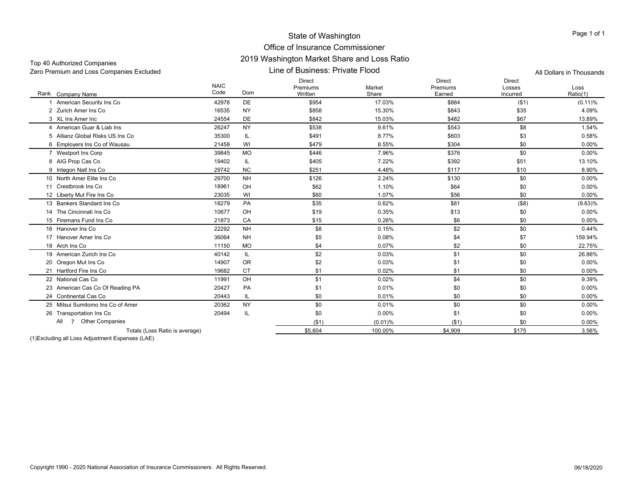#### Office of Insurance Commissioner 2019 Washington Market Share and Loss Ratio

Zero Premium and Loss Companies Excluded All Dollars in Thousands

Top 40 Authorized Companies

Line of Business: Private Flood

Rank Company Name NAIC CodeDirect Premiums**Written** Market ShareDirect Premiums EarnedDirect Losses IncurredLossRatio(1) k Company Name Code Dom Written Share Earned Ratio(1) 1 American Security Ins Co 42978 DE \$954 17.03% \$884 (\$1) (0.11)% 2 Zurich Amer Ins Co 16535 NYNY \$858 15.30%  $\%$  6  $\frac{1}{36}$   $\frac{1}{36}$   $\frac{1}{36}$   $\frac{1}{36}$   $\frac{1}{36}$   $\frac{1}{36}$   $\frac{1}{36}$   $\frac{1}{36}$   $\frac{1}{36}$   $\frac{1}{36}$   $\frac{1}{36}$   $\frac{1}{36}$   $\frac{1}{36}$   $\frac{1}{36}$   $\frac{1}{36}$   $\frac{1}{36}$   $\frac{1}{36}$   $\frac{1}{36}$   $\frac{1}{36}$   $\frac{1$ 3 XL Ins Amer Inc 24554 DEDE \$842 15.03%  $\%$  67  $\%$  5482  $\%$  567  $\%$  13.89% 4 American Guar & Liab Ins 26247 NYNY \$538 9.61%  $\%$  5543 \$543 \$8 58 \$8 1.54% 5 Allianz Global Risks US Ins Co 35300 IL \$491 8.77% $\%$  603 \$603 \$3 0.58% 6 Employers Ins Co of Wausau 21458 WI \$479 \$504 0.00% 7 Westport Ins Corp 7 Westport Ins Corp 39845 MO \$446 7.96% \$376 0.00% 8 AIG Prop Cas Co 8 AIG Prop Cas Co 19402 IL \$405 7.22% \$392 \$51 13.10% 9 Integon Natl Ins Co 9 Integon Natl Ins Co 29742 NC \$251 4.48% \$117 \$10 8.90% 10 North Amer Elite Ins Co 29700 NHNH \$126 2.24%  $\%$  60 0.00%  $\%$  5130 50  $\%$ 11 Crestbrook Ins Co 18961 OH \$62 1.10% $\%$  664  $\%$  50 0.00% 12 Liberty Mut Fire Ins Co. Liberty Mut Fire Ins Co 23035 WI \$60 1.07% \$56 \$0 0.00% 13 Bankers Standard Ins Co 18279 PAPA \$35 0.62% % 581 (\$8) (\$8) (9.63)% 14 The Cincinnati Ins Co 10677 OH \$19 0.35% $\%$  60 0.00%  $\frac{1}{3}$  513 50 0.00% 15 Firemans Fund Ins Co 21873 CACA \$15 0.26%  $\%$  6  $\%$  56  $\%$  50  $\%$  0.00% 16 Hanover Ins Co 22292 NHNH \$8 0.15%  $\frac{1}{2}$   $\frac{1}{2}$   $\frac{1}{2}$   $\frac{1}{2}$   $\frac{1}{2}$   $\frac{1}{2}$   $\frac{1}{2}$   $\frac{1}{2}$   $\frac{1}{2}$   $\frac{1}{2}$   $\frac{1}{2}$   $\frac{1}{2}$   $\frac{1}{2}$   $\frac{1}{2}$   $\frac{1}{2}$   $\frac{1}{2}$   $\frac{1}{2}$   $\frac{1}{2}$   $\frac{1}{2}$   $\frac{1}{2}$   $\frac{1}{2}$   $\frac{1}{2}$  17 Hanover Amer Ins Co 36064 NHNH \$5 0.08%  $\%$  6  $\frac{159.94}{159.94\%}$  54  $\frac{159.94\%}{159.94\%}$ 18 Arch Ins Co 11150 MOMO \$4 0.07%  $\%$   $\frac{1}{2}$   $\frac{1}{2}$   $\frac{1}{2}$   $\frac{1}{2}$   $\frac{1}{2}$   $\frac{1}{2}$   $\frac{1}{2}$   $\frac{1}{2}$   $\frac{1}{2}$   $\frac{1}{2}$   $\frac{1}{2}$   $\frac{1}{2}$   $\frac{1}{2}$   $\frac{1}{2}$   $\frac{1}{2}$   $\frac{1}{2}$   $\frac{1}{2}$   $\frac{1}{2}$   $\frac{1}{2}$   $\frac{1}{2}$   $\frac{1}{2}$   $\frac{1}{$ 19 American Zurich Ins Co 40142 IL \$2 0.03%  $\%$  60 26.86%  $\%$ 20 Oregon Mut Ins Co 0 Oregon Mut Ins Co 14907 OR \$2 0.03% \$1 \$0 0.00% 21 Hartford Fire Ins Co 19682 CT $T$  0.02%  $\%$  60 0.00% 22 National Cas Co 11991 OHOH \$1 0.02%  $\%$  6 9.39%  $\frac{1}{30}$   $\frac{1}{30}$   $\frac{1}{30}$   $\frac{1}{30}$  9.39% 23 American Cas Co Of Reading PA 20427 PA \$1 0.01% \$0 \$0 0.00% 24 Continental Cas Co 20443 IL \$0 0.01%  $\%$  60  $\%$  60  $\%$  60  $\%$  60  $\%$  60  $\%$  60  $\%$  60  $\%$  60  $\%$  60  $\%$  60  $\%$  60  $\%$  60  $\%$  60  $\%$  60  $\%$  60  $\%$  60  $\%$  60  $\%$  60  $\%$  60  $\%$  60  $\%$  60  $\%$  60  $\%$  60  $\%$  60  $\%$  60  $\%$  60  $\%$  60  $\%$  25 Mitsui Sumitomo Ins Co of Amer 20362 NYNY \$0 0.01%  $\%$  60  $\%$  60  $\%$  60  $\%$  60  $\%$  60  $\%$  60  $\%$  60  $\%$  60  $\%$  60  $\%$  60  $\%$  60  $\%$  60  $\%$  60  $\%$  60  $\%$  60  $\%$  60  $\%$  60  $\%$  60  $\%$  60  $\%$  60  $\%$  60  $\%$  60  $\%$  60  $\%$  60  $\%$  60  $\%$  60  $\%$  60  $\%$  26 Transportation Ins Co. Transportation Ins Co 20494 IL \$0 0.00% \$1 \$0 0.00%  $(\$1)$  (0.01)% (\$1) \$0 0.00% Totals (Loss Ratio is average)  $$5,604$   $$100.00\%$   $$4,909$   $$175$   $$175$   $$3.56\%$ All 7 Other Companies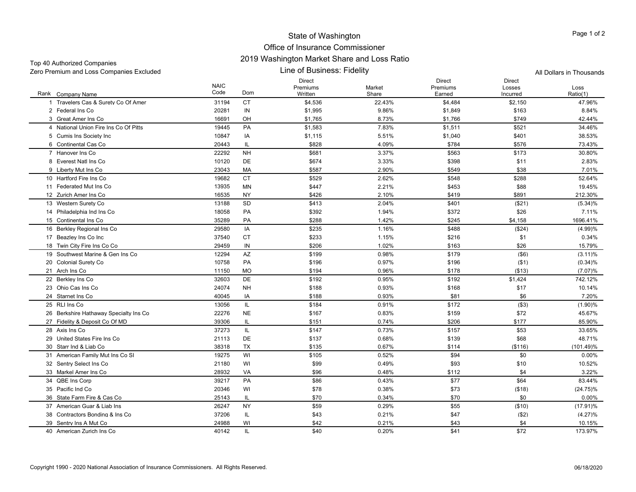| Top 40 Authorized Companies              | <u>ZUT9 WASHINGUH MAINEL SHAITE AND LOSS NAUD</u> |                          |
|------------------------------------------|---------------------------------------------------|--------------------------|
| Zero Premium and Loss Companies Excluded | '.ine of Business: Fidelity_                      | All Dollars in Thousands |

| Rank Company Name                      | <b>NAIC</b><br>Code | Dom       | <b>Direct</b><br>Premiums<br>Written | Market<br>Share | <b>Direct</b><br>Premiums<br>Earned | <b>Direct</b><br>Losses<br>Incurred | Loss<br>Ratio(1) |
|----------------------------------------|---------------------|-----------|--------------------------------------|-----------------|-------------------------------------|-------------------------------------|------------------|
| 1 Travelers Cas & Surety Co Of Amer    | 31194               | <b>CT</b> | \$4,536                              | 22.43%          | \$4,484                             | \$2,150                             | 47.96%           |
| 2 Federal Ins Co                       | 20281               | IN        | \$1,995                              | 9.86%           | \$1,849                             | \$163                               | 8.84%            |
| 3 Great Amer Ins Co                    | 16691               | OH        | \$1,765                              | 8.73%           | \$1,766                             | \$749                               | 42.44%           |
| 4 National Union Fire Ins Co Of Pitts  | 19445               | PA        | \$1,583                              | 7.83%           | \$1,511                             | \$521                               | 34.46%           |
| 5 Cumis Ins Society Inc                | 10847               | IA        | \$1,115                              | 5.51%           | \$1,040                             | \$401                               | 38.53%           |
| 6 Continental Cas Co                   | 20443               | IL        | \$828                                | 4.09%           | \$784                               | \$576                               | 73.43%           |
| 7 Hanover Ins Co                       | 22292               | <b>NH</b> | \$681                                | 3.37%           | \$563                               | \$173                               | 30.80%           |
| 8 Everest Natl Ins Co                  | 10120               | <b>DE</b> | \$674                                | 3.33%           | \$398                               | \$11                                | 2.83%            |
| 9 Liberty Mut Ins Co                   | 23043               | MA        | \$587                                | 2.90%           | \$549                               | \$38                                | 7.01%            |
| 10 Hartford Fire Ins Co                | 19682               | <b>CT</b> | \$529                                | 2.62%           | \$548                               | \$288                               | 52.64%           |
| 11 Federated Mut Ins Co                | 13935               | <b>MN</b> | \$447                                | 2.21%           | \$453                               | \$88                                | 19.45%           |
| 12 Zurich Amer Ins Co                  | 16535               | <b>NY</b> | \$426                                | 2.10%           | \$419                               | \$891                               | 212.30%          |
| 13 Western Surety Co                   | 13188               | SD        | \$413                                | 2.04%           | \$401                               | (\$21)                              | $(5.34)\%$       |
| 14 Philadelphia Ind Ins Co             | 18058               | PA        | \$392                                | 1.94%           | \$372                               | \$26                                | 7.11%            |
| 15 Continental Ins Co                  | 35289               | PA        | \$288                                | 1.42%           | \$245                               | \$4,158                             | 1696.41%         |
| 16 Berkley Regional Ins Co             | 29580               | IA        | \$235                                | 1.16%           | \$488                               | (\$24)                              | (4.99)%          |
| 17 Beazlev Ins Co Inc                  | 37540               | <b>CT</b> | \$233                                | 1.15%           | \$216                               | \$1                                 | 0.34%            |
| 18 Twin City Fire Ins Co Co            | 29459               | IN        | \$206                                | 1.02%           | \$163                               | \$26                                | 15.79%           |
| 19 Southwest Marine & Gen Ins Co       | 12294               | AZ        | \$199                                | 0.98%           | \$179                               | $($ \$6)                            | $(3.11)\%$       |
| 20 Colonial Surety Co                  | 10758               | PA        | \$196                                | 0.97%           | \$196                               | (\$1)                               | (0.34)%          |
| 21 Arch Ins Co                         | 11150               | <b>MO</b> | \$194                                | 0.96%           | \$178                               | ( \$13)                             | (7.07)%          |
| 22 Berklev Ins Co                      | 32603               | DE        | \$192                                | 0.95%           | \$192                               | \$1,424                             | 742.12%          |
| 23 Ohio Cas Ins Co                     | 24074               | <b>NH</b> | \$188                                | 0.93%           | \$168                               | \$17                                | 10.14%           |
| 24 Starnet Ins Co                      | 40045               | IA        | \$188                                | 0.93%           | \$81                                | \$6                                 | 7.20%            |
| 25 RLI Ins Co                          | 13056               | IL        | \$184                                | 0.91%           | \$172                               | ( \$3)                              | (1.90)%          |
| 26 Berkshire Hathaway Specialty Ins Co | 22276               | <b>NE</b> | \$167                                | 0.83%           | \$159                               | \$72                                | 45.67%           |
| 27 Fidelity & Deposit Co Of MD         | 39306               | IL        | \$151                                | 0.74%           | \$206                               | \$177                               | 85.90%           |
| 28 Axis Ins Co                         | 37273               | IL        | \$147                                | 0.73%           | \$157                               | \$53                                | 33.65%           |
| 29 United States Fire Ins Co           | 21113               | DE        | \$137                                | 0.68%           | \$139                               | \$68                                | 48.71%           |
| 30 Starr Ind & Liab Co                 | 38318               | TX        | \$135                                | 0.67%           | \$114                               | ( \$116)                            | $(101.49)\%$     |
| 31 American Family Mut Ins Co SI       | 19275               | WI        | \$105                                | 0.52%           | \$94                                | \$0                                 | 0.00%            |
| 32 Sentry Select Ins Co                | 21180               | WI        | \$99                                 | 0.49%           | \$93                                | \$10                                | 10.52%           |
| 33 Markel Amer Ins Co                  | 28932               | VA        | \$96                                 | 0.48%           | \$112                               | \$4                                 | 3.22%            |
| 34 QBE Ins Corp                        | 39217               | <b>PA</b> | \$86                                 | 0.43%           | \$77                                | \$64                                | 83.44%           |
| 35 Pacific Ind Co                      | 20346               | WI        | \$78                                 | 0.38%           | \$73                                | ( \$18)                             | $(24.75)\%$      |
| 36 State Farm Fire & Cas Co            | 25143               | IL        | \$70                                 | 0.34%           | \$70                                | \$0                                 | 0.00%            |
| 37 American Guar & Liab Ins            | 26247               | <b>NY</b> | \$59                                 | 0.29%           | \$55                                | (\$10)                              | $(17.91)\%$      |
| 38 Contractors Bonding & Ins Co.       | 37206               | IL        | \$43                                 | 0.21%           | \$47                                | ( \$2)                              | (4.27)%          |
| 39 Sentry Ins A Mut Co                 | 24988               | WI        | \$42                                 | 0.21%           | \$43                                | \$4                                 | 10.15%           |
| 40 American Zurich Ins Co              | 40142               | IL        | \$40                                 | 0.20%           | \$41                                | \$72                                | 173.97%          |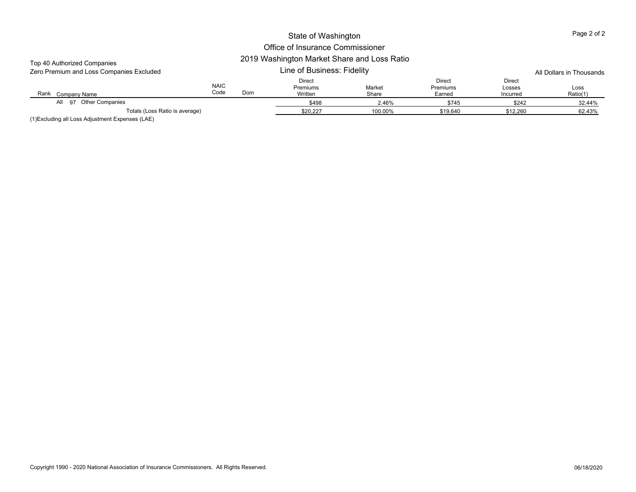| Top 40 Authorized Companies<br>Zero Premium and Loss Companies Excluded |                     | 2019 Washington Market Share and Loss Ratio |                               | All Dollars in Thousands |                              |                              |                  |
|-------------------------------------------------------------------------|---------------------|---------------------------------------------|-------------------------------|--------------------------|------------------------------|------------------------------|------------------|
| Rank<br>Company Name                                                    | <b>NAIC</b><br>Code | Dom                                         | Direct<br>Premiums<br>Written | Market<br>Share          | Direct<br>Premiums<br>Earned | Direct<br>Losses<br>Incurred | Loss<br>Ratio(1) |
| Other Companies<br>AII 97                                               |                     |                                             | \$498                         | 2.46%                    | \$745                        | \$242                        | 32.44%           |
| Totals (Loss Ratio is average)                                          |                     |                                             | \$20,227                      | 100.00%                  | \$19,640                     | \$12,260                     | 62.43%           |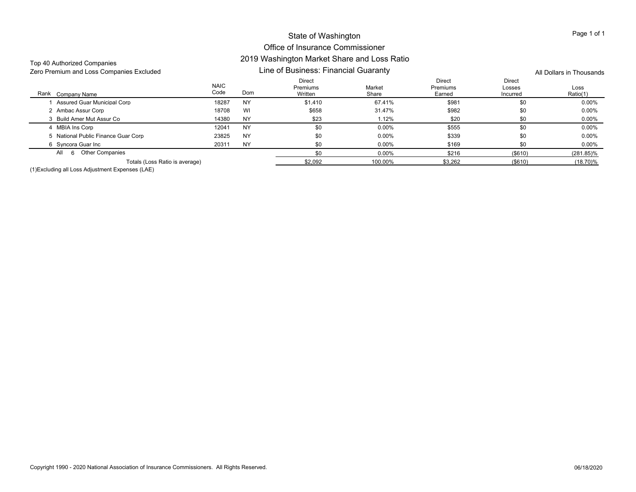## Office of Insurance Commissioner 2019 Washington Market Share and Loss Ratio

| Top 40 Authorized Companies |                                          |                     | 2019 WASHINGUH MAINEL SHALE AND LOSS NATIO |                                      |                 |                              |                              |                  |  |
|-----------------------------|------------------------------------------|---------------------|--------------------------------------------|--------------------------------------|-----------------|------------------------------|------------------------------|------------------|--|
|                             | Zero Premium and Loss Companies Excluded |                     |                                            | Line of Business: Financial Guaranty |                 |                              | All Dollars in Thousands     |                  |  |
| Rank Company Name           |                                          | <b>NAIC</b><br>Code | Dom                                        | Direct<br>Premiums<br>Written        | Market<br>Share | Direct<br>Premiums<br>Earned | Direct<br>Losses<br>Incurred | Loss<br>Ratio(1) |  |
|                             | Assured Guar Municipal Corp              | 18287               | <b>NY</b>                                  | \$1.410                              | 67.41%          | \$981                        | \$0                          | 0.00%            |  |
| 2 Ambac Assur Corp          |                                          | 18708               | WI                                         | \$658                                | 31.47%          | \$982                        | \$0                          | $0.00\%$         |  |
|                             | 3 Build Amer Mut Assur Co                | 14380               | <b>NY</b>                                  | \$23                                 | 1.12%           | \$20                         | \$0                          | $0.00\%$         |  |
| 4 MBIA Ins Corp             |                                          | 12041               | <b>NY</b>                                  | \$0                                  | $0.00\%$        | \$555                        | \$0                          | $0.00\%$         |  |
|                             | 5 National Public Finance Guar Corp      | 23825               | <b>NY</b>                                  | \$0                                  | $0.00\%$        | \$339                        | \$0                          | 0.00%            |  |
| 6 Syncora Guar Inc          |                                          | 20311               | <b>NY</b>                                  | \$0                                  | $0.00\%$        | \$169                        | \$0                          | $0.00\%$         |  |
| All<br>6                    | <b>Other Companies</b>                   |                     |                                            | \$0                                  | $0.00\%$        | \$216                        | ( \$610)                     | $(281.85)\%$     |  |
|                             | Totals (Loss Ratio is average)           |                     |                                            | \$2.092                              | 100.00%         | \$3,262                      | $($ \$610)                   | $(18.70)\%$      |  |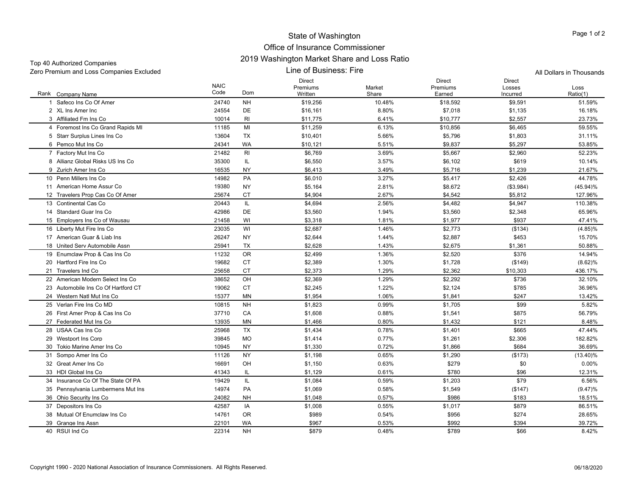| Zero Premium and Loss Companies Excluded |  |
|------------------------------------------|--|

Top 40 Authorized Companies

Line of Business: Fire npanies Excluded Line of Business: Fire All Dollars in Thousands

|                                     | <b>NAIC</b> |           | <b>Direct</b><br>Premiums | Market | <b>Direct</b><br>Premiums | <b>Direct</b><br>Losses | Loss        |
|-------------------------------------|-------------|-----------|---------------------------|--------|---------------------------|-------------------------|-------------|
| Rank Company Name                   | Code        | Dom       | Written                   | Share  | Earned                    | Incurred                | Ratio(1)    |
| Safeco Ins Co Of Amer               | 24740       | <b>NH</b> | \$19,256                  | 10.48% | \$18,592                  | \$9,591                 | 51.59%      |
| 2 XL Ins Amer Inc                   | 24554       | <b>DE</b> | \$16,161                  | 8.80%  | \$7,018                   | \$1,135                 | 16.18%      |
| 3 Affiliated Fm Ins Co              | 10014       | <b>RI</b> | \$11,775                  | 6.41%  | \$10,777                  | \$2,557                 | 23.73%      |
| 4 Foremost Ins Co Grand Rapids MI   | 11185       | MI        | \$11,259                  | 6.13%  | \$10,856                  | \$6,465                 | 59.55%      |
| 5 Starr Surplus Lines Ins Co        | 13604       | <b>TX</b> | \$10,401                  | 5.66%  | \$5,796                   | \$1,803                 | 31.11%      |
| 6 Pemco Mut Ins Co                  | 24341       | <b>WA</b> | \$10,121                  | 5.51%  | \$9,837                   | \$5,297                 | 53.85%      |
| 7 Factory Mut Ins Co                | 21482       | RI        | \$6,769                   | 3.69%  | \$5,667                   | \$2,960                 | 52.23%      |
| 8 Allianz Global Risks US Ins Co    | 35300       | IL        | \$6,550                   | 3.57%  | \$6,102                   | \$619                   | 10.14%      |
| 9 Zurich Amer Ins Co                | 16535       | <b>NY</b> | \$6,413                   | 3.49%  | \$5,716                   | \$1,239                 | 21.67%      |
| 10 Penn Millers Ins Co.             | 14982       | PA        | \$6,010                   | 3.27%  | \$5,417                   | \$2,426                 | 44.78%      |
| 11 American Home Assur Co           | 19380       | <b>NY</b> | \$5,164                   | 2.81%  | \$8,672                   | ( \$3,984)              | $(45.94)\%$ |
| 12 Travelers Prop Cas Co Of Amer    | 25674       | <b>CT</b> | \$4,904                   | 2.67%  | \$4.542                   | \$5,812                 | 127.96%     |
| 13 Continental Cas Co               | 20443       | IL        | \$4,694                   | 2.56%  | \$4,482                   | \$4,947                 | 110.38%     |
| 14 Standard Guar Ins Co             | 42986       | DE        | \$3,560                   | 1.94%  | \$3,560                   | \$2,348                 | 65.96%      |
| 15 Employers Ins Co of Wausau       | 21458       | WI        | \$3,318                   | 1.81%  | \$1,977                   | \$937                   | 47.41%      |
| 16 Liberty Mut Fire Ins Co          | 23035       | WI        | \$2.687                   | 1.46%  | \$2,773                   | (\$134)                 | $(4.85)\%$  |
| 17 American Guar & Liab Ins         | 26247       | <b>NY</b> | \$2,644                   | 1.44%  | \$2,887                   | \$453                   | 15.70%      |
| 18 United Serv Automobile Assn      | 25941       | <b>TX</b> | \$2,628                   | 1.43%  | \$2,675                   | \$1,361                 | 50.88%      |
| 19 Enumclaw Prop & Cas Ins Co       | 11232       | <b>OR</b> | \$2,499                   | 1.36%  | \$2,520                   | \$376                   | 14.94%      |
| 20 Hartford Fire Ins Co             | 19682       | <b>CT</b> | \$2,389                   | 1.30%  | \$1,728                   | (\$149)                 | (8.62)%     |
| 21 Travelers Ind Co                 | 25658       | <b>CT</b> | \$2,373                   | 1.29%  | \$2,362                   | \$10,303                | 436.17%     |
| 22 American Modern Select Ins Co    | 38652       | OH        | \$2,369                   | 1.29%  | \$2,292                   | \$736                   | 32.10%      |
| 23 Automobile Ins Co Of Hartford CT | 19062       | <b>CT</b> | \$2,245                   | 1.22%  | \$2,124                   | \$785                   | 36.96%      |
| 24 Western Natl Mut Ins Co          | 15377       | MN        | \$1,954                   | 1.06%  | \$1,841                   | \$247                   | 13.42%      |
| 25 Verlan Fire Ins Co MD            | 10815       | <b>NH</b> | \$1,823                   | 0.99%  | \$1,705                   | \$99                    | 5.82%       |
| 26 First Amer Prop & Cas Ins Co     | 37710       | CA        | \$1,608                   | 0.88%  | \$1,541                   | \$875                   | 56.79%      |
| 27 Federated Mut Ins Co             | 13935       | MN        | \$1,466                   | 0.80%  | \$1,432                   | \$121                   | 8.48%       |
| 28 USAA Cas Ins Co                  | 25968       | <b>TX</b> | \$1,434                   | 0.78%  | \$1,401                   | \$665                   | 47.44%      |
| 29 Westport Ins Corp                | 39845       | MO        | \$1,414                   | 0.77%  | \$1,261                   | \$2,306                 | 182.82%     |
| 30 Tokio Marine Amer Ins Co         | 10945       | <b>NY</b> | \$1,330                   | 0.72%  | \$1,866                   | \$684                   | 36.69%      |
| 31 Sompo Amer Ins Co                | 11126       | <b>NY</b> | \$1,198                   | 0.65%  | \$1,290                   | (\$173)                 | $(13.40)\%$ |
| 32 Great Amer Ins Co                | 16691       | OH        | \$1,150                   | 0.63%  | \$279                     | \$0                     | 0.00%       |
| 33 HDI Global Ins Co                | 41343       | IL        | \$1,129                   | 0.61%  | \$780                     | \$96                    | 12.31%      |
| 34 Insurance Co Of The State Of PA  | 19429       | IL        | \$1,084                   | 0.59%  | \$1,203                   | \$79                    | 6.56%       |
| 35 Pennsylvania Lumbermens Mut Ins  | 14974       | PA        | \$1,069                   | 0.58%  | \$1,549                   | (\$147)                 | (9.47)%     |
| 36 Ohio Security Ins Co             | 24082       | <b>NH</b> | \$1,048                   | 0.57%  | \$986                     | \$183                   | 18.51%      |
| 37 Depositors Ins Co                | 42587       | IA        | \$1,008                   | 0.55%  | \$1,017                   | \$879                   | 86.51%      |
| 38 Mutual Of Enumclaw Ins Co.       | 14761       | <b>OR</b> | \$989                     | 0.54%  | \$956                     | \$274                   | 28.65%      |
| 39 Grange Ins Assn                  | 22101       | WA        | \$967                     | 0.53%  | \$992                     | \$394                   | 39.72%      |
| 40 RSUI Ind Co                      | 22314       | <b>NH</b> | \$879                     | 0.48%  | \$789                     | \$66                    | 8.42%       |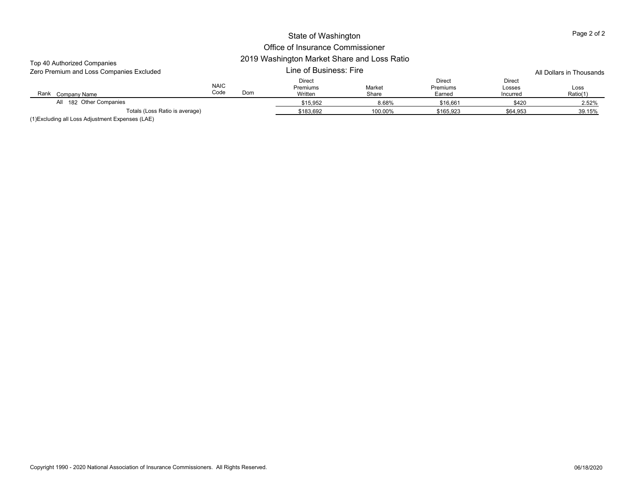| Top 40 Authorized Companies<br>Zero Premium and Loss Companies Excluded |                     | 2019 Washington Market Share and Loss Ratio |                                             | All Dollars in Thousands |                                     |                                     |                  |
|-------------------------------------------------------------------------|---------------------|---------------------------------------------|---------------------------------------------|--------------------------|-------------------------------------|-------------------------------------|------------------|
| Rank<br>Company Name                                                    | <b>NAIC</b><br>Code | Dom                                         | <b>Direct</b><br><b>Premiums</b><br>Written | Market<br>Share          | <b>Direct</b><br>Premiums<br>Earned | <b>Direct</b><br>Losses<br>Incurred | Loss<br>Ratio(1) |
| All 182 Other Companies                                                 |                     |                                             | \$15,952                                    | 8.68%                    | \$16,661                            | \$420                               | 2.52%            |
| Totals (Loss Ratio is average)                                          | \$183,692           | 100.00%                                     | \$165,923                                   | \$64,953                 | 39.15%                              |                                     |                  |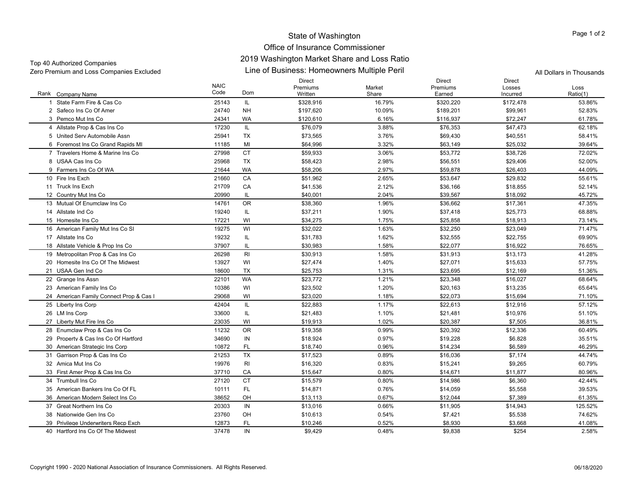#### Office of Insurance Commissioner 2019 Washington Market Share and Loss Ratio

| Top 40 Authorized Companies              |
|------------------------------------------|
| Zero Premium and Loss Companies Excluded |

Line of Business: Homeowners Multiple Peril Zero Premium and Loss Companies Excluded All Dollars in Thousands

Rank Company Name NAIC CodeDirect Premiums**Written** Market ShareDirect Premiums EarnedDirect Losses IncurredLossRatio(1) k Company Name Code Dom Written Share Earned Ratio(1) 1 State Farm Fire & Cas Co. 1 State Farm Fire & Cas Co 25143 IL \$328,916 16.79% \$320,220 \$172,478 53.86% 2 Safeco Ins Co Of Amer 24740 NH \$197,620 10.09% \$189,201 \$99,961 52.83% 3 Pemco Mut Ins Co 24341 WA \$120,610 6.16% \$116,937 \$72,247 61.78% 4 Allstate Prop & Cas Ins Co 17230 IL \$76,079 3.88% \$76,353 \$47,473 62.18% 5 United Serv Automobile Assn 25941 TX $\textsf{X} \quad \textsf{S}73,565 \quad \textsf{S} \quad \textsf{S}76\% \quad \textsf{S}9,430 \quad \textsf{S}40,551 \quad \textsf{S}8.41\%$ 6 Foremost Ins Co Grand Rapids MI 11185 MI \$64,996 3.32% \$63,149 \$25,032 7 Travelers Home & Marine Ins Co 27998 CT \$59,933 3.06% \$53,772 \$38,726 72.02% 8 USAA Cas Ins Co 25968 TX $\textsf{X} \quad \textsf{S}58,423 \quad \textsf{2.98\%} \quad \textsf{2.95551} \quad \textsf{2.973939}$ 9 Farmers Ins Co Of WA 21644 WAA \$58,206 2.97% \$59,878 \$26,403 44.09% 10 Fire Ins Exch 21660 CAA \$51,962 2.65% \$53,647 \$29,832 55.61% 11 Truck Ins Exch 21709 CAA \$41,536 2.12% \$36,166 \$18,855 52.14% 12 Country Mut Ins Co 2 Country Mut Ins Co 20990 IL \$40,001 2.04% \$39,567 \$18,092 45.72% 13 Mutual Of Enumclaw Ins Co 14761 OR \$38,360 1.96% \$36,662 \$17,361 47.35% 14 Allstate Ind Co. 4 Allstate Ind Co 19240 IL \$37,211 1.90% \$37,418 \$25,773 68.88% 15 Homesite Ins Co 5 Homesite Ins Co 17221 WI \$34,275 1.75% \$25,858 \$18,913 73.14% 16 American Family Mut Ins Co SI 19275 WI \$32,022 1.63% \$32,250 \$23,049 71.47% 17 Allstate Ins Co 7 Allstate Ins Co 19232 IL \$31,783 1.62% \$32,555 \$22,755 69.90% 18 Allstate Vehicle & Prop Ins Co 37907 IL \$30,983 1.58% \$22,077 \$16,922 76.65% 19 Metropolitan Prop & Cas Ins Co 26298 RI \$30,913 \$1.58% \$31,913 \$13,173 41.28% 20 Homesite Ins Co Of The Midwest 13927 WI \$27,474 1.40% \$27,071 \$15,633 \$15,633 \$15,633 \$17.75% 21 USAA Gen Ind Co 18600 TX $\times$  \$25,753 51.31% \$23,695 \$12,169 51.36% 22 Grange Ins Assn 2 Grange Ins Assn 22101 WA \$23,772 1.21% \$23,348 \$16,027 68.64% 23 American Family Ins Co 3 American Family Ins Co 10386 WI \$23,502 1.20% \$20,163 \$13,235 65.64% 24 American Family Connect Prop & Cas I 29068 WI \$23,020 1.18% \$22,073 \$15,694 71.10% 25 Liberty Ins Corp 5 Liberty Ins Corp 42404 IL \$22,883 1.17% \$22,613 \$12,916 57.12% 26 LM Ins Corp 6 LM Ins Corp 33600 IL \$21,483 1.10% \$21,481 \$10,976 51.10% 27 Liberty Mut Fire Ins Co. 7 Liberty Mut Fire Ins Co 23035 WI \$19,913 \$20,387 \$7,505 36.81% 28 Enumclaw Prop & Cas Ins Co 11232 OR \$19,358 10.99% \$20,392 \$12,336 \$12,336 \$12,336 \$12,336 \$20,392 \$12,336 \$12,336 \$12,336 \$12,336 \$12,336 \$12,336 \$12,336 \$12,336 \$12,336 \$12,336 \$12,336 \$12,336 \$12,336 \$12,336 \$12,336 29 Property & Cas Ins Co Of Hartford \$18,924 \$19,228 \$6,828 35.51% 30 American Strategic Ins Corp 10872 FL \$18,740 \$1.9% \$6.589 46.29% 31 Garrison Prop & Cas Ins Co 21253 \$17,523 \$16,036 \$7,174 44.74% 32 Amica Mut Ins Co 2 Amica Mut Ins Co 19976 RI \$16,320 0.83% \$15,241 \$9,265 60.79% 33 First Amer Prop & Cas Ins Co CA \$15,647 \$1.80% \$14,671 \$11,877 80.96% 34 Trumbull Ins Co 27120 CTT \$15,579 0.80% \$14,986 \$6,360 42.44% 35 American Bankers Ins Co Of FL 10111 FL \$14,871 0.76% \$14,059 \$5,558 39.53% 36 American Modern Select Ins Co 38652 OH \$13,113 0.67% \$12,044 \$7,389 61.35% 37 Great Northern Ins Co 20303 IN \$13,016 0.66% \$11,905 \$14,943 125.52% 38 Nationwide Gen Ins Co 23760 OH \$10,613 0.54% \$7,421 \$5,538 74.62% 39 Privilege Underwriters Recp Exch 12873 FL \$10,246 \$5,930 \$3,668 41.08% 40 Hartford Ins Co Of The Midwest 37478 IN\$9,429 0.48% \$9,838 \$254 2.58%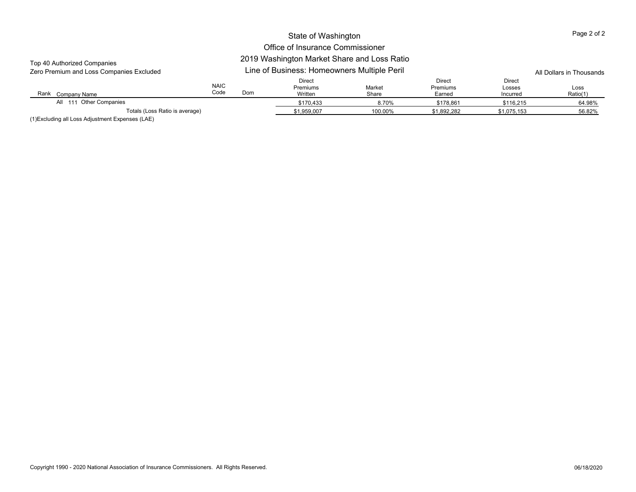## Office of Insurance Commissioner

## 2019 Washington Market Share and Loss Ratio

| Top 40 Authorized Companies<br>Zero Premium and Loss Companies Excluded |                            | 2019 Washington Market Share and Loss Katio<br>Line of Business: Homeowners Multiple Peril |                                                         | All Dollars in Thousands |                                     |                                                         |        |
|-------------------------------------------------------------------------|----------------------------|--------------------------------------------------------------------------------------------|---------------------------------------------------------|--------------------------|-------------------------------------|---------------------------------------------------------|--------|
| Rank<br>Company Name                                                    | <b>NAIC</b><br>Code<br>Dom |                                                                                            | Direct<br>Market<br><b>Premiums</b><br>Written<br>Share |                          | <b>Direct</b><br>Premiums<br>Earned | <b>Direct</b><br>Losses<br>Loss<br>Ratio(1)<br>Incurred |        |
| All 111 Other Companies                                                 |                            |                                                                                            | \$170,433                                               | 8.70%                    | \$178.861                           | \$116.215                                               | 64.98% |
| Totals (Loss Ratio is average)                                          | \$1,959,007                | 100.00%                                                                                    | \$1,892,282                                             | \$1,075,153              | 56.82%                              |                                                         |        |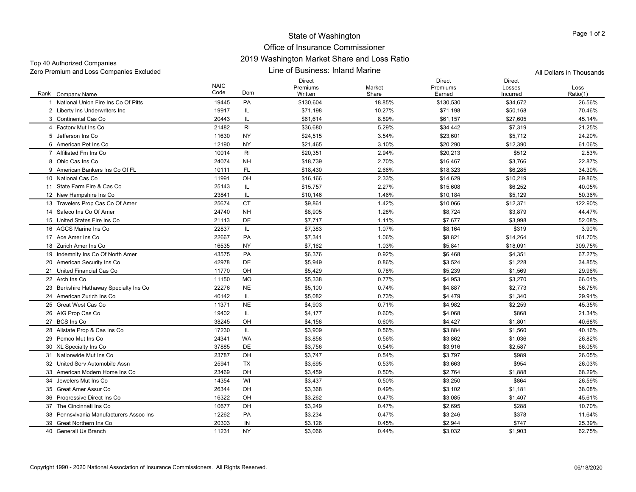## Office of Insurance Commissioner 2019 Washington Market Share and Loss Ratio

| TOD 40 AUDIORED COMPANIES<br>Zero Premium and Loss Companies Excluded |                     |           | Line of Business: Inland Marine      | All Dollars in Thousands |                                     |                                     |                  |
|-----------------------------------------------------------------------|---------------------|-----------|--------------------------------------|--------------------------|-------------------------------------|-------------------------------------|------------------|
| Rank Company Name                                                     | <b>NAIC</b><br>Code | Dom       | <b>Direct</b><br>Premiums<br>Written | Market<br>Share          | <b>Direct</b><br>Premiums<br>Earned | <b>Direct</b><br>Losses<br>Incurred | Loss<br>Ratio(1) |
| 1 National Union Fire Ins Co Of Pitts                                 | 19445               | PA        | \$130,604                            | 18.85%                   | \$130,530                           | \$34,672                            | 26.56%           |
| 2 Liberty Ins Underwriters Inc                                        | 19917               | IL        | \$71,198                             | 10.27%                   | \$71,198                            | \$50,168                            | 70.46%           |
| 3 Continental Cas Co                                                  | 20443               | IL        | \$61,614                             | 8.89%                    | \$61,157                            | \$27,605                            | 45.14%           |
| 4 Factory Mut Ins Co                                                  | 21482               | RI        | \$36,680                             | 5.29%                    | \$34,442                            | \$7,319                             | 21.25%           |
| 5 Jefferson Ins Co                                                    | 11630               | NY        | \$24,515                             | 3.54%                    | \$23,601                            | \$5,712                             | 24.20%           |
| 6 American Pet Ins Co                                                 | 12190               | NY        | \$21,465                             | 3.10%                    | \$20,290                            | \$12,390                            | 61.06%           |
| 7 Affiliated Fm Ins Co                                                | 10014               | RI        | \$20,351                             | 2.94%                    | \$20,213                            | \$512                               | 2.53%            |
| 8 Ohio Cas Ins Co                                                     | 24074               | <b>NH</b> | \$18,739                             | 2.70%                    | \$16,467                            | \$3,766                             | 22.87%           |
| 9 American Bankers Ins Co Of FL                                       | 10111               | FL        | \$18,430                             | 2.66%                    | \$18,323                            | \$6,285                             | 34.30%           |
| 10 National Cas Co                                                    | 11991               | OH        | \$16,166                             | 2.33%                    | \$14,629                            | \$10,219                            | 69.86%           |
| 11 State Farm Fire & Cas Co                                           | 25143               | IL        | \$15,757                             | 2.27%                    | \$15,608                            | \$6,252                             | 40.05%           |
| 12 New Hampshire Ins Co                                               | 23841               | IL.       | \$10,146                             | 1.46%                    | \$10,184                            | \$5,129                             | 50.36%           |
| 13 Travelers Prop Cas Co Of Amer                                      | 25674               | <b>CT</b> | \$9,861                              | 1.42%                    | \$10,066                            | \$12,371                            | 122.90%          |
| 14 Safeco Ins Co Of Amer                                              | 24740               | <b>NH</b> | \$8,905                              | 1.28%                    | \$8,724                             | \$3,879                             | 44.47%           |
| 15 United States Fire Ins Co                                          | 21113               | DE        | \$7,717                              | 1.11%                    | \$7,677                             | \$3,998                             | 52.08%           |
| 16 AGCS Marine Ins Co                                                 | 22837               | IL        | \$7,383                              | 1.07%                    | \$8,164                             | \$319                               | 3.90%            |
| 17 Ace Amer Ins Co                                                    | 22667               | PA        | \$7,341                              | 1.06%                    | \$8,821                             | \$14,264                            | 161.70%          |
| 18 Zurich Amer Ins Co                                                 | 16535               | <b>NY</b> | \$7,162                              | 1.03%                    | \$5,841                             | \$18,091                            | 309.75%          |
| 19 Indemnity Ins Co Of North Amer                                     | 43575               | PA        | \$6,376                              | 0.92%                    | \$6,468                             | \$4,351                             | 67.27%           |
| 20 American Security Ins Co                                           | 42978               | DE        | \$5,949                              | 0.86%                    | \$3,524                             | \$1,228                             | 34.85%           |
| 21 United Financial Cas Co                                            | 11770               | OH        | \$5,429                              | 0.78%                    | \$5,239                             | \$1,569                             | 29.96%           |
| 22 Arch Ins Co                                                        | 11150               | <b>MO</b> | \$5,338                              | 0.77%                    | \$4,953                             | \$3,270                             | 66.01%           |
| 23 Berkshire Hathaway Specialty Ins Co                                | 22276               | <b>NE</b> | \$5,100                              | 0.74%                    | \$4,887                             | \$2,773                             | 56.75%           |
| 24 American Zurich Ins Co                                             | 40142               | IL.       | \$5,082                              | 0.73%                    | \$4,479                             | \$1,340                             | 29.91%           |
| 25 Great West Cas Co                                                  | 11371               | <b>NE</b> | \$4,903                              | 0.71%                    | \$4,982                             | \$2,259                             | 45.35%           |
| 26 AIG Prop Cas Co                                                    | 19402               | IL.       | \$4,177                              | 0.60%                    | \$4,068                             | \$868                               | 21.34%           |
| 27 BCS Ins Co                                                         | 38245               | OH        | \$4,158                              | 0.60%                    | \$4,427                             | \$1,801                             | 40.68%           |
| 28 Allstate Prop & Cas Ins Co                                         | 17230               | IL.       | \$3,909                              | 0.56%                    | \$3,884                             | \$1,560                             | 40.16%           |
| 29 Pemco Mut Ins Co                                                   | 24341               | WA        | \$3,858                              | 0.56%                    | \$3,862                             | \$1,036                             | 26.82%           |
| 30 XL Specialty Ins Co                                                | 37885               | DE        | \$3,756                              | 0.54%                    | \$3,916                             | \$2,587                             | 66.05%           |
| 31 Nationwide Mut Ins Co                                              | 23787               | OH        | \$3,747                              | 0.54%                    | \$3,797                             | \$989                               | 26.05%           |
| 32 United Serv Automobile Assn                                        | 25941               | TX        | \$3,695                              | 0.53%                    | \$3,663                             | \$954                               | 26.03%           |
| 33 American Modern Home Ins Co                                        | 23469               | OH        | \$3,459                              | 0.50%                    | \$2,764                             | \$1,888                             | 68.29%           |
| 34 Jewelers Mut Ins Co                                                | 14354               | WI        | \$3,437                              | 0.50%                    | \$3,250                             | \$864                               | 26.59%           |
| 35 Great Amer Assur Co                                                | 26344               | OH        | \$3,368                              | 0.49%                    | \$3,102                             | \$1,181                             | 38.08%           |
| 36 Progressive Direct Ins Co                                          | 16322               | OH        | \$3,262                              | 0.47%                    | \$3,085                             | \$1,407                             | 45.61%           |
| 37 The Cincinnati Ins Co                                              | 10677               | OH        | \$3,249                              | 0.47%                    | \$2,695                             | \$288                               | 10.70%           |
| 38 Pennsylvania Manufacturers Assoc Ins                               | 12262               | PA        | \$3,234                              | 0.47%                    | \$3,246                             | \$378                               | 11.64%           |
| 39 Great Northern Ins Co                                              | 20303               | IN        | \$3,126                              | 0.45%                    | \$2,944                             | \$747                               | 25.39%           |
| 40 Generali Us Branch                                                 | 11231               | <b>NY</b> | \$3.066                              | 0.44%                    | \$3.032                             | \$1.903                             | 62.75%           |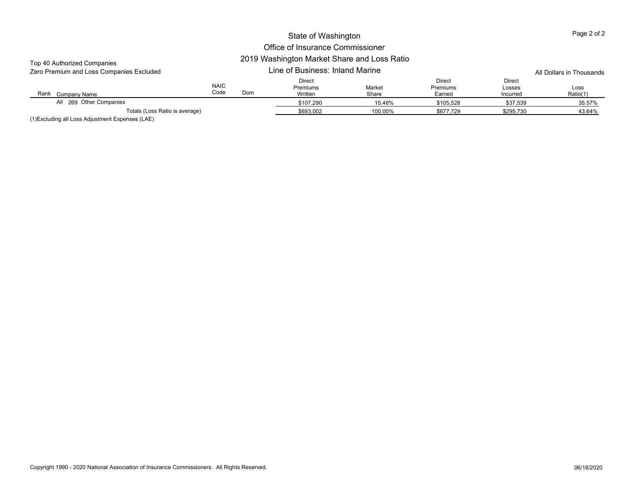| Top 40 Authorized Companies<br>Zero Premium and Loss Companies Excluded |                     | 2019 Washington Market Share and Loss Ratio<br>Line of Business: Inland Marine |                                      | All Dollars in Thousands |                                     |                              |                  |
|-------------------------------------------------------------------------|---------------------|--------------------------------------------------------------------------------|--------------------------------------|--------------------------|-------------------------------------|------------------------------|------------------|
| Rank<br>Company Name                                                    | <b>NAIC</b><br>Code | Dom                                                                            | <b>Direct</b><br>Premiums<br>Written | Market<br>Share          | Direct<br><b>Premiums</b><br>Earned | Direct<br>Losses<br>Incurred | Loss<br>Ratio(1) |
| All 269 Other Companies                                                 |                     |                                                                                | \$107.290                            | 15.48%                   | \$105.528                           | \$37,539                     | 35.57%           |
| Totals (Loss Ratio is average)                                          |                     | \$693,002                                                                      | 100.00%                              | \$677,729                | \$295,730                           | 43.64%                       |                  |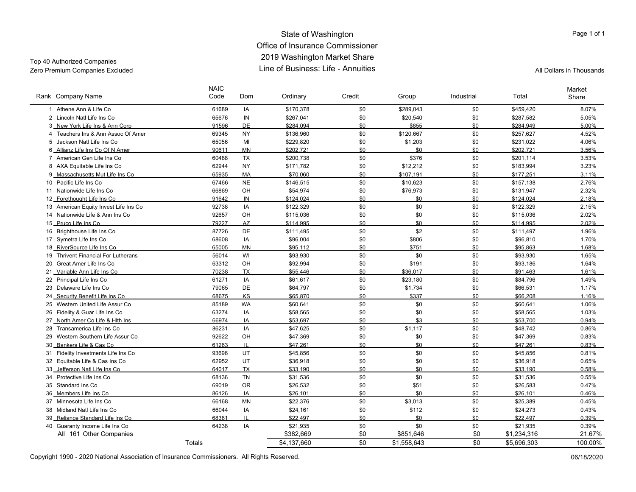#### State of Washington Office of Insurance Commissioner 2019 Washington Market Share Line of Business: Life - AnnuitiesZero Premium Companies Excluded Line of Business: Life - Annuities All Dollars in Thousands

Top 40 Authorized Companies

| Rank Company Name                     | <b>NAIC</b><br>Code | Dom       | Ordinary    | Credit | Group       | Industrial | Total       | Market<br>Share |
|---------------------------------------|---------------------|-----------|-------------|--------|-------------|------------|-------------|-----------------|
| 1 Athene Ann & Life Co                | 61689               | IA        | \$170,378   | \$0    | \$289,043   | \$0        | \$459,420   | 8.07%           |
| 2 Lincoln Natl Life Ins Co            | 65676               | IN        | \$267,041   | \$0    | \$20,540    | \$0        | \$287,582   | 5.05%           |
| 3 New York Life Ins & Ann Corp        | 91596               | <b>DE</b> | \$284.094   | \$0    | \$855       | \$0        | \$284.949   | 5.00%           |
| 4 Teachers Ins & Ann Assoc Of Amer    | 69345               | <b>NY</b> | \$136,960   | \$0    | \$120,667   | \$0        | \$257,627   | 4.52%           |
| 5 Jackson Natl Life Ins Co            | 65056               | MI        | \$229,820   | \$0    | \$1,203     | \$0        | \$231,022   | 4.06%           |
| 6 Allianz Life Ins Co Of N Amer       | 90611               | <b>MN</b> | \$202.721   | \$0    | \$0         | \$0        | \$202.721   | 3.56%           |
| 7 American Gen Life Ins Co            | 60488               | <b>TX</b> | \$200,738   | \$0    | \$376       | \$0        | \$201,114   | 3.53%           |
| 8 AXA Equitable Life Ins Co           | 62944               | <b>NY</b> | \$171,782   | \$0    | \$12,212    | \$0        | \$183,994   | 3.23%           |
| 9 Massachusetts Mut Life Ins Co       | 65935               | <b>MA</b> | \$70.060    | \$0    | \$107.191   | \$0        | \$177.251   | 3.11%           |
| 10 Pacific Life Ins Co                | 67466               | <b>NE</b> | \$146,515   | \$0    | \$10,623    | \$0        | \$157,138   | 2.76%           |
| 11 Nationwide Life Ins Co             | 66869               | OH        | \$54,974    | \$0    | \$76,973    | \$0        | \$131,947   | 2.32%           |
| 12 Forethought Life Ins Co            | 91642               | IN        | \$124.024   | \$0    | \$0         | \$0        | \$124.024   | 2.18%           |
| 13 American Equity Invest Life Ins Co | 92738               | IA        | \$122,329   | \$0    | \$0         | \$0        | \$122,329   | 2.15%           |
| 14 Nationwide Life & Ann Ins Co       | 92657               | OH        | \$115,036   | \$0    | \$0         | \$0        | \$115,036   | 2.02%           |
| 15 Pruco Life Ins Co                  | 79227               | <b>AZ</b> | \$114.995   | \$0    | \$0         | \$0        | \$114.995   | 2.02%           |
| 16 Brighthouse Life Ins Co            | 87726               | DE        | \$111,495   | \$0    | \$2         | \$0        | \$111,497   | 1.96%           |
| 17 Symetra Life Ins Co                | 68608               | IA        | \$96,004    | \$0    | \$806       | \$0        | \$96,810    | 1.70%           |
| 18 RiverSource Life Ins Co            | 65005               | <b>MN</b> | \$95.112    | \$0    | \$751       | \$0        | \$95.863    | 1.68%           |
| 19 Thrivent Financial For Lutherans   | 56014               | WI        | \$93,930    | \$0    | \$0         | \$0        | \$93,930    | 1.65%           |
| 20 Great Amer Life Ins Co             | 63312               | OH        | \$92,994    | \$0    | \$191       | \$0        | \$93,186    | 1.64%           |
| 21 Variable Ann Life Ins Co           | 70238               | <b>TX</b> | \$55.446    | \$0    | \$36.017    | \$0        | \$91.463    | 1.61%           |
| 22 Principal Life Ins Co              | 61271               | IA        | \$61,617    | \$0    | \$23,180    | \$0        | \$84,796    | 1.49%           |
| 23 Delaware Life Ins Co               | 79065               | DE        | \$64,797    | \$0    | \$1,734     | \$0        | \$66,531    | 1.17%           |
| 24 Security Benefit Life Ins Co       | 68675               | KS        | \$65,870    | \$0    | \$337       | \$0        | \$66.208    | 1.16%           |
| 25 Western United Life Assur Co       | 85189               | <b>WA</b> | \$60,641    | \$0    | \$0         | \$0        | \$60,641    | 1.06%           |
| 26 Fidelity & Guar Life Ins Co        | 63274               | IA        | \$58,565    | \$0    | \$0         | \$0        | \$58,565    | 1.03%           |
| 27 North Amer Co Life & Hith Ins      | 66974               | IA        | \$53.697    | \$0    | \$3         | \$0        | \$53.700    | 0.94%           |
| 28 Transamerica Life Ins Co           | 86231               | IA        | \$47,625    | \$0    | \$1,117     | \$0        | \$48,742    | 0.86%           |
| 29 Western Southern Life Assur Co     | 92622               | OH        | \$47,369    | \$0    | \$0         | \$0        | \$47,369    | 0.83%           |
| 30 Bankers Life & Cas Co              | 61263               |           | \$47.261    | \$0    | \$0         | \$0        | \$47.261    | 0.83%           |
| 31 Fidelity Investments Life Ins Co   | 93696               | UT.       | \$45,856    | \$0    | \$0         | \$0        | \$45,856    | 0.81%           |
| 32 Equitable Life & Cas Ins Co        | 62952               | UT        | \$36,918    | \$0    | \$0         | \$0        | \$36,918    | 0.65%           |
| 33 Jefferson Natl Life Ins Co         | 64017               | <b>TX</b> | \$33.190    | \$0    | \$0         | \$0        | \$33.190    | 0.58%           |
| 34 Protective Life Ins Co             | 68136               | <b>TN</b> | \$31,536    | \$0    | \$0         | \$0        | \$31,536    | 0.55%           |
| 35 Standard Ins Co                    | 69019               | <b>OR</b> | \$26,532    | \$0    | \$51        | \$0        | \$26,583    | 0.47%           |
| 36 Members Life Ins Co                | 86126               | IA        | \$26,101    | \$0    | \$0         | \$0        | \$26,101    | 0.46%           |
| 37 Minnesota Life Ins Co              | 66168               | <b>MN</b> | \$22,376    | \$0    | \$3,013     | \$0        | \$25,389    | 0.45%           |
| 38 Midland Natl Life Ins Co           | 66044               | IA        | \$24,161    | \$0    | \$112       | \$0        | \$24,273    | 0.43%           |
| 39 Reliance Standard Life Ins Co      | 68381               | IL        | \$22.497    | \$0    | \$0         | \$0        | \$22.497    | 0.39%           |
| 40 Guaranty Income Life Ins Co        | 64238               | IA        | \$21,935    | \$0    | \$0         | \$0        | \$21,935    | 0.39%           |
| All 161 Other Companies               |                     |           | \$382,669   | \$0    | \$851,646   | \$0        | \$1,234,316 | 21.67%          |
|                                       | Totals              |           | \$4,137,660 | \$0    | \$1,558,643 | \$0        | \$5,696,303 | 100.00%         |

Copyright 1990 - 2020 National Association of Insurance Commissioners. All Rights Reserved. 06/18/2020 Commissioners. All Rights Reserved.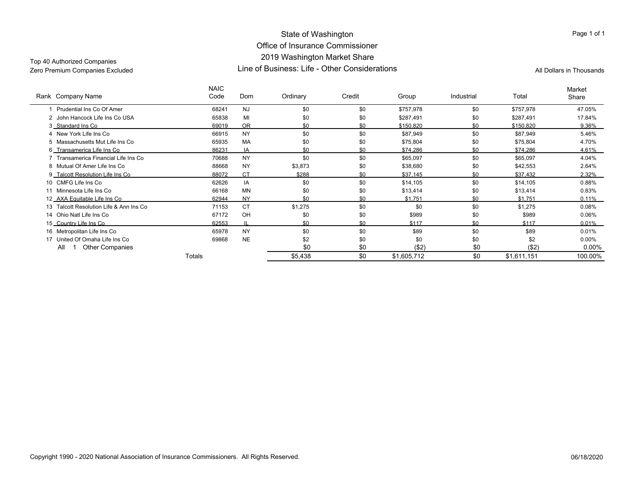#### State of Washington Office of Insurance Commissioner 2019 Washington Market Share Line of Business: Life - Other ConsiderationsZero Premium Companies Excluded Companies Excluded Companies Companies (Call Dollars in Thousands Life - Other Considerations All Dollars in Thousands All Dollars in Thousands

Top 40 Authorized Companies

| Rank Company Name                       | <b>NAIC</b><br>Code | Dom       | Ordinary | Credit | Group       | Industrial | Total       | Market<br>Share |
|-----------------------------------------|---------------------|-----------|----------|--------|-------------|------------|-------------|-----------------|
| Prudential Ins Co Of Amer               | 68241               | <b>NJ</b> | \$0      | \$0    | \$757.978   | \$0        | \$757,978   | 47.05%          |
| 2 John Hancock Life Ins Co USA          | 65838               | MI        | \$0      | \$0    | \$287,491   | \$0        | \$287,491   | 17.84%          |
| 3 Standard Ins Co                       | 69019               | <b>OR</b> | \$0      | \$0    | \$150.820   | \$0        | \$150,820   | 9.36%           |
| 4 New York Life Ins Co                  | 66915               | <b>NY</b> | \$0      | \$0    | \$87,949    | \$0        | \$87,949    | 5.46%           |
| 5 Massachusetts Mut Life Ins Co         | 65935               | <b>MA</b> | \$0      | \$0    | \$75,804    | \$0        | \$75,804    | 4.70%           |
| 6 Transamerica Life Ins Co              | 86231               | IA        | \$0      | \$0    | \$74.286    | \$0        | \$74.286    | 4.61%           |
| 7 Transamerica Financial Life Ins Co    | 70688               | <b>NY</b> | \$0      | \$0    | \$65,097    | \$0        | \$65,097    | 4.04%           |
| 8 Mutual Of Amer Life Ins Co            | 88668               | <b>NY</b> | \$3,873  | \$0    | \$38,680    | \$0        | \$42,553    | 2.64%           |
| 9 Talcott Resolution Life Ins Co        | 88072               | <b>CT</b> | \$288    | \$0    | \$37.145    | \$0        | \$37.432    | 2.32%           |
| 10 CMFG Life Ins Co                     | 62626               | IA        | \$0      | \$0    | \$14,105    | \$0        | \$14,105    | 0.88%           |
| 11 Minnesota Life Ins Co                | 66168               | <b>MN</b> | \$0      | \$0    | \$13,414    | \$0        | \$13,414    | 0.83%           |
| 12_AXA Equitable Life Ins Co            | 62944               | <b>NY</b> | ደበ       | \$0    | \$1.751     | \$0        | \$1.751     | $0.11\%$        |
| 13 Talcott Resolution Life & Ann Ins Co | 71153               | <b>CT</b> | \$1,275  | \$0    | \$0         | \$0        | \$1,275     | 0.08%           |
| 14 Ohio Natl Life Ins Co                | 67172               | OH        | \$0      | \$0    | \$989       | \$0        | \$989       | 0.06%           |
| 15_Country Life Ins Co                  | 62553               |           | \$0      | \$0    | \$117       | \$0        | \$117       | 0.01%           |
| 16 Metropolitan Life Ins Co             | 65978               | <b>NY</b> | \$0      | \$0    | \$89        | \$0        | \$89        | 0.01%           |
| 17 United Of Omaha Life Ins Co          | 69868               | <b>NE</b> | \$2      | \$0    | \$0         | \$0        | \$2         | $0.00\%$        |
| All<br><b>Other Companies</b>           |                     |           | \$0      | \$0    | ( \$2)      | \$0        | ( \$2)      | $0.00\%$        |
|                                         | Totals              |           | \$5,438  | \$0    | \$1,605,712 | \$0        | \$1,611,151 | 100.00%         |

Page 1 of 1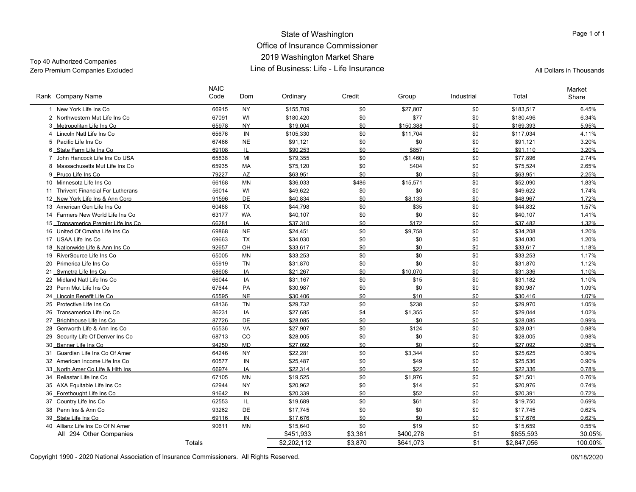#### State of Washington Office of Insurance Commissioner 2019 Washington Market Share Line of Business: Life - Life InsuranceZero Premium Companies Excluded Line of Business: Life - Life Insurance All Dollars in Thousands

Top 40 Authorized Companies

|    | Rank Company Name                                           | <b>NAIC</b><br>Code | Dom          | Ordinary             | Credit     | Group       | Industrial | Total                | Market<br>Share |
|----|-------------------------------------------------------------|---------------------|--------------|----------------------|------------|-------------|------------|----------------------|-----------------|
|    | 1 New York Life Ins Co                                      | 66915               | <b>NY</b>    | \$155,709            | \$0        | \$27,807    | \$0        | \$183,517            | 6.45%           |
|    | 2 Northwestern Mut Life Ins Co                              | 67091               | WI           | \$180,420            | \$0        | \$77        | \$0        | \$180,496            | 6.34%           |
|    | 3 Metropolitan Life Ins Co                                  | 65978               | <b>NY</b>    | \$19.004             | \$0        | \$150.388   | \$0        | \$169.393            | 5.95%           |
|    | 4 Lincoln Natl Life Ins Co                                  | 65676               | IN           | \$105,330            | \$0        | \$11,704    | \$0        | \$117,034            | 4.11%           |
|    | 5 Pacific Life Ins Co                                       | 67466               | <b>NE</b>    | \$91,121             | \$0        | \$0         | \$0        | \$91,121             | 3.20%           |
|    | 6 State Farm Life Ins Co                                    | 69108               | $\mathbf{H}$ | \$90.253             | \$0        | \$857       | \$0        | \$91.110             | 3.20%           |
|    | 7 John Hancock Life Ins Co USA                              | 65838               | MI           | \$79,355             | \$0        | (\$1,460)   | \$0        | \$77,896             | 2.74%           |
|    | 8 Massachusetts Mut Life Ins Co.                            | 65935               | <b>MA</b>    | \$75,120             | \$0        | \$404       | \$0        | \$75,524             | 2.65%           |
|    | 9 Pruco Life Ins Co                                         | 79227               | AZ           | \$63.951             | \$0        | \$0         | \$0        | \$63.951             | 2.25%           |
|    | 10 Minnesota Life Ins Co                                    | 66168               | <b>MN</b>    | \$36,033             | \$486      | \$15,571    | \$0        | \$52,090             | 1.83%           |
|    | 11 Thrivent Financial For Lutherans                         | 56014               | WI           | \$49,622             | \$0        | \$0         | \$0        | \$49,622             | 1.74%           |
|    | 12 New York Life Ins & Ann Corp                             | 91596               | <b>DE</b>    | \$40.834             | \$0        | \$8.133     | \$0        | \$48.967             | 1.72%           |
|    | 13 American Gen Life Ins Co                                 | 60488               | <b>TX</b>    | \$44,798             | \$0        | \$35        | \$0        | \$44,832             | 1.57%           |
|    | 14 Farmers New World Life Ins Co                            | 63177               | <b>WA</b>    | \$40,107             | \$0        | \$0         | \$0        | \$40,107             | 1.41%           |
|    | 15 Transamerica Premier Life Ins Co                         | 66281               | IA           | \$37.310             | \$0        | \$172       | \$0        | \$37.482             | 1.32%           |
|    | 16 United Of Omaha Life Ins Co                              | 69868               | <b>NE</b>    | \$24,451             | \$0        | \$9,758     | \$0        | \$34,208             | 1.20%           |
|    | 17 USAA Life Ins Co                                         | 69663               | <b>TX</b>    | \$34,030             | \$0        | \$0         | \$0        | \$34,030             | 1.20%           |
|    | 18 Nationwide Life & Ann Ins Co                             | 92657               | OH           | \$33.617             | \$0        | \$0         | \$0        | \$33.617             | 1.18%           |
|    | 19 RiverSource Life Ins Co                                  | 65005               | MN           | \$33,253             | \$0        | \$0         | \$0        | \$33,253             | 1.17%           |
|    | 20 Primerica Life Ins Co                                    | 65919               | <b>TN</b>    | \$31,870             | \$0        | \$0         | \$0        | \$31,870             | 1.12%           |
|    | 21 Symetra Life Ins Co                                      | 68608               | IA           | \$21.267             | \$0        | \$10.070    | \$0        | \$31.336             | 1.10%           |
|    | 22 Midland Natl Life Ins Co                                 | 66044               | IA           | \$31,167             | \$0        | \$15        | \$0        | \$31,182             | 1.10%           |
|    | 23 Penn Mut Life Ins Co                                     | 67644               | PA           | \$30,987             | \$0        | \$0         | \$0        | \$30,987             | 1.09%           |
|    | 24 Lincoln Benefit Life Co                                  | 65595               | <b>NE</b>    | \$30.406             | \$0        | \$10        | \$0        | \$30.416             | 1.07%           |
|    | 25 Protective Life Ins Co                                   | 68136               | <b>TN</b>    | \$29,732             | \$0        | \$238       | \$0        | \$29,970             | 1.05%           |
|    | 26 Transamerica Life Ins Co                                 | 86231               | IA           | \$27,685             | \$4        | \$1,355     | \$0        | \$29,044             | 1.02%           |
|    | 27_Brighthouse Life Ins Co                                  | 87726               | DE           | \$28.085             | \$0        | \$0         | \$0        | \$28.085             | 0.99%           |
| 28 | Genworth Life & Ann Ins Co                                  | 65536               | <b>VA</b>    | \$27,907             | \$0        | \$124       | \$0        | \$28,031             | 0.98%           |
|    | 29 Security Life Of Denver Ins Co                           | 68713               | CO           | \$28,005             | \$0        | \$0         | \$0        | \$28,005             | 0.98%           |
|    | 30 Banner Life Ins Co                                       | 94250               | <b>MD</b>    | \$27.092             | \$0        | \$0         | \$0        | \$27.092             | 0.95%           |
|    | 31 Guardian Life Ins Co Of Amer                             | 64246               | <b>NY</b>    | \$22,281             | \$0        | \$3,344     | \$0        | \$25,625             | 0.90%           |
|    | 32 American Income Life Ins Co.                             | 60577               | IN           | \$25,487             | \$0        | \$49        | \$0        | \$25,536             | 0.90%           |
|    | 33 North Amer Co Life & Hith Ins                            | 66974               | IA           | \$22.314             | \$0        | \$22        | \$0        | \$22.336             | 0.78%           |
|    | 34 Reliastar Life Ins Co                                    | 67105               | <b>MN</b>    | \$19,525             | \$0        | \$1,976     | \$0        | \$21,501             | 0.76%           |
|    | 35 AXA Equitable Life Ins Co                                | 62944               | <b>NY</b>    | \$20,962             | \$0        | \$14        | \$0        | \$20,976             | 0.74%           |
|    | 36 Forethought Life Ins Co                                  | 91642               | IN           | \$20,339             | \$0        | \$52        | \$0        | \$20,391             | 0.72%           |
|    | 37 Country Life Ins Co                                      | 62553               | IL<br>DE     | \$19,689             | \$0        | \$61        | \$0        | \$19,750             | 0.69%           |
|    | 38 Penn Ins & Ann Co                                        | 93262               |              | \$17,745             | \$0        | \$0         | \$0        | \$17,745             | 0.62%           |
|    | 39 State Life Ins Co                                        | 69116               | IN           | \$17,676<br>\$15,640 | \$0<br>\$0 | \$0<br>\$19 | \$0        | \$17,676<br>\$15,659 | 0.62%           |
|    | 40 Allianz Life Ins Co Of N Amer<br>All 294 Other Companies | 90611               | <b>MN</b>    | \$451,933            | \$3,381    | \$400,278   | \$0<br>\$1 | \$855,593            | 0.55%<br>30.05% |
|    |                                                             |                     |              |                      |            |             |            |                      |                 |
|    |                                                             | Totals              |              | \$2,202,112          | \$3,870    | \$641,073   | \$1        | \$2,847,056          | 100.00%         |

Copyright 1990 - 2020 National Association of Insurance Commissioners. All Rights Reserved. 06/18/2020 Commissioners. All Rights Reserved.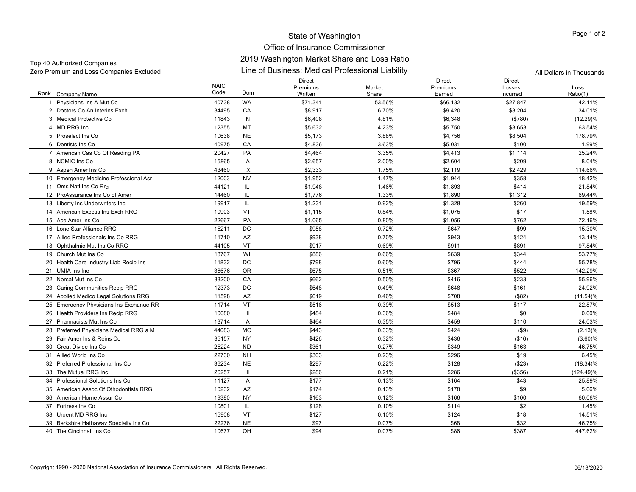| Zero Premium and Loss Companies Excluded | Line of Business: Medical Professional Liability | All Dollars in Thousands |
|------------------------------------------|--------------------------------------------------|--------------------------|
|------------------------------------------|--------------------------------------------------|--------------------------|

|                                         | <b>NAIC</b> |           | <b>Direct</b><br>Premiums | Market | Direct<br>Premiums | <b>Direct</b><br>Losses | Loss         |
|-----------------------------------------|-------------|-----------|---------------------------|--------|--------------------|-------------------------|--------------|
| Rank<br>Company Name                    | Code        | Dom       | Written                   | Share  | Earned             | Incurred                | Ratio(1)     |
| Physicians Ins A Mut Co                 | 40738       | <b>WA</b> | \$71,341                  | 53.56% | \$66,132           | \$27,847                | 42.11%       |
| 2 Doctors Co An Interins Exch           | 34495       | CA        | \$8,917                   | 6.70%  | \$9,420            | \$3,204                 | 34.01%       |
| 3 Medical Protective Co                 | 11843       | IN        | \$6,408                   | 4.81%  | \$6,348            | (\$780)                 | (12.29)%     |
| 4 MD RRG Inc                            | 12355       | MT        | \$5,632                   | 4.23%  | \$5,750            | \$3,653                 | 63.54%       |
| 5 Proselect Ins Co.                     | 10638       | <b>NE</b> | \$5,173                   | 3.88%  | \$4,756            | \$8,504                 | 178.79%      |
| 6 Dentists Ins Co                       | 40975       | CA        | \$4,836                   | 3.63%  | \$5,031            | \$100                   | 1.99%        |
| 7 American Cas Co Of Reading PA         | 20427       | PA        | \$4,464                   | 3.35%  | \$4,413            | \$1,114                 | 25.24%       |
| 8 NCMIC Ins Co.                         | 15865       | IA        | \$2,657                   | 2.00%  | \$2,604            | \$209                   | 8.04%        |
| 9 Aspen Amer Ins Co                     | 43460       | <b>TX</b> | \$2,333                   | 1.75%  | \$2,119            | \$2,429                 | 114.66%      |
| 10 Emergency Medicine Professional Asr  | 12003       | <b>NV</b> | \$1,952                   | 1.47%  | \$1,944            | \$358                   | 18.42%       |
| 11 Oms Natl Ins Co Rrg                  | 44121       | IL.       | \$1,948                   | 1.46%  | \$1,893            | \$414                   | 21.84%       |
| 12 ProAssurance Ins Co of Amer          | 14460       | IL        | \$1,776                   | 1.33%  | \$1,890            | \$1,312                 | 69.44%       |
| 13 Liberty Ins Underwriters Inc         | 19917       | IL        | \$1,231                   | 0.92%  | \$1,328            | \$260                   | 19.59%       |
| 14 American Excess Ins Exch RRG         | 10903       | VT        | \$1,115                   | 0.84%  | \$1,075            | \$17                    | 1.58%        |
| 15 Ace Amer Ins Co                      | 22667       | PA        | \$1,065                   | 0.80%  | \$1,056            | \$762                   | 72.16%       |
| 16 Lone Star Alliance RRG               | 15211       | DC        | \$958                     | 0.72%  | \$647              | \$99                    | 15.30%       |
| 17 Allied Professionals Ins Co RRG      | 11710       | AZ        | \$938                     | 0.70%  | \$943              | \$124                   | 13.14%       |
| 18 Ophthalmic Mut Ins Co RRG            | 44105       | VT        | \$917                     | 0.69%  | \$911              | \$891                   | 97.84%       |
| 19 Church Mut Ins Co                    | 18767       | WI        | \$886                     | 0.66%  | \$639              | \$344                   | 53.77%       |
| 20 Health Care Industry Liab Recip Ins  | 11832       | DC        | \$798                     | 0.60%  | \$796              | \$444                   | 55.78%       |
| 21 UMIA Ins Inc                         | 36676       | <b>OR</b> | \$675                     | 0.51%  | \$367              | \$522                   | 142.29%      |
| 22 Norcal Mut Ins Co                    | 33200       | CA        | \$662                     | 0.50%  | \$416              | \$233                   | 55.96%       |
| 23 Caring Communities Recip RRG         | 12373       | DC        | \$648                     | 0.49%  | \$648              | \$161                   | 24.92%       |
| 24 Applied Medico Legal Solutions RRG   | 11598       | AZ        | \$619                     | 0.46%  | \$708              | (\$82)                  | $(11.54)\%$  |
| 25 Emergency Physicians Ins Exchange RR | 11714       | VT        | \$516                     | 0.39%  | \$513              | \$117                   | 22.87%       |
| 26 Health Providers Ins Recip RRG       | 10080       | HI        | \$484                     | 0.36%  | \$484              | \$0                     | 0.00%        |
| 27 Pharmacists Mut Ins Co               | 13714       | IA        | \$464                     | 0.35%  | \$459              | \$110                   | 24.03%       |
| 28 Preferred Physicians Medical RRG a M | 44083       | <b>MO</b> | \$443                     | 0.33%  | \$424              | $($ \$9)                | (2.13)%      |
| 29 Fair Amer Ins & Reins Co             | 35157       | NY        | \$426                     | 0.32%  | \$436              | ( \$16)                 | $(3.60)\%$   |
| 30 Great Divide Ins Co                  | 25224       | <b>ND</b> | \$361                     | 0.27%  | \$349              | \$163                   | 46.75%       |
| 31 Allied World Ins Co                  | 22730       | <b>NH</b> | \$303                     | 0.23%  | \$296              | \$19                    | 6.45%        |
| 32 Preferred Professional Ins Co        | 36234       | <b>NE</b> | \$297                     | 0.22%  | \$128              | ( \$23)                 | $(18.34)\%$  |
| 33 The Mutual RRG Inc                   | 26257       | HI        | \$286                     | 0.21%  | \$286              | ( \$356)                | $(124.49)\%$ |
| 34 Professional Solutions Ins Co        | 11127       | IA        | \$177                     | 0.13%  | \$164              | \$43                    | 25.89%       |
| 35 American Assoc Of Othodontists RRG   | 10232       | AZ        | \$174                     | 0.13%  | \$178              | \$9                     | 5.06%        |
| 36 American Home Assur Co               | 19380       | NY        | \$163                     | 0.12%  | \$166              | \$100                   | 60.06%       |
| 37 Fortress Ins Co                      | 10801       | IL.       | \$128                     | 0.10%  | \$114              | \$2                     | 1.45%        |
| 38 Urgent MD RRG Inc                    | 15908       | VT        | \$127                     | 0.10%  | \$124              | \$18                    | 14.51%       |
| 39 Berkshire Hathaway Specialty Ins Co  | 22276       | <b>NE</b> | \$97                      | 0.07%  | \$68               | \$32                    | 46.75%       |
| 40 The Cincinnati Ins Co                | 10677       | OH        | \$94                      | 0.07%  | \$86               | \$387                   | 447.62%      |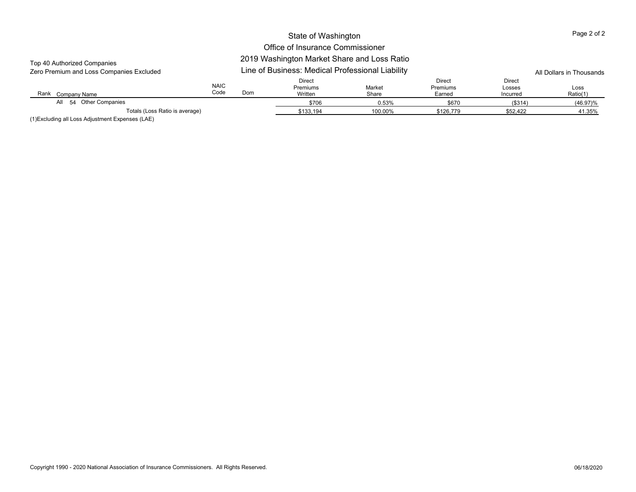## Office of Insurance Commissioner

## 2019 Washington Market Share and Loss Ratio

| Top 40 Authorized Companies<br>Zero Premium and Loss Companies Excluded |                     | 2019 Washington Market Share and Loss Ratio<br>Line of Business: Medical Professional Liability<br>All Dollars in Thousands |                               |                 |                                            |                                     |                  |  |
|-------------------------------------------------------------------------|---------------------|-----------------------------------------------------------------------------------------------------------------------------|-------------------------------|-----------------|--------------------------------------------|-------------------------------------|------------------|--|
| Rank<br>Company Name                                                    | <b>NAIC</b><br>Code | Dom                                                                                                                         | Direct<br>Premiums<br>Written | Market<br>Share | <b>Direct</b><br><b>Premiums</b><br>Earned | <b>Direct</b><br>Losses<br>Incurred | Loss<br>Ratio(1) |  |
| All 54 Other Companies                                                  |                     |                                                                                                                             | \$706                         | 0.53%           | \$670                                      | (\$314)                             | $(46.97)\%$      |  |
| Totals (Loss Ratio is average)                                          |                     |                                                                                                                             | \$133,194                     | 100.00%         | \$126,779                                  | \$52,422                            | 41.35%           |  |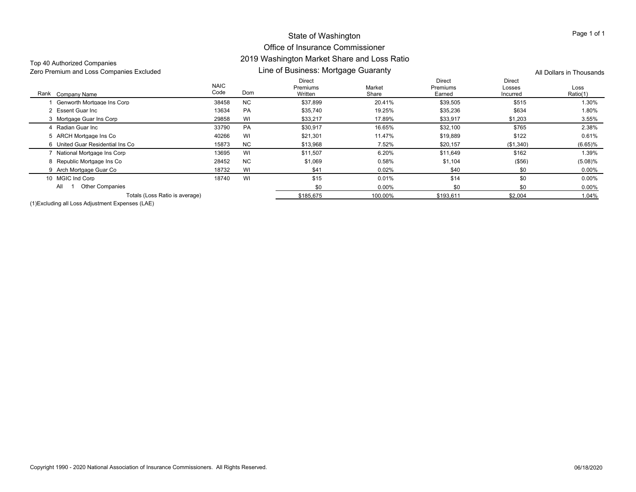## Office of Insurance Commissioner 2019 Washington Market Share and Loss Ratio

| Top 40 Authorized Companies<br>Zero Premium and Loss Companies Excluded |                     | 2019 Washington Market Share and Loss Ratio<br>Line of Business: Mortgage Guaranty | All Dollars in Thousands             |                 |                              |                              |                  |
|-------------------------------------------------------------------------|---------------------|------------------------------------------------------------------------------------|--------------------------------------|-----------------|------------------------------|------------------------------|------------------|
| Rank Company Name                                                       | <b>NAIC</b><br>Code | Dom                                                                                | <b>Direct</b><br>Premiums<br>Written | Market<br>Share | Direct<br>Premiums<br>Earned | Direct<br>Losses<br>Incurred | Loss<br>Ratio(1) |
| Genworth Mortgage Ins Corp                                              | 38458               | <b>NC</b>                                                                          | \$37,899                             | 20.41%          | \$39,505                     | \$515                        | 1.30%            |
| 2 Essent Guar Inc                                                       | 13634               | PA                                                                                 | \$35,740                             | 19.25%          | \$35,236                     | \$634                        | 1.80%            |
| 3 Mortgage Guar Ins Corp                                                | 29858               | WI                                                                                 | \$33,217                             | 17.89%          | \$33,917                     | \$1,203                      | 3.55%            |
| 4 Radian Guar Inc                                                       | 33790               | <b>PA</b>                                                                          | \$30,917                             | 16.65%          | \$32,100                     | \$765                        | 2.38%            |
| 5 ARCH Mortgage Ins Co                                                  | 40266               | WI                                                                                 | \$21,301                             | 11.47%          | \$19,889                     | \$122                        | 0.61%            |
| 6 United Guar Residential Ins Co                                        | 15873               | <b>NC</b>                                                                          | \$13,968                             | 7.52%           | \$20,157                     | (\$1,340)                    | (6.65)%          |
| 7 National Mortgage Ins Corp                                            | 13695               | WI                                                                                 | \$11,507                             | 6.20%           | \$11,649                     | \$162                        | 1.39%            |
| 8 Republic Mortgage Ins Co                                              | 28452               | <b>NC</b>                                                                          | \$1,069                              | 0.58%           | \$1,104                      | (\$56)                       | $(5.08)\%$       |
| 9 Arch Mortgage Guar Co                                                 | 18732               | WI                                                                                 | \$41                                 | 0.02%           | \$40                         | \$0                          | $0.00\%$         |
| 10 MGIC Ind Corp                                                        | 18740               | WI                                                                                 | \$15                                 | 0.01%           | \$14                         | \$0                          | 0.00%            |
| <b>Other Companies</b><br>All                                           |                     |                                                                                    | \$0                                  | 0.00%           | \$0                          | \$0                          | 0.00%            |
| Totals (Loss Ratio is average)                                          |                     |                                                                                    | \$185,675                            | 100.00%         | \$193,611                    | \$2,004                      | 1.04%            |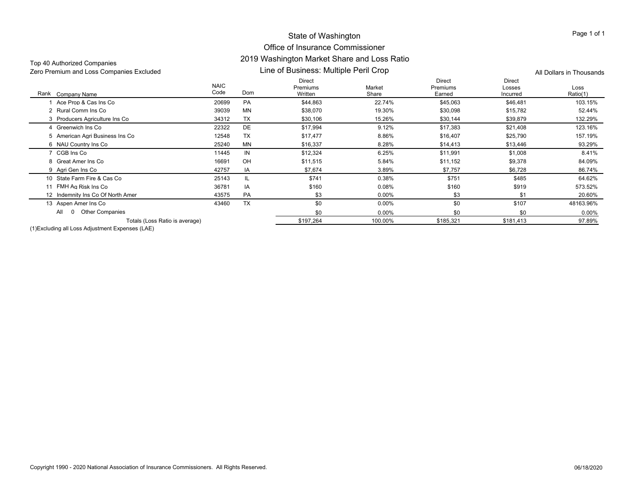## Office of Insurance Commissioner 2019 Washington Market Share and Loss Ratio

| Zero Premium and Loss Companies Excluded |                     | Line of Business: Multiple Peril Crop |                                      |                 |                              |                                     | All Dollars in Thousands |  |  |
|------------------------------------------|---------------------|---------------------------------------|--------------------------------------|-----------------|------------------------------|-------------------------------------|--------------------------|--|--|
| Company Name<br>Rank                     | <b>NAIC</b><br>Code | Dom                                   | <b>Direct</b><br>Premiums<br>Written | Market<br>Share | Direct<br>Premiums<br>Earned | <b>Direct</b><br>Losses<br>Incurred | Loss<br>Ratio(1)         |  |  |
| Ace Prop & Cas Ins Co                    | 20699               | PA                                    | \$44,863                             | 22.74%          | \$45,063                     | \$46,481                            | 103.15%                  |  |  |
| 2 Rural Comm Ins Co                      | 39039               | MN                                    | \$38,070                             | 19.30%          | \$30,098                     | \$15,782                            | 52.44%                   |  |  |
| 3 Producers Agriculture Ins Co           | 34312               | TX                                    | \$30,106                             | 15.26%          | \$30,144                     | \$39,879                            | 132.29%                  |  |  |
| 4 Greenwich Ins Co                       | 22322               | DE                                    | \$17,994                             | 9.12%           | \$17,383                     | \$21,408                            | 123.16%                  |  |  |
| 5 American Agri Business Ins Co          | 12548               | TX                                    | \$17,477                             | 8.86%           | \$16,407                     | \$25,790                            | 157.19%                  |  |  |
| 6 NAU Country Ins Co                     | 25240               | <b>MN</b>                             | \$16,337                             | 8.28%           | \$14,413                     | \$13,446                            | 93.29%                   |  |  |
| 7 CGB Ins Co                             | 11445               | IN                                    | \$12,324                             | 6.25%           | \$11,991                     | \$1,008                             | 8.41%                    |  |  |
| 8 Great Amer Ins Co                      | 16691               | OH                                    | \$11,515                             | 5.84%           | \$11,152                     | \$9,378                             | 84.09%                   |  |  |
| 9 Agri Gen Ins Co                        | 42757               | IA                                    | \$7,674                              | 3.89%           | \$7,757                      | \$6,728                             | 86.74%                   |  |  |
| 10 State Farm Fire & Cas Co              | 25143               | IL                                    | \$741                                | 0.38%           | \$751                        | \$485                               | 64.62%                   |  |  |
| 11 FMH Ag Risk Ins Co                    | 36781               | IA                                    | \$160                                | 0.08%           | \$160                        | \$919                               | 573.52%                  |  |  |
| 12 Indemnity Ins Co Of North Amer        | 43575               | PA                                    | \$3                                  | $0.00\%$        | \$3                          | \$1                                 | 20.60%                   |  |  |
| 13 Aspen Amer Ins Co                     | 43460               | <b>TX</b>                             | \$0                                  | 0.00%           | \$0                          | \$107                               | 48163.96%                |  |  |
| <b>Other Companies</b><br>All            |                     |                                       | \$0                                  | $0.00\%$        | \$0                          | \$0                                 | $0.00\%$                 |  |  |
| Totals (Loss Ratio is average)           |                     |                                       | \$197,264                            | 100.00%         | \$185,321                    | \$181,413                           | 97.89%                   |  |  |

(1)Excluding all Loss Adjustment Expenses (LAE)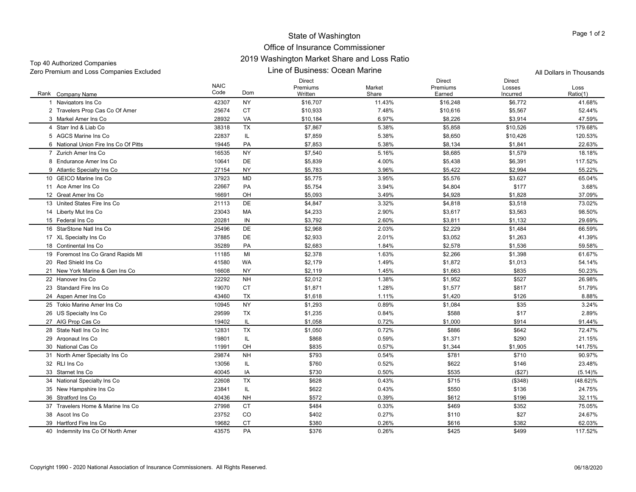## Office of Insurance Commissioner 2019 Washington Market Share and Loss Ratio

| TOP 40 DUITOITECU COMPANICS<br>Zero Premium and Loss Companies Excluded |                     | Line of Business: Ocean Marine | All Dollars in Thousands             |                 |                                     |                                     |                  |
|-------------------------------------------------------------------------|---------------------|--------------------------------|--------------------------------------|-----------------|-------------------------------------|-------------------------------------|------------------|
| Rank Company Name                                                       | <b>NAIC</b><br>Code | Dom                            | <b>Direct</b><br>Premiums<br>Written | Market<br>Share | <b>Direct</b><br>Premiums<br>Earned | <b>Direct</b><br>Losses<br>Incurred | Loss<br>Ratio(1) |
| 1 Navigators Ins Co                                                     | 42307               | NY                             | \$16,707                             | 11.43%          | \$16,248                            | \$6,772                             | 41.68%           |
| 2 Travelers Prop Cas Co Of Amer                                         | 25674               | <b>CT</b>                      | \$10,933                             | 7.48%           | \$10,616                            | \$5,567                             | 52.44%           |
| 3 Markel Amer Ins Co                                                    | 28932               | VA                             | \$10,184                             | 6.97%           | \$8,226                             | \$3,914                             | 47.59%           |
| 4 Starr Ind & Liab Co                                                   | 38318               | <b>TX</b>                      | \$7,867                              | 5.38%           | \$5,858                             | \$10,526                            | 179.68%          |
| 5 AGCS Marine Ins Co                                                    | 22837               | IL.                            | \$7,859                              | 5.38%           | \$8,650                             | \$10,426                            | 120.53%          |
| 6 National Union Fire Ins Co Of Pitts                                   | 19445               | PA                             | \$7,853                              | 5.38%           | \$8,134                             | \$1,841                             | 22.63%           |
| 7 Zurich Amer Ins Co                                                    | 16535               | <b>NY</b>                      | \$7,540                              | 5.16%           | \$8,685                             | \$1,579                             | 18.18%           |
| 8 Endurance Amer Ins Co                                                 | 10641               | DE                             | \$5,839                              | 4.00%           | \$5,438                             | \$6,391                             | 117.52%          |
| 9 Atlantic Specialty Ins Co                                             | 27154               | NY                             | \$5,783                              | 3.96%           | \$5,422                             | \$2,994                             | 55.22%           |
| 10 GEICO Marine Ins Co                                                  | 37923               | MD                             | \$5,775                              | 3.95%           | \$5,576                             | \$3,627                             | 65.04%           |
| 11 Ace Amer Ins Co                                                      | 22667               | PA                             | \$5,754                              | 3.94%           | \$4,804                             | \$177                               | 3.68%            |
| 12 Great Amer Ins Co                                                    | 16691               | OH                             | \$5,093                              | 3.49%           | \$4,928                             | \$1,828                             | 37.09%           |
| 13 United States Fire Ins Co                                            | 21113               | DE                             | \$4,847                              | 3.32%           | \$4,818                             | \$3,518                             | 73.02%           |
| 14 Liberty Mut Ins Co                                                   | 23043               | МA                             | \$4,233                              | 2.90%           | \$3,617                             | \$3,563                             | 98.50%           |
| 15 Federal Ins Co                                                       | 20281               | IN                             | \$3,792                              | 2.60%           | \$3,811                             | \$1,132                             | 29.69%           |
| 16 StarStone Natl Ins Co                                                | 25496               | DE                             | \$2,968                              | 2.03%           | \$2,229                             | \$1,484                             | 66.59%           |
| 17 XL Specialty Ins Co                                                  | 37885               | DE                             | \$2,933                              | 2.01%           | \$3,052                             | \$1,263                             | 41.39%           |
| 18 Continental Ins Co                                                   | 35289               | PA                             | \$2,683                              | 1.84%           | \$2,578                             | \$1,536                             | 59.58%           |
| 19 Foremost Ins Co Grand Rapids MI                                      | 11185               | MI                             | \$2,378                              | 1.63%           | \$2,266                             | \$1,398                             | 61.67%           |
| 20 Red Shield Ins Co                                                    | 41580               | WA                             | \$2,179                              | 1.49%           | \$1,872                             | \$1,013                             | 54.14%           |
| 21 New York Marine & Gen Ins Co                                         | 16608               | NY                             | \$2,119                              | 1.45%           | \$1,663                             | \$835                               | 50.23%           |
| 22 Hanover Ins Co                                                       | 22292               | <b>NH</b>                      | \$2,012                              | 1.38%           | \$1,952                             | \$527                               | 26.98%           |
| 23 Standard Fire Ins Co                                                 | 19070               | <b>CT</b>                      | \$1,871                              | 1.28%           | \$1,577                             | \$817                               | 51.79%           |
| 24 Aspen Amer Ins Co                                                    | 43460               | TX                             | \$1,618                              | 1.11%           | \$1,420                             | \$126                               | 8.88%            |
| 25 Tokio Marine Amer Ins Co                                             | 10945               | <b>NY</b>                      | \$1,293                              | 0.89%           | \$1,084                             | \$35                                | 3.24%            |
| 26 US Specialty Ins Co                                                  | 29599               | TX                             | \$1,235                              | 0.84%           | \$588                               | \$17                                | 2.89%            |
| 27 AIG Prop Cas Co                                                      | 19402               | IL                             | \$1,058                              | 0.72%           | \$1,000                             | \$914                               | 91.44%           |
| 28 State Natl Ins Co Inc                                                | 12831               | TX                             | \$1,050                              | 0.72%           | \$886                               | \$642                               | 72.47%           |
| 29 Argonaut Ins Co                                                      | 19801               | IL.                            | \$868                                | 0.59%           | \$1,371                             | \$290                               | 21.15%           |
| 30 National Cas Co                                                      | 11991               | OH                             | \$835                                | 0.57%           | \$1,344                             | \$1,905                             | 141.75%          |
| 31 North Amer Specialty Ins Co.                                         | 29874               | <b>NH</b>                      | \$793                                | 0.54%           | \$781                               | \$710                               | 90.97%           |
| 32 RLI Ins Co                                                           | 13056               | IL.                            | \$760                                | 0.52%           | \$622                               | \$146                               | 23.48%           |
| 33 Starnet Ins Co                                                       | 40045               | IA                             | \$730                                | 0.50%           | \$535                               | (\$27)                              | (5.14)%          |
| 34 National Specialty Ins Co                                            | 22608               | <b>TX</b>                      | \$628                                | 0.43%           | \$715                               | (\$348)                             | $(48.62)\%$      |
| 35 New Hampshire Ins Co                                                 | 23841               | IL.                            | \$622                                | 0.43%           | \$550                               | \$136                               | 24.75%           |
| 36 Stratford Ins Co                                                     | 40436               | NH                             | \$572                                | 0.39%           | \$612                               | \$196                               | 32.11%           |
| 37 Travelers Home & Marine Ins Co                                       | 27998               | CT                             | \$484                                | 0.33%           | \$469                               | \$352                               | 75.05%           |
| 38 Ascot Ins Co                                                         | 23752               | CO                             | \$402                                | 0.27%           | \$110                               | \$27                                | 24.67%           |
| 39 Hartford Fire Ins Co                                                 | 19682               | CT                             | \$380                                | 0.26%           | \$616                               | \$382                               | 62.03%           |

40 Indemnity Ins Co Of North Amer 43575 PA \$376 \$425 117.52%

Top 40 Authorized Companies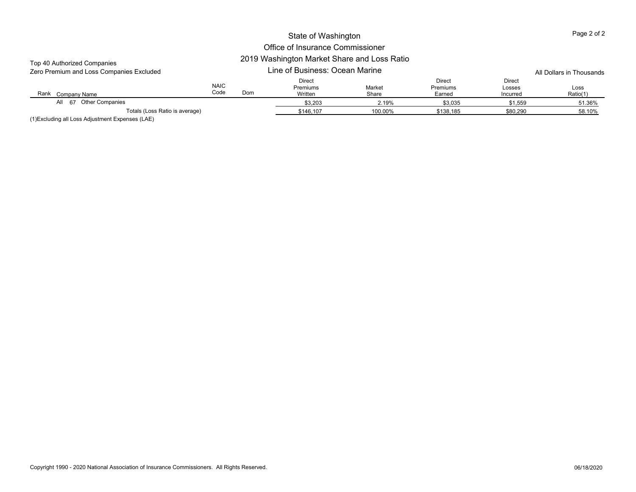| Top 40 Authorized Companies              |                     |                                |                                      |                 |                                     |                                     |                          |  |  |
|------------------------------------------|---------------------|--------------------------------|--------------------------------------|-----------------|-------------------------------------|-------------------------------------|--------------------------|--|--|
| Zero Premium and Loss Companies Excluded |                     | Line of Business: Ocean Marine |                                      |                 |                                     |                                     | All Dollars in Thousands |  |  |
| Rank<br>Company Name                     | <b>NAIC</b><br>Code | Dom                            | <b>Direct</b><br>Premiums<br>Written | Market<br>Share | Direct<br><b>Premiums</b><br>Earned | <b>Direct</b><br>Losses<br>Incurred | Loss<br>Ratio(1)         |  |  |
| All 67 Other Companies                   |                     |                                | \$3,203                              | 2.19%           | \$3,035                             | \$1,559                             | 51.36%                   |  |  |
| Totals (Loss Ratio is average)           |                     |                                | \$146.107                            | 100.00%         | \$138.185                           | \$80,290                            | 58.10%                   |  |  |
| (1)<br>$\mathbf{u}$ $\mathbf{v}$<br>.    |                     |                                |                                      |                 |                                     |                                     |                          |  |  |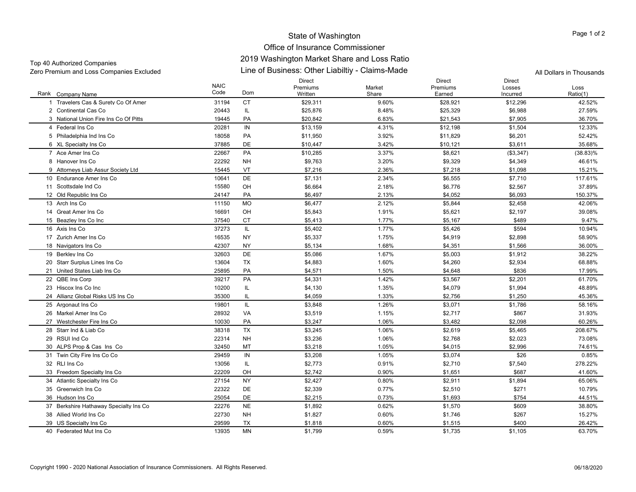#### Office of Insurance Commissioner 2019 Washington Market Share and Loss Ratio

| Top 40 Authorized Companies              | 2019 WASHINGULI MAINEL SHALE AND LOSS NAUD      |                          |
|------------------------------------------|-------------------------------------------------|--------------------------|
| Zero Premium and Loss Companies Excluded | Line of Business: Other Liabiltiy - Claims-Made | All Dollars in Thousands |

Rank Company Name NAICCodeDirect Premiums**Written** Market ShareDirect Premiums EarnedDirect Losses IncurredLossRatio(1) k Company Name Code Dom Written Share Earned Ratio(1) 1 Travelers Cas & Surety Co Of Amer 31194 CT \$29,311 9.60% \$28,921 \$12,296 42.52% 2 Continental Cas Co 2 Continental Cas Co 20443 IL \$25,876 8.48% \$25,329 \$6,988 27.59% 3 National Union Fire Ins Co Of Pitts 19445 PAA \$20,842 6.83% \$21,543 \$7,905 36.70% 4 Federal Ins Co 20281 IN \$13,159 4.31% \$12,198 \$1,504 12.33% 5 Philadelphia Ind Ins Co 5 Philadelphia Ind Ins Co 18058 PA \$11,950 \$1.92% \$11,829 \$6,201 52.42% 6 XL Specialty Ins Co 6 XL Specialty Ins Co 37885 DE \$10,447 3.42% \$10,121 \$3,611 35.68% 7 Ace Amer Ins Co 22667 PA \$10,285 3.37% \$8,621 (\$3,347) (38.83)% 8 Hanover Ins Co 22292 NH \$9,763 3.20% \$9,329 \$4,349 46.61% 9 Attorneys Liab Assur Society Ltd 15445 VT \$7,216 \$7,218 \$1,098 15.21% 10 Endurance Amer Ins Co 10641 DE \$7,131 2.34% \$6,555 \$7,710 117.61% 11 Scottsdale Ind Co 15580 OH \$6,664 2.18% \$6,776 \$2,567 37.89% 12 Old Republic Ins Co 2 Old Republic Ins Co 24147 PA \$6,497 2.13% \$4,052 \$6,093 150.37% 13 Arch Ins Co 11150 MO \$6,477 2.12% \$5,844 \$2,458 42.06% 14 Great Amer Ins Co 16691 OH \$5,843 1.91% \$5,621 \$2,197 39.08% 15 Beazley Ins Co Inc 5 Beazley Ins Co Inc 37540 CT \$5,413 \$5,167 \$489 9.47% 16 Axis Ins Co 6 Axis Ins Co 37273 IL 5.402 1.77% \$5.426 \$594 10.94% 17 Zurich Amer Ins Co 16535 NY \$5,337 1.75% \$4,919 \$2,898 58.90% 18 Navigators Ins Co 8 Navigators Ins Co 42307 NY 55,134 1.68% \$4,351 \$1,566 36.00% 19 Berkley Ins Co 9 Berkley Ins Co 32603 DE \$5,086 1.67% \$5,003 \$1,912 38.22% 20 Starr Surplus Lines Ins Co 13604 TX \$4,883 \$4,260 \$2,934 68.88% 21 United States Liab Ins Co 25895 PA \$4,571 1.50% \$4,648 \$836 17.99% 22 OBE Ins Corp 2 QBE Ins Corp 39217 PA \$4,331 1.42% \$3,567 \$2,201 61.70% 23 Hiscox Ins Co Inc 3 Hiscox Ins Co Inc 10200 IL \$4,130 1.35% \$4,079 \$1,994 48.89% 24 Allianz Global Risks US Ins Co 35300 IL \$4,059 1.33% \$2,756 \$1,250 45.36% 25 Argonaut Ins Co 5 Argonaut Ins Co 19801 IL \$3,848 1.26% \$3,071 \$1,786 58.16% 26 Markel Amer Ins Co 28932 VAA \$3.519 1.15% \$2.717 \$867 31.93% 27 Westchester Fire Ins Co 10030 PA \$3,247 1.06% \$3,482 \$2,098 60.26% 28 Starr Ind & Liab Co 38318 TX $\textsf{X} \hspace{1.5mm} \text{S3.245} \hspace{1.5mm} \text{1.06\%} \hspace{1.5mm} \text{S2.619} \hspace{1.5mm} \text{S5.465} \hspace{1.5mm} \text{208.67\%}$ 29 RSUI Ind Co 22314 NH \$3,236 1.06% \$2,768 \$2,023 73.08% 30 ALPS Prop & Cas Ins Co 32450 MT \$3,218 1.05% \$4,015 \$2,996 74.61% 31 Twin City Fire Ins Co Co 1 Twin City Fire Ins Co Co 29459 IN \$3,208 1.05% \$3,074 \$26 0.85% 32 RLI Ins Co 2 RLI Ins Co 13056 IL \$2,773 0.91% \$2,710 \$7,540 278.22% 33 Freedom Specialty Ins Co 22209 OH \$2,742 0.90% \$1,651 \$687 41.60% 34 Atlantic Specialty Ins Co 4 Atlantic Specialty Ins Co 27154 NY \$2,427 \$2,911 \$1,894 65.06% 35 Greenwich Ins Co 22322 DE \$2,339 0.77% \$2,510 \$271 10.79% 36 Hudson Ins Co 25054 DE \$2,215 0.73% \$1,693 \$754 44.51% 37 Berkshire Hathaway Specialty Ins Co 22276 NE \$1,892 \$1,570 \$609 38.80% 38 Allied World Ins Co 22730 NH \$1,827 0.60% \$1,746 \$267 15.27% 39 US Specialty Ins Co. 9 US Specialty Ins Co 29599 TX \$1,818 \$1,515 \$400 26.42% 40 Federated Mut Ins Co 13935 MN\$1,799 0.59% \$1,735 \$1,105 63.70%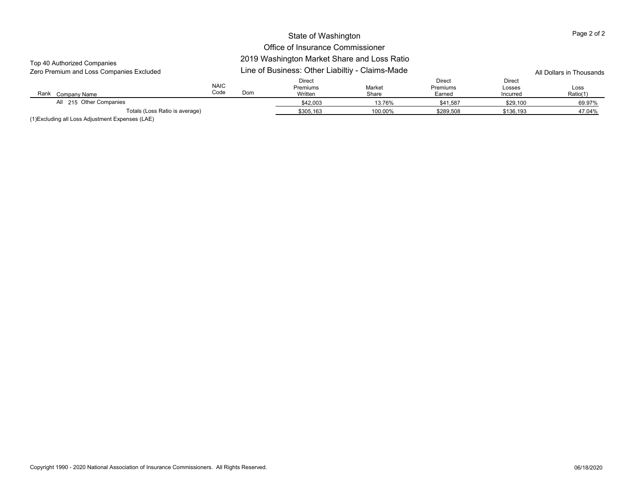## Office of Insurance Commissioner

## 2019 Washington Market Share and Loss Ratio

| Zero Premium and Loss Companies Excluded                                                               |                     |     | Line of Business: Other Liabiltiy - Claims-Made |                 | All Dollars in Thousands            |                              |                  |
|--------------------------------------------------------------------------------------------------------|---------------------|-----|-------------------------------------------------|-----------------|-------------------------------------|------------------------------|------------------|
| Rank<br>Company Name                                                                                   | <b>NAIC</b><br>Code | Dom | <b>Direct</b><br>Premiums<br>Written            | Market<br>Share | Direct<br><b>Premiums</b><br>Earned | Direct<br>Losses<br>Incurred | Loss<br>Ratio(1) |
| All 215 Other Companies                                                                                |                     |     | \$42,003                                        | 13.76%          | \$41.587                            | \$29,100                     | 69.97%           |
| Totals (Loss Ratio is average)<br>$\cdots$ $\cdots$ $\cdots$ $\cdots$<br>$\cdots$<br>$\cdots$ $\cdots$ |                     |     | \$305.163                                       | 100.00%         | \$289.508                           | \$136.193                    | 47.04%           |

(1)Excluding all Loss Adjustment Expenses (LAE)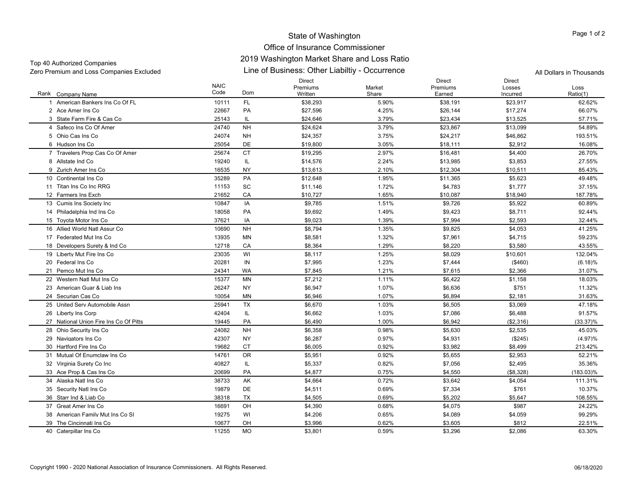#### Office of Insurance Commissioner 2019 Washington Market Share and Loss Ratio

Line of Business: Other Liabiltiy - Occurrence Zero Premium and Loss Companies Excluded All Dollars in Thousands Top 40 Authorized Companies

Rank Company Name NAIC CodeDirect Premiums**Written** Market ShareDirect Premiums EarnedDirect Losses IncurredLossRatio(1) k Company Name Code Dom Written Share Earned Ratio(1) 1 American Bankers Ins Co Of FL 10111 FL \$38,293 5.90% \$38,191 \$2.52% 2 Ace Amer Ins Co 22667 PA \$27,596 4.25% \$26,144 \$17,274 66.07% 3 State Farm Fire & Cas Co 25143 IL \$24,646 3.79% \$23,434 \$13,525 57.71% 4 Safeco Ins Co Of Amer 24740 NH \$24,624 3.79% \$23,867 \$13,099 54.89% 5 Ohio Cas Ins Co 24074 NH \$24,357 3.75% \$24,217 \$46,862 193.51% 6 Hudson Ins Co 25054 DE \$19,800 3.05% \$18,111 \$2,912 16.08% 7 Travelers Prop Cas Co Of Amer 25674 CT \$19,295 \$1.97% \$16,481 \$4,400 26.70% 8 Allstate Ind Co. 8 Allstate Ind Co 19240 IL \$14,576 2.24% \$13,985 \$3,853 27.55% 9 Zurich Amer Ins Co 16535 NY \$13,613 2.10% \$12,304 \$10,511 85.43% 10 Continental Ins Co 35289 PAA \$12,648 1.95% \$11,365 \$5,623 49.48% 11 Titan Ins Co Inc RRG 11153 SC \$11,146 1.72% \$4,783 \$1,777 37.15% 12 Farmers Ins Exch 21652 CA \$10,727 1.65% \$10,087 \$18,940 187.78% 13 Cumis Ins Society Inc. 3 Cumis Ins Society Inc 10847 IA \$9,785 1.51% \$9,726 \$5,922 60.89% 14 Philadelphia Ind Ins Co. 4 Philadelphia Ind Ins Co 18058 PA \$9,692 1.49% \$9,423 \$8,711 92.44% 15 Tovota Motor Ins Co 5 Toyota Motor Ins Co 37621 IA \$9.023 1.39% \$7.994 \$2.593 32.44% 16 Allied World Natl Assur Co 10690 NH \$8,794 1.35% \$9,825 \$4,053 41.25% 17 Federated Mut Ins Co 13935 MN**N** \$8,581 59.23% \$7,961 \$4,715 59.23% 18 Developers Surety & Ind Co 12718 CA \$8,364 1.29% \$8,220 \$3,580 43.55% 19 Liberty Mut Fire Ins Co. 9 Liberty Mut Fire Ins Co 23035 WI \$8,117 1.25% \$8,029 \$10,601 132.04% 20 Federal Ins Co 20281 IN**N** \$7,995 1.23% \$7,444 (\$460) (6.18)% (6.18) 21 Pemco Mut Ins Co 24341 WA \$7,845 1.21% \$7,615 \$2,366 31.07% 22 Western Natl Mut Ins Co 15377 MN**N** \$7,212 1.11% \$6,422 \$1,158 18.03% 23 American Guar & Liab Ins 26247 NY \$6,947 1.07% \$6,636 \$751 11.32% 24 Securian Cas Co 10054 MN**N** \$6,946 \$6,946 \$2,181 31.63% **\$6,946 \$2,181 \$2**,181 \$2,181 \$2,181 \$2,181 \$2,181 \$2,181 \$2,181 \$1.63 25 United Serv Automobile Assn 25941 TX $\times$   $\times$  \$6,670  $\times$  1.03%  $\times$  \$6,505  $\times$  \$3,069  $\times$  47.18% 26 Liberty Ins Corp Liberty Ins Corp 42404 IL \$6,662 1.03% \$7,086 \$6,488 91.57% 27 National Union Fire Ins Co Of Pitts 19445 PA \$6,490 1.00% \$6,942 (\$2,316) (33.37)% 28 Ohio Security Ins Co. 8 Ohio Security Ins Co 24082 NH \$6,358 \$5,630 \$2,535 45.03% 29 Navigators Ins Co 9 Navigators Ins Co 42307 NY 6.287 \$4.931 (4.97)% 30 Hartford Fire Ins Co 19682 CT ${\tt T}$   ${\tt \$6.005}$   ${\tt 0.92\%}$   ${\tt \$3.982}$   ${\tt \$8.499}$   ${\tt 213.42\%}$ 31 Mutual Of Enumclaw Ins Co 14761 OR \$5,951 0.92% \$5,655 \$2,953 52.21% 32 Virginia Surety Co Inc. 2 Virginia Surety Co Inc 40827 IL \$5.337 0.82% \$7.056 \$2.495 35.36% 33 Ace Prop & Cas Ins Co 3 Ace Prop & Cas Ins Co 20699 PA \$4,877 0.75% \$4,550 (\$8,328) (183.03)% 34 Alaska Natl Ins Co 38733 AK \$4,664 0.72% \$3,642 \$4,054 111.31% 35 Security Natl Ins Co. 5 Security Natl Ins Co 19879 DE \$4,511 0.69% \$7,334 \$761 10.37% 36 Starr Ind & Liab Co 38318 TX $\times$  \$4,505  $\times$  0.69%  $\times$  \$5,202  $\times$  \$5,647  $\times$  108.55% 37 Great Amer Ins Co 16691 OH \$4,390 0.68% \$4,075 \$987 24.22% 38 American Family Mut Ins Co SI 19275 WI \$4,206 \$4,089 \$4,059 99.29% 39 The Cincinnati Ins Co 10677 OHH \$3,996 0.62% \$3,605 \$812 22.51% 40 Caterpillar Ins Co 0 Caterpillar Ins Co 11255 MO \$3,801 0.59% \$3,296 \$2,086 63.30%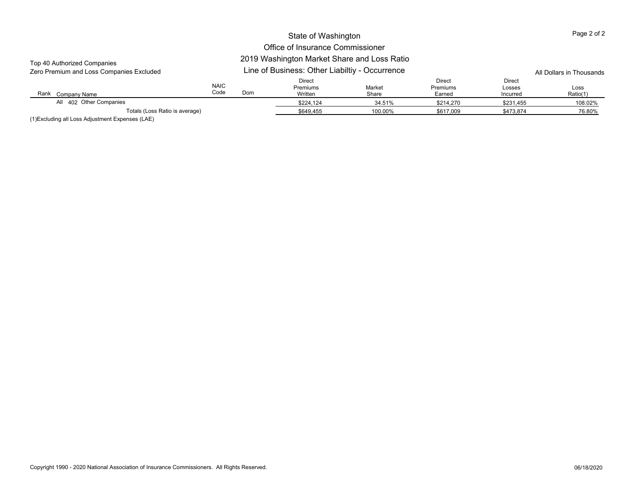# Office of Insurance Commissioner

#### Rank Company Name NAIC CodeDirect Premiums Written Market Share Direct Premiums Earned Direct Losses Incurred LossRatio(1) k Company Name Code Dom Written Share Earned Ratio(1) 2019 Washington Market Share and Loss Ratio Line of Business: Other Liabiltiy - Occurrence Zero Premium and Loss Companies Excluded All Dollars in Thousands Top 40 Authorized Companies \$224,124 34.51% \$214,270 \$231,455 108.02% Totals (Loss Ratio is average) \$649,455 100.00% \$617,009 \$473,874 76.80% All 402 Other Companies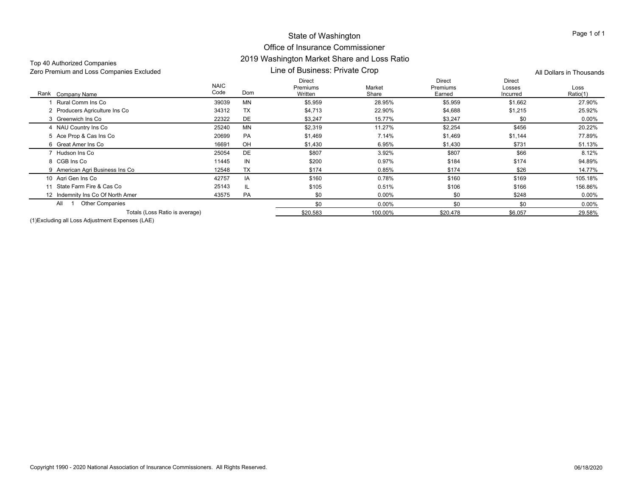## Office of Insurance Commissioner 2019 Washington Market Share and Loss Ratio

|           |                                      |                 |                                |                              | All Dollars in Thousands |  |  |
|-----------|--------------------------------------|-----------------|--------------------------------|------------------------------|--------------------------|--|--|
| Dom       | <b>Direct</b><br>Premiums<br>Written | Market<br>Share | Direct<br>Premiums<br>Earned   | Direct<br>Losses<br>Incurred | Loss<br>Ratio(1)         |  |  |
| MN        | \$5,959                              | 28.95%          | \$5,959                        | \$1,662                      | 27.90%                   |  |  |
| <b>TX</b> | \$4,713                              | 22.90%          | \$4,688                        | \$1,215                      | 25.92%                   |  |  |
| DE        | \$3,247                              | 15.77%          | \$3,247                        | \$0                          | $0.00\%$                 |  |  |
| <b>MN</b> | \$2,319                              | 11.27%          | \$2,254                        | \$456                        | 20.22%                   |  |  |
| PA        | \$1,469                              | 7.14%           | \$1,469                        | \$1,144                      | 77.89%                   |  |  |
| OH        | \$1,430                              | 6.95%           | \$1,430                        | \$731                        | 51.13%                   |  |  |
| DE        | \$807                                | 3.92%           | \$807                          | \$66                         | 8.12%                    |  |  |
| IN        | \$200                                | 0.97%           | \$184                          | \$174                        | 94.89%                   |  |  |
| <b>TX</b> | \$174                                | 0.85%           | \$174                          | \$26                         | 14.77%                   |  |  |
| IA        | \$160                                | 0.78%           | \$160                          | \$169                        | 105.18%                  |  |  |
| IL.       | \$105                                | 0.51%           | \$106                          | \$166                        | 156.86%                  |  |  |
| PA        | \$0                                  | $0.00\%$        | \$0                            | \$248                        | $0.00\%$                 |  |  |
|           | \$0                                  | 0.00%           | \$0                            | \$0                          | $0.00\%$                 |  |  |
|           | \$20,583                             | 100.00%         | \$20,478                       | \$6,057                      | 29.58%                   |  |  |
|           |                                      |                 | Line of Business: Private Crop |                              |                          |  |  |

(1)Excluding all Loss Adjustment Expenses (LAE)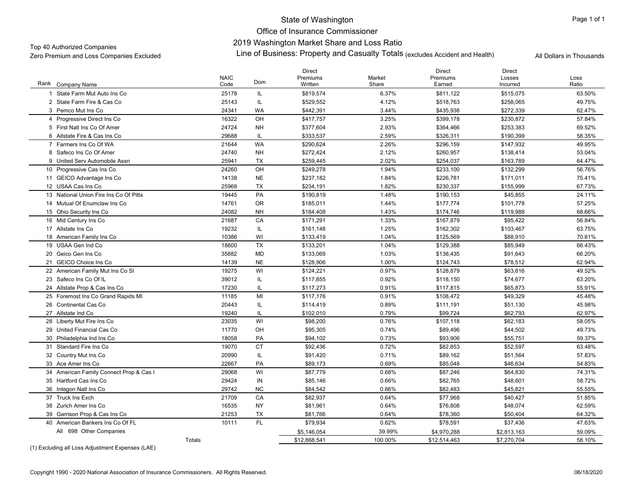Office of Insurance Commissioner2019 Washington Market Share and Loss Ratio

لاد 2019 Washington Market Share and Loss Ratio Companies Companies Excluded Archives Authorized Companies Excluded<br>Zero Premium and Loss Companies Excluded All Dollars in Thousands (excludes Accident and Health) All Doll

|                                         | <b>NAIC</b> |            | <b>Direct</b><br>Premiums | Market  | <b>Direct</b><br>Premiums | <b>Direct</b><br>Losses | Loss   |
|-----------------------------------------|-------------|------------|---------------------------|---------|---------------------------|-------------------------|--------|
| Rank<br>Company Name                    | Code        | <b>Dom</b> | Written                   | Share   | Earned                    | Incurred                | Ratio  |
| State Farm Mut Auto Ins Co              | 25178       | IL.        | \$819,574                 | 6.37%   | \$811,122                 | \$515,075               | 63.50% |
| 2 State Farm Fire & Cas Co              | 25143       | IL         | \$529,552                 | 4.12%   | \$518,763                 | \$258,065               | 49.75% |
| 3 Pemco Mut Ins Co                      | 24341       | <b>WA</b>  | \$442,391                 | 3.44%   | \$435,938                 | \$272,339               | 62.47% |
| 4 Progressive Direct Ins Co             | 16322       | OH         | \$417,757                 | 3.25%   | \$399,178                 | \$230,872               | 57.84% |
| 5 First Natl Ins Co Of Amer             | 24724       | <b>NH</b>  | \$377,604                 | 2.93%   | \$364,466                 | \$253,383               | 69.52% |
| 6 Allstate Fire & Cas Ins Co            | 29688       | IL         | \$333,537                 | 2.59%   | \$326,311                 | \$190,399               | 58.35% |
| 7 Farmers Ins Co Of WA                  | 21644       | <b>WA</b>  | \$290,624                 | 2.26%   | \$296,159                 | \$147,932               | 49.95% |
| 8 Safeco Ins Co Of Amer                 | 24740       | <b>NH</b>  | \$272,424                 | 2.12%   | \$260,957                 | \$138,414               | 53.04% |
| 9 United Serv Automobile Assn           | 25941       | <b>TX</b>  | \$259,445                 | 2.02%   | \$254,037                 | \$163,789               | 64.47% |
| 10 Progressive Cas Ins Co               | 24260       | OH         | \$249,278                 | 1.94%   | \$233,100                 | \$132,299               | 56.76% |
| 11 GEICO Advantage Ins Co               | 14138       | <b>NE</b>  | \$237,182                 | 1.84%   | \$226,781                 | \$171,011               | 75.41% |
| 12 USAA Cas Ins Co                      | 25968       | <b>TX</b>  | \$234,191                 | 1.82%   | \$230,337                 | \$155,999               | 67.73% |
| 13 National Union Fire Ins Co Of Pitts  | 19445       | PA         | \$190,819                 | 1.48%   | \$190,153                 | \$45,855                | 24.11% |
| 14 Mutual Of Enumclaw Ins Co            | 14761       | <b>OR</b>  | \$185,011                 | 1.44%   | \$177,774                 | \$101,778               | 57.25% |
| 15 Ohio Security Ins Co                 | 24082       | <b>NH</b>  | \$184,408                 | 1.43%   | \$174,746                 | \$119,988               | 68.66% |
| 16 Mid Century Ins Co                   | 21687       | CA         | \$171,291                 | 1.33%   | \$167,879                 | \$95,422                | 56.84% |
| 17 Allstate Ins Co                      | 19232       | IL         | \$161,148                 | 1.25%   | \$162,302                 | \$103,467               | 63.75% |
| 18 American Family Ins Co               | 10386       | WI         | \$133,419                 | 1.04%   | \$125,569                 | \$88,910                | 70.81% |
| 19 USAA Gen Ind Co                      | 18600       | <b>TX</b>  | \$133,201                 | 1.04%   | \$129,388                 | \$85,949                | 66.43% |
| 20 Geico Gen Ins Co                     | 35882       | MD         | \$133,069                 | 1.03%   | \$138,435                 | \$91,643                | 66.20% |
| 21 GEICO Choice Ins Co                  | 14139       | <b>NE</b>  | \$128,906                 | 1.00%   | \$124,743                 | \$78,512                | 62.94% |
| 22 American Family Mut Ins Co SI        | 19275       | WI         | \$124,221                 | 0.97%   | \$128,879                 | \$63,816                | 49.52% |
| 23 Safeco Ins Co Of IL                  | 39012       | IL         | \$117,855                 | 0.92%   | \$118,150                 | \$74,677                | 63.20% |
| 24 Allstate Prop & Cas Ins Co           | 17230       | IL         | \$117,273                 | 0.91%   | \$117,815                 | \$65,873                | 55.91% |
| 25 Foremost Ins Co Grand Rapids MI      | 11185       | MI         | \$117,176                 | 0.91%   | \$108,472                 | \$49,329                | 45.48% |
| 26 Continental Cas Co                   | 20443       | IL.        | \$114,419                 | 0.89%   | \$111,191                 | \$51,130                | 45.98% |
| 27 Allstate Ind Co                      | 19240       | IL         | \$102,010                 | 0.79%   | \$99,724                  | \$62,793                | 62.97% |
| 28 Liberty Mut Fire Ins Co              | 23035       | WI         | \$98,200                  | 0.76%   | \$107,118                 | \$62,183                | 58.05% |
| 29 United Financial Cas Co              | 11770       | OH         | \$95,305                  | 0.74%   | \$89,496                  | \$44,502                | 49.73% |
| 30 Philadelphia Ind Ins Co              | 18058       | PA         | \$94,102                  | 0.73%   | \$93,906                  | \$55,751                | 59.37% |
| 31 Standard Fire Ins Co                 | 19070       | <b>CT</b>  | \$92,436                  | 0.72%   | \$82,853                  | \$52,597                | 63.48% |
| 32 Country Mut Ins Co                   | 20990       | IL         | \$91,420                  | 0.71%   | \$89,162                  | \$51,564                | 57.83% |
| 33 Ace Amer Ins Co                      | 22667       | PA         | \$89,173                  | 0.69%   | \$85,048                  | \$46,634                | 54.83% |
| 34 American Family Connect Prop & Cas I | 29068       | WI         | \$87,779                  | 0.68%   | \$87,246                  | \$64,830                | 74.31% |
| 35 Hartford Cas Ins Co                  | 29424       | IN         | \$85,146                  | 0.66%   | \$82,765                  | \$48,601                | 58.72% |
| 36 Integon Natl Ins Co                  | 29742       | <b>NC</b>  | \$84,542                  | 0.66%   | \$82,483                  | \$45,821                | 55.55% |
| <b>Truck Ins Exch</b><br>37             | 21709       | CA         | \$82,937                  | 0.64%   | \$77,968                  | \$40,427                | 51.85% |
| 38 Zurich Amer Ins Co                   | 16535       | <b>NY</b>  | \$81,961                  | 0.64%   | \$76,808                  | \$48,074                | 62.59% |
| 39 Garrison Prop & Cas Ins Co           | 21253       | <b>TX</b>  | \$81,766                  | 0.64%   | \$78,360                  | \$50,404                | 64.32% |
| 40 American Bankers Ins Co Of FL        | 10111       | FL.        | \$79,934                  | 0.62%   | \$78,591                  | \$37,436                | 47.63% |
| All 698 Other Companies                 |             |            | \$5,146,054               | 39.99%  | \$4,970,288               | \$2,813,163             | 59.09% |
|                                         | Totals      |            | \$12,868,541              | 100.00% | \$12,514,463              | \$7,270,704             | 58.10% |
|                                         |             |            |                           |         |                           |                         |        |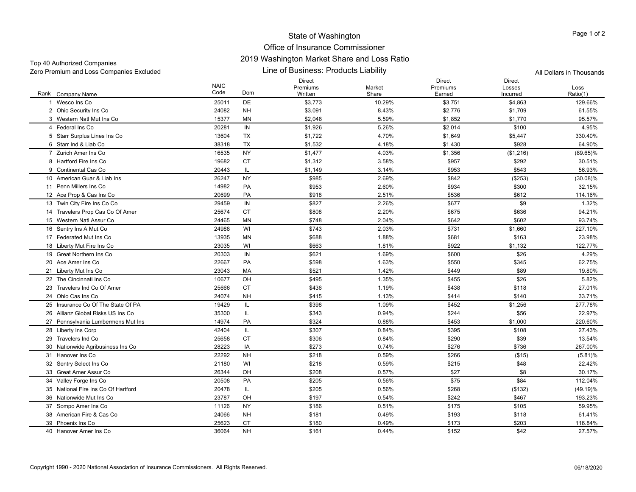## Office of Insurance Commissioner 2019 Washington Market Share and Loss Ratio

Zero Premium and Loss Companies Excluded All Dollars in Thousands

Top 40 Authorized Companies

Line of Business: Products Liability

|                                     | <b>NAIC</b> |           | <b>Direct</b><br>Premiums | Market | <b>Direct</b><br>Premiums | <b>Direct</b><br>Losses | Loss        |
|-------------------------------------|-------------|-----------|---------------------------|--------|---------------------------|-------------------------|-------------|
| Rank Company Name                   | Code        | Dom       | Written                   | Share  | Earned                    | Incurred                | Ratio(1)    |
| 1 Wesco Ins Co                      | 25011       | <b>DE</b> | \$3,773                   | 10.29% | \$3,751                   | \$4,863                 | 129.66%     |
| 2 Ohio Security Ins Co              | 24082       | <b>NH</b> | \$3,091                   | 8.43%  | \$2,776                   | \$1,709                 | 61.55%      |
| 3 Western Natl Mut Ins Co           | 15377       | ΜN        | \$2,048                   | 5.59%  | \$1,852                   | \$1,770                 | 95.57%      |
| 4 Federal Ins Co                    | 20281       | IN        | \$1,926                   | 5.26%  | \$2,014                   | \$100                   | 4.95%       |
| 5 Starr Surplus Lines Ins Co        | 13604       | <b>TX</b> | \$1,722                   | 4.70%  | \$1,649                   | \$5,447                 | 330.40%     |
| 6 Starr Ind & Liab Co               | 38318       | <b>TX</b> | \$1,532                   | 4.18%  | \$1,430                   | \$928                   | 64.90%      |
| 7 Zurich Amer Ins Co.               | 16535       | <b>NY</b> | \$1,477                   | 4.03%  | \$1,356                   | (\$1,216)               | $(89.65)\%$ |
| 8 Hartford Fire Ins Co              | 19682       | <b>CT</b> | \$1,312                   | 3.58%  | \$957                     | \$292                   | 30.51%      |
| 9 Continental Cas Co                | 20443       | IL.       | \$1,149                   | 3.14%  | \$953                     | \$543                   | 56.93%      |
| 10 American Guar & Liab Ins         | 26247       | <b>NY</b> | \$985                     | 2.69%  | \$842                     | (\$253)                 | (30.08)%    |
| 11 Penn Millers Ins Co              | 14982       | PA        | \$953                     | 2.60%  | \$934                     | \$300                   | 32.15%      |
| 12 Ace Prop & Cas Ins Co            | 20699       | PA        | \$918                     | 2.51%  | \$536                     | \$612                   | 114.16%     |
| 13 Twin City Fire Ins Co Co         | 29459       | IN        | \$827                     | 2.26%  | \$677                     | \$9                     | 1.32%       |
| 14 Travelers Prop Cas Co Of Amer    | 25674       | <b>CT</b> | \$808                     | 2.20%  | \$675                     | \$636                   | 94.21%      |
| 15 Western Natl Assur Co            | 24465       | MN        | \$748                     | 2.04%  | \$642                     | \$602                   | 93.74%      |
| 16 Sentry Ins A Mut Co              | 24988       | WI        | \$743                     | 2.03%  | \$731                     | \$1,660                 | 227.10%     |
| 17 Federated Mut Ins Co             | 13935       | MN        | \$688                     | 1.88%  | \$681                     | \$163                   | 23.98%      |
| 18 Liberty Mut Fire Ins Co          | 23035       | WI        | \$663                     | 1.81%  | \$922                     | \$1,132                 | 122.77%     |
| 19 Great Northern Ins Co            | 20303       | IN        | \$621                     | 1.69%  | \$600                     | \$26                    | 4.29%       |
| 20 Ace Amer Ins Co                  | 22667       | PA        | \$598                     | 1.63%  | \$550                     | \$345                   | 62.75%      |
| 21 Liberty Mut Ins Co               | 23043       | MA        | \$521                     | 1.42%  | \$449                     | \$89                    | 19.80%      |
| 22 The Cincinnati Ins Co            | 10677       | OH        | \$495                     | 1.35%  | \$455                     | \$26                    | 5.82%       |
| 23 Travelers Ind Co Of Amer         | 25666       | <b>CT</b> | \$436                     | 1.19%  | \$438                     | \$118                   | 27.01%      |
| 24 Ohio Cas Ins Co                  | 24074       | <b>NH</b> | \$415                     | 1.13%  | \$414                     | \$140                   | 33.71%      |
| 25 Insurance Co Of The State Of PA  | 19429       | IL        | \$398                     | 1.09%  | \$452                     | \$1,256                 | 277.78%     |
| 26 Allianz Global Risks US Ins Co   | 35300       | IL.       | \$343                     | 0.94%  | \$244                     | \$56                    | 22.97%      |
| 27 Pennsylvania Lumbermens Mut Ins  | 14974       | PA        | \$324                     | 0.88%  | \$453                     | \$1,000                 | 220.60%     |
| 28 Liberty Ins Corp                 | 42404       | IL.       | \$307                     | 0.84%  | \$395                     | \$108                   | 27.43%      |
| 29 Travelers Ind Co                 | 25658       | CT        | \$306                     | 0.84%  | \$290                     | \$39                    | 13.54%      |
| 30 Nationwide Agribusiness Ins Co   | 28223       | IA        | \$273                     | 0.74%  | \$276                     | \$736                   | 267.00%     |
| 31 Hanover Ins Co                   | 22292       | <b>NH</b> | \$218                     | 0.59%  | \$266                     | (\$15)                  | $(5.81)\%$  |
| 32 Sentry Select Ins Co             | 21180       | WI        | \$218                     | 0.59%  | \$215                     | \$48                    | 22.42%      |
| 33 Great Amer Assur Co              | 26344       | OH        | \$208                     | 0.57%  | \$27                      | \$8                     | 30.17%      |
| 34 Valley Forge Ins Co              | 20508       | PA        | \$205                     | 0.56%  | \$75                      | \$84                    | 112.04%     |
| 35 National Fire Ins Co Of Hartford | 20478       | IL        | \$205                     | 0.56%  | \$268                     | ( \$132)                | $(49.19)\%$ |
| 36 Nationwide Mut Ins Co            | 23787       | OH        | \$197                     | 0.54%  | \$242                     | \$467                   | 193.23%     |
| 37 Sompo Amer Ins Co                | 11126       | <b>NY</b> | \$186                     | 0.51%  | \$175                     | \$105                   | 59.95%      |
| 38 American Fire & Cas Co           | 24066       | <b>NH</b> | \$181                     | 0.49%  | \$193                     | \$118                   | 61.41%      |
| 39 Phoenix Ins Co                   | 25623       | <b>CT</b> | \$180                     | 0.49%  | \$173                     | \$203                   | 116.84%     |
| 40 Hanover Amer Ins Co              | 36064       | <b>NH</b> | \$161                     | 0.44%  | \$152                     | \$42                    | 27.57%      |
|                                     |             |           |                           |        |                           |                         |             |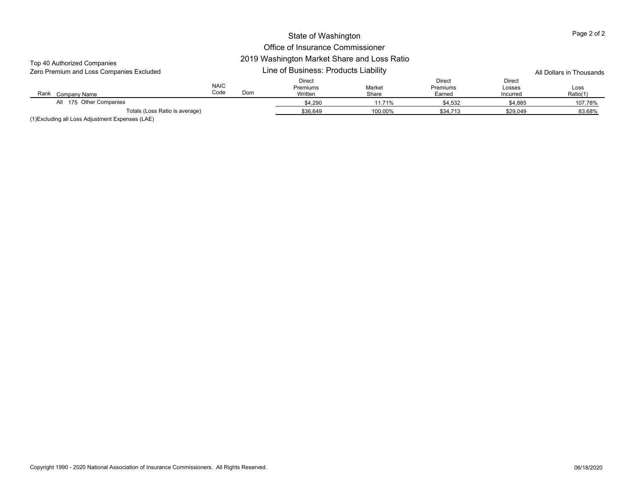#### Office of Insurance Commissioner 2019 Washington Market Share and Loss Ratio

| Top 40 Authorized Companies<br>Zero Premium and Loss Companies Excluded                                                                                                                                                                                                                             |                     |     | All Dollars in Thousands      |                 |                              |                                     |                  |
|-----------------------------------------------------------------------------------------------------------------------------------------------------------------------------------------------------------------------------------------------------------------------------------------------------|---------------------|-----|-------------------------------|-----------------|------------------------------|-------------------------------------|------------------|
| Rank<br>Company Name                                                                                                                                                                                                                                                                                | <b>NAIC</b><br>Code | Dom | Direct<br>Premiums<br>Written | Market<br>Share | Direct<br>Premiums<br>Earned | <b>Direct</b><br>Losses<br>Incurred | Loss<br>Ratio(1) |
| All 175 Other Companies                                                                                                                                                                                                                                                                             |                     |     | \$4,290                       | 11.71%          | \$4,532                      | \$4,885                             | 107.78%          |
| Totals (Loss Ratio is average)                                                                                                                                                                                                                                                                      |                     |     | \$36,649                      | 100.00%         | \$34,713                     | \$29,049                            | 83.68%           |
| $\mathcal{U} \setminus \mathbf{F}$ , and $\mathbf{F}$ , and $\mathbf{F}$ , and $\mathbf{F}$ , and $\mathbf{F}$ , and $\mathbf{F}$ , and $\mathbf{F}$ , and $\mathbf{F}$ , and $\mathbf{F}$ , and $\mathbf{F}$ , and $\mathbf{F}$ , and $\mathbf{F}$ , and $\mathbf{F}$ , and $\mathbf{F}$ , and $\$ |                     |     |                               |                 |                              |                                     |                  |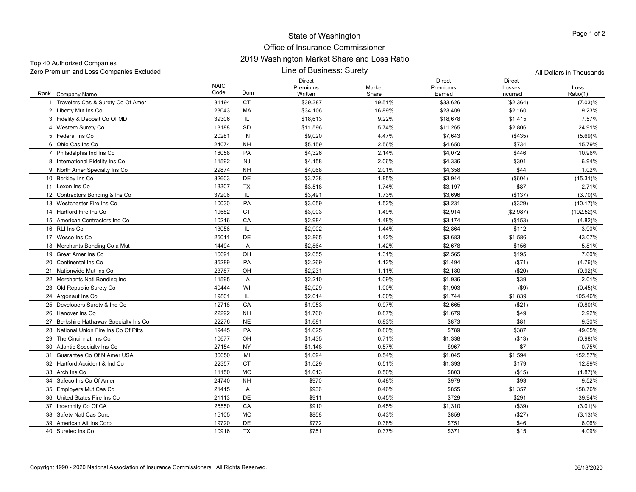| Top 40 Authorized Companies              |                     | 2019 Washington Market Share and Loss Katio |                                      |                 |                              |                                     |                  |
|------------------------------------------|---------------------|---------------------------------------------|--------------------------------------|-----------------|------------------------------|-------------------------------------|------------------|
| Zero Premium and Loss Companies Excluded |                     |                                             | All Dollars in Thousands             |                 |                              |                                     |                  |
| Rank Company Name                        | <b>NAIC</b><br>Code | Dom                                         | <b>Direct</b><br>Premiums<br>Written | Market<br>Share | Direct<br>Premiums<br>Earned | <b>Direct</b><br>Losses<br>Incurred | Loss<br>Ratio(1) |
| 1 Travelers Cas & Surety Co Of Amer      | 31194               | <b>CT</b>                                   | \$39,387                             | 19.51%          | \$33,626                     | (\$2,364)                           | $(7.03)\%$       |
| 2 Liberty Mut Ins Co                     | 23043               | MA                                          | \$34,106                             | 16.89%          | \$23,409                     | \$2,160                             | 9.23%            |
| 3 Fidelity & Deposit Co Of MD            | 39306               | IL                                          | \$18,613                             | 9.22%           | \$18,678                     | \$1,415                             | 7.57%            |
| 4 Western Surety Co                      | 13188               | SD                                          | \$11,596                             | 5.74%           | \$11,265                     | \$2,806                             | 24.91%           |
| 5 Federal Ins Co                         | 20281               | IN                                          | \$9,020                              | 4.47%           | \$7,643                      | (\$435)                             | (5.69)%          |
| 6 Ohio Cas Ins Co                        | 24074               | <b>NH</b>                                   | \$5,159                              | 2.56%           | \$4,650                      | \$734                               | 15.79%           |
| 7 Philadelphia Ind Ins Co                | 18058               | PA                                          | \$4,326                              | 2.14%           | \$4,072                      | \$446                               | 10.96%           |
| 8 International Fidelity Ins Co          | 11592               | <b>NJ</b>                                   | \$4,158                              | 2.06%           | \$4,336                      | \$301                               | 6.94%            |
| 9 North Amer Specialty Ins Co            | 29874               | <b>NH</b>                                   | \$4,068                              | 2.01%           | \$4,358                      | \$44                                | 1.02%            |
| 10 Berkley Ins Co                        | 32603               | DE                                          | \$3,738                              | 1.85%           | \$3,944                      | $($ \$604)                          | $(15.31)\%$      |
| 11 Lexon Ins Co                          | 13307               | TX                                          | \$3,518                              | 1.74%           | \$3,197                      | \$87                                | 2.71%            |
| 12 Contractors Bonding & Ins Co          | 37206               | IL                                          | \$3,491                              | 1.73%           | \$3,696                      | (\$137)                             | (3.70)%          |
| 13 Westchester Fire Ins Co               | 10030               | PA                                          | \$3,059                              | 1.52%           | \$3,231                      | (\$329)                             | $(10.17)\%$      |
| 14 Hartford Fire Ins Co                  | 19682               | <b>CT</b>                                   | \$3,003                              | 1.49%           | \$2,914                      | (\$2,987)                           | $(102.52)\%$     |
| 15 American Contractors Ind Co           | 10216               | CA                                          | \$2,984                              | 1.48%           | \$3,174                      | (\$153)                             | $(4.82)\%$       |
| 16 RLI Ins Co                            | 13056               | IL                                          | \$2,902                              | 1.44%           | \$2,864                      | \$112                               | 3.90%            |
| 17 Wesco Ins Co                          | 25011               | DE                                          | \$2,865                              | 1.42%           | \$3,683                      | \$1,586                             | 43.07%           |
| 18 Merchants Bonding Co a Mut            | 14494               | IA                                          | \$2,864                              | 1.42%           | \$2,678                      | \$156                               | 5.81%            |
| 19 Great Amer Ins Co                     | 16691               | OH                                          | \$2,655                              | 1.31%           | \$2,565                      | \$195                               | 7.60%            |
| 20 Continental Ins Co                    | 35289               | PA                                          | \$2,269                              | 1.12%           | \$1,494                      | ( \$71)                             | (4.76)%          |
| 21 Nationwide Mut Ins Co                 | 23787               | OH                                          | \$2,231                              | 1.11%           | \$2,180                      | ( \$20)                             | (0.92)%          |
| 22 Merchants Natl Bonding Inc            | 11595               | IA                                          | \$2,210                              | 1.09%           | \$1,936                      | \$39                                | 2.01%            |
| 23 Old Republic Surety Co                | 40444               | WI                                          | \$2,029                              | 1.00%           | \$1,903                      | ( \$9)                              | (0.45)%          |
| 24 Argonaut Ins Co                       | 19801               | IL                                          | \$2,014                              | 1.00%           | \$1,744                      | \$1,839                             | 105.46%          |
| 25 Developers Surety & Ind Co            | 12718               | CA                                          | \$1,953                              | 0.97%           | \$2,665                      | (\$21)                              | $(0.80)\%$       |
| 26 Hanover Ins Co                        | 22292               | <b>NH</b>                                   | \$1,760                              | 0.87%           | \$1,679                      | \$49                                | 2.92%            |
| 27 Berkshire Hathaway Specialty Ins Co   | 22276               | <b>NE</b>                                   | \$1,681                              | 0.83%           | \$873                        | \$81                                | 9.30%            |
| 28 National Union Fire Ins Co Of Pitts   | 19445               | PA                                          | \$1,625                              | 0.80%           | \$789                        | \$387                               | 49.05%           |
| 29 The Cincinnati Ins Co                 | 10677               | OH                                          | \$1,435                              | 0.71%           | \$1,338                      | ( \$13)                             | (0.98)%          |
| 30 Atlantic Specialty Ins Co             | 27154               | <b>NY</b>                                   | \$1,148                              | 0.57%           | \$967                        | \$7                                 | 0.75%            |
| 31 Guarantee Co Of N Amer USA            | 36650               | MI                                          | \$1,094                              | 0.54%           | \$1,045                      | \$1,594                             | 152.57%          |
| 32 Hartford Accident & Ind Co            | 22357               | CT                                          | \$1,029                              | 0.51%           | \$1,393                      | \$179                               | 12.89%           |
| 33 Arch Ins Co                           | 11150               | <b>MO</b>                                   | \$1,013                              | 0.50%           | \$803                        | ( \$15)                             | (1.87)%          |
| 34 Safeco Ins Co Of Amer                 | 24740               | <b>NH</b>                                   | \$970                                | 0.48%           | \$979                        | \$93                                | 9.52%            |
| 35 Employers Mut Cas Co                  | 21415               | IA                                          | \$936                                | 0.46%           | \$855                        | \$1,357                             | 158.76%          |
| 36 United States Fire Ins Co             | 21113               | DE                                          | \$911                                | 0.45%           | \$729                        | \$291                               | 39.94%           |
| 37 Indemnity Co Of CA                    | 25550               | CA                                          | \$910                                | 0.45%           | \$1,310                      | ( \$39)                             | $(3.01)\%$       |
| 38 Safety Natl Cas Corp                  | 15105               | <b>MO</b>                                   | \$858                                | 0.43%           | \$859                        | (\$27)                              | (3.13)%          |
| 39 American Alt Ins Corp                 | 19720               | DE                                          | \$772                                | 0.38%           | \$751                        | \$46                                | 6.06%            |
| 40 Suretec Ins Co                        | 10916               | <b>TX</b>                                   | \$751                                | 0.37%           | \$371                        | \$15                                | 4.09%            |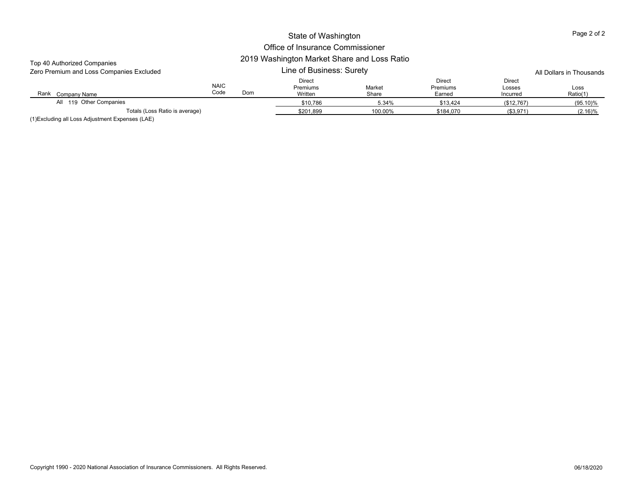| Top 40 Authorized Companies<br>Zero Premium and Loss Companies Excluded |                     |           | 2019 Washington Market Share and Loss Ratio<br>Line of Business: Surety | All Dollars in Thousands |                                     |                              |                  |
|-------------------------------------------------------------------------|---------------------|-----------|-------------------------------------------------------------------------|--------------------------|-------------------------------------|------------------------------|------------------|
| Rank Company Name                                                       | <b>NAIC</b><br>Code | Dom       | Direct<br>Premiums<br>Written                                           | Market<br>Share          | Direct<br><b>Premiums</b><br>Earned | Direct<br>Losses<br>Incurred | Loss<br>Ratio(1) |
| All 119 Other Companies                                                 |                     |           | \$10,786                                                                | 5.34%                    | \$13,424                            | (\$12,767)                   | $(95.10)\%$      |
| Totals (Loss Ratio is average)                                          |                     | \$201,899 | 100.00%                                                                 | \$184.070                | (\$3,971)                           | (2.16)%                      |                  |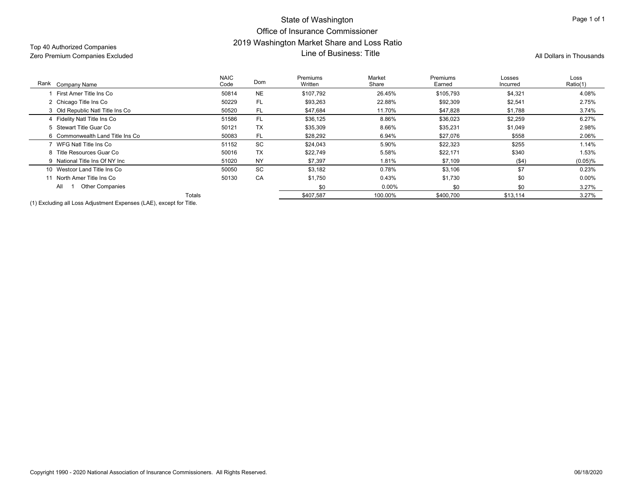## State of Washington Office of Insurance Commissioner2019 Washington Market Share and Loss Ratio لاكات المستردات المستردات المستردات المستردات المستردات المستردات المستردات المستردات المستردات المستردات المس<br>Zero Premium Companies Excluded All Dollars in Thousands **All Dollars in Thousands** Line of Business: Title

| Rank Company Name                                                   | <b>NAIC</b><br>Code | Dom       | Premiums<br>Written | Market<br>Share | Premiums<br>Earned | Losses<br>Incurred | Loss<br>Ratio(1) |
|---------------------------------------------------------------------|---------------------|-----------|---------------------|-----------------|--------------------|--------------------|------------------|
| First Amer Title Ins Co                                             | 50814               | <b>NE</b> | \$107,792           | 26.45%          | \$105,793          | \$4,321            | 4.08%            |
| 2 Chicago Title Ins Co                                              | 50229               | FL        | \$93,263            | 22.88%          | \$92,309           | \$2,541            | 2.75%            |
| 3 Old Republic Natl Title Ins Co                                    | 50520               | FL.       | \$47,684            | 11.70%          | \$47,828           | \$1,788            | 3.74%            |
| 4 Fidelity Natl Title Ins Co                                        | 51586               | FL        | \$36,125            | 8.86%           | \$36,023           | \$2,259            | 6.27%            |
| 5 Stewart Title Guar Co                                             | 50121               | TX        | \$35,309            | 8.66%           | \$35,231           | \$1,049            | 2.98%            |
| 6 Commonwealth Land Title Ins Co                                    | 50083               | <b>FL</b> | \$28,292            | 6.94%           | \$27,076           | \$558              | 2.06%            |
| WFG Natl Title Ins Co                                               | 51152               | SC        | \$24,043            | 5.90%           | \$22,323           | \$255              | 1.14%            |
| 8 Title Resources Guar Co                                           | 50016               | TX        | \$22,749            | 5.58%           | \$22,171           | \$340              | 1.53%            |
| 9 National Title Ins Of NY Inc                                      | 51020               | <b>NY</b> | \$7,397             | 1.81%           | \$7,109            | ( \$4)             | (0.05)%          |
| 10 Westcor Land Title Ins Co                                        | 50050               | SC        | \$3,182             | 0.78%           | \$3,106            | \$7                | 0.23%            |
| North Amer Title Ins Co                                             | 50130               | CA        | \$1,750             | 0.43%           | \$1,730            | \$0                | $0.00\%$         |
| <b>Other Companies</b><br>All                                       |                     |           | \$0                 | 0.00%           | \$0                | \$0                | 3.27%            |
|                                                                     | Totals              |           | \$407,587           | 100.00%         | \$400,700          | \$13,114           | 3.27%            |
| $(4)$ Evaluding all Loss Adjustment Evansess (LAE), syssation Title |                     |           |                     |                 |                    |                    |                  |

(1) Excluding all Loss Adjustment Expenses (LAE), except for Title.

Page 1 of 1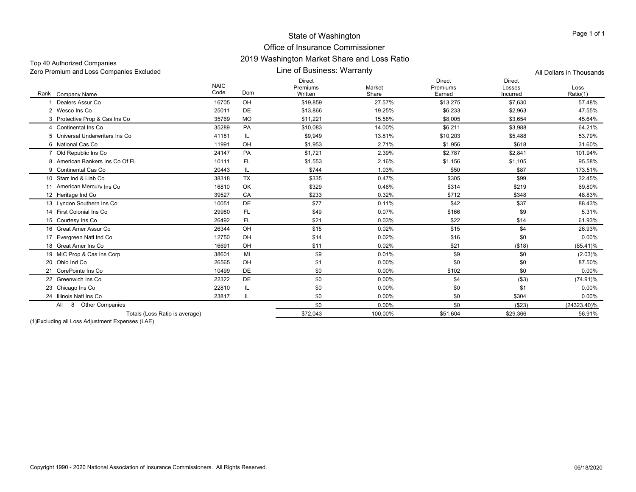| Top 40 Authorized Companies              | 2019 WASHINGULI MAINEL SHALE AND LOSS NAID |                          |
|------------------------------------------|--------------------------------------------|--------------------------|
| Zero Premium and Loss Companies Excluded | Line of Business: Warranty                 | All Dollars in Thousands |

| Rank Company Name                  | <b>NAIC</b><br>Code | <b>Dom</b> | <b>Direct</b><br>Premiums<br>Written | Market<br>Share | <b>Direct</b><br>Premiums<br>Earned | <b>Direct</b><br>Losses<br>Incurred | Loss<br>Ratio(1) |
|------------------------------------|---------------------|------------|--------------------------------------|-----------------|-------------------------------------|-------------------------------------|------------------|
| Dealers Assur Co                   | 16705               | OH         | \$19,859                             | 27.57%          | \$13,275                            | \$7,630                             | 57.48%           |
| 2 Wesco Ins Co                     | 25011               | DE         | \$13,866                             | 19.25%          | \$6,233                             | \$2,963                             | 47.55%           |
| 3 Protective Prop & Cas Ins Co     | 35769               | <b>MO</b>  | \$11,221                             | 15.58%          | \$8,005                             | \$3,654                             | 45.64%           |
| 4 Continental Ins Co               | 35289               | PA         | \$10,083                             | 14.00%          | \$6,211                             | \$3,988                             | 64.21%           |
| 5 Universal Underwriters Ins Co    | 41181               | IL         | \$9,949                              | 13.81%          | \$10,203                            | \$5,488                             | 53.79%           |
| 6 National Cas Co                  | 11991               | OH         | \$1,953                              | 2.71%           | \$1.956                             | \$618                               | 31.60%           |
| 7 Old Republic Ins Co              | 24147               | <b>PA</b>  | \$1,721                              | 2.39%           | \$2,787                             | \$2,841                             | 101.94%          |
| 8 American Bankers Ins Co Of FL    | 10111               | <b>FL</b>  | \$1,553                              | 2.16%           | \$1,156                             | \$1,105                             | 95.58%           |
| 9 Continental Cas Co               | 20443               | IL         | \$744                                | 1.03%           | \$50                                | \$87                                | 173.51%          |
| 10 Starr Ind & Liab Co             | 38318               | <b>TX</b>  | \$335                                | 0.47%           | \$305                               | \$99                                | 32.45%           |
| 11 American Mercury Ins Co         | 16810               | OK         | \$329                                | 0.46%           | \$314                               | \$219                               | 69.80%           |
| 12 Heritage Ind Co                 | 39527               | CA         | \$233                                | 0.32%           | \$712                               | \$348                               | 48.83%           |
| 13 Lyndon Southern Ins Co          | 10051               | <b>DE</b>  | \$77                                 | 0.11%           | \$42                                | \$37                                | 88.43%           |
| 14 First Colonial Ins Co           | 29980               | <b>FL</b>  | \$49                                 | 0.07%           | \$166                               | \$9                                 | 5.31%            |
| 15 Courtesy Ins Co                 | 26492               | <b>FL</b>  | \$21                                 | 0.03%           | \$22                                | \$14                                | 61.93%           |
| 16 Great Amer Assur Co             | 26344               | OH         | \$15                                 | 0.02%           | \$15                                | \$4                                 | 26.93%           |
| Evergreen Natl Ind Co<br>17        | 12750               | OH         | \$14                                 | 0.02%           | \$16                                | \$0                                 | 0.00%            |
| 18 Great Amer Ins Co               | 16691               | OH         | \$11                                 | 0.02%           | \$21                                | ( \$18)                             | $(85.41)\%$      |
| 19 MIC Prop & Cas Ins Corp         | 38601               | MI         | \$9                                  | 0.01%           | \$9                                 | \$0                                 | $(2.03)\%$       |
| 20 Ohio Ind Co                     | 26565               | OH         | \$1                                  | 0.00%           | \$0                                 | \$0                                 | 87.50%           |
| 21 CorePointe Ins Co               | 10499               | DE         | \$0                                  | 0.00%           | \$102                               | \$0                                 | 0.00%            |
| 22 Greenwich Ins Co.               | 22322               | DE         | \$0                                  | 0.00%           | \$4                                 | ( \$3)                              | $(74.91)\%$      |
| 23 Chicago Ins Co                  | 22810               | IL         | \$0                                  | 0.00%           | \$0                                 | \$1                                 | $0.00\%$         |
| 24 Illinois Natl Ins Co            | 23817               | IL         | \$0                                  | 0.00%           | \$0                                 | \$304                               | $0.00\%$         |
| <b>Other Companies</b><br>All<br>8 |                     |            | \$0                                  | 0.00%           | \$0                                 | (\$23)                              | (24323.40)%      |
| Totals (Loss Ratio is average)     |                     |            | \$72.043                             | 100.00%         | \$51.604                            | \$29.366                            | 56.91%           |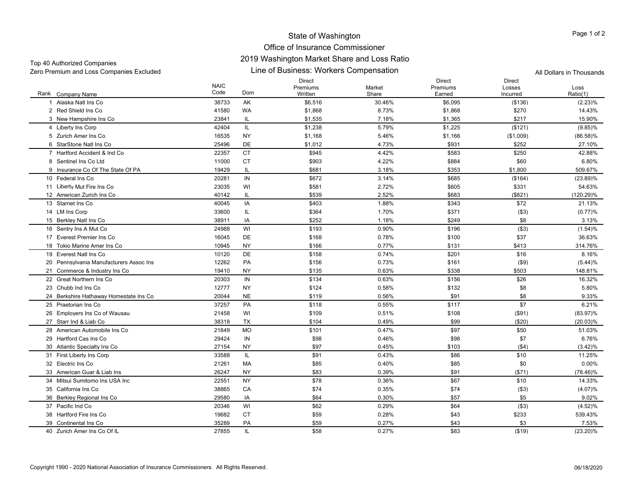## Office of Insurance Commissioner 2019 Washington Market Share and Loss Ratio

Line of Business: Workers Compensation Zero Premium and Loss Companies Excluded All Dollars in Thousands Top 40 Authorized Companies

|                                         | <b>NAIC</b> |                                   | Direct<br>Premiums | Market | Direct<br>Premiums | <b>Direct</b><br>Losses | Loss        |
|-----------------------------------------|-------------|-----------------------------------|--------------------|--------|--------------------|-------------------------|-------------|
| Rank Company Name                       | Code        | Dom                               | Written            | Share  | Earned             | Incurred                | Ratio(1)    |
| 1 Alaska Natl Ins Co                    | 38733       | AK                                | \$6,516            | 30.46% | \$6,095            | (\$136)                 | (2.23)%     |
| 2 Red Shield Ins Co                     | 41580       | <b>WA</b>                         | \$1,868            | 8.73%  | \$1,868            | \$270                   | 14.43%      |
| 3 New Hampshire Ins Co.                 | 23841       | IL                                | \$1,535            | 7.18%  | \$1,365            | \$217                   | 15.90%      |
| 4 Liberty Ins Corp                      | 42404       | IL.                               | \$1,238            | 5.79%  | \$1,225            | (\$121)                 | $(9.85)\%$  |
| 5 Zurich Amer Ins Co                    | 16535       | <b>NY</b>                         | \$1,168            | 5.46%  | \$1,166            | (\$1,009)               | $(86.58)\%$ |
| 6 StarStone Natl Ins Co                 | 25496       | DE                                | \$1,012            | 4.73%  | \$931              | \$252                   | 27.10%      |
| 7 Hartford Accident & Ind Co            | 22357       | <b>CT</b>                         | \$945              | 4.42%  | \$583              | \$250                   | 42.88%      |
| 8 Sentinel Ins Co Ltd                   | 11000       | <b>CT</b>                         | \$903              | 4.22%  | \$884              | \$60                    | 6.80%       |
| 9 Insurance Co Of The State Of PA       | 19429       | IL                                | \$681              | 3.18%  | \$353              | \$1,800                 | 509.67%     |
| 10 Federal Ins Co                       | 20281       | IN                                | \$672              | 3.14%  | \$685              | (\$164)                 | $(23.89)\%$ |
| 11 Liberty Mut Fire Ins Co              | 23035       | WI                                | \$581              | 2.72%  | \$605              | \$331                   | 54.63%      |
| 12 American Zurich Ins Co               | 40142       | IL                                | \$539              | 2.52%  | \$683              | (\$821)                 | (120.29)%   |
| 13 Starnet Ins Co                       | 40045       | IA                                | \$403              | 1.88%  | \$343              | \$72                    | 21.13%      |
| 14 LM Ins Corp                          | 33600       | IL.                               | \$364              | 1.70%  | \$371              | ( \$3)                  | (0.77)%     |
| 15 Berkley Natl Ins Co                  | 38911       | IA                                | \$252              | 1.18%  | \$249              | \$8                     | 3.13%       |
| 16 Sentry Ins A Mut Co                  | 24988       | WI                                | \$193              | 0.90%  | \$196              | ( \$3)                  | (1.54)%     |
| 17 Everest Premier Ins Co               | 16045       | DE                                | \$168              | 0.78%  | \$100              | \$37                    | 36.63%      |
| 18 Tokio Marine Amer Ins Co             | 10945       | NY                                | \$166              | 0.77%  | \$131              | \$413                   | 314.76%     |
| 19 Everest Natl Ins Co                  | 10120       | DE                                | \$158              | 0.74%  | \$201              | \$16                    | 8.16%       |
| 20 Pennsylvania Manufacturers Assoc Ins | 12262       | PA                                | \$156              | 0.73%  | \$161              | ( \$9)                  | (5.44)%     |
| 21 Commerce & Industry Ins Co.          | 19410       | NY                                | \$135              | 0.63%  | \$338              | \$503                   | 148.81%     |
| 22 Great Northern Ins Co                | 20303       | IN                                | \$134              | 0.63%  | \$156              | \$26                    | 16.32%      |
| 23 Chubb Ind Ins Co                     | 12777       | NY                                | \$124              | 0.58%  | \$132              | \$8                     | 5.80%       |
| 24 Berkshire Hathaway Homestate Ins Co  | 20044       | <b>NE</b>                         | \$119              | 0.56%  | \$91               | \$8                     | 9.33%       |
| 25 Praetorian Ins Co                    | 37257       | PA                                | \$118              | 0.55%  | \$117              | \$7                     | 6.21%       |
| 26 Employers Ins Co of Wausau           | 21458       | WI                                | \$109              | 0.51%  | \$108              | $($ \$91)               | $(83.97)\%$ |
| 27 Starr Ind & Liab Co                  | 38318       | <b>TX</b>                         | \$104              | 0.49%  | \$99               | ( \$20)                 | $(20.03)\%$ |
| 28 American Automobile Ins Co           | 21849       | <b>MO</b>                         | \$101              | 0.47%  | \$97               | \$50                    | 51.03%      |
| 29 Hartford Cas Ins Co                  | 29424       | IN                                | \$98               | 0.46%  | \$98               | \$7                     | 6.76%       |
| 30 Atlantic Specialty Ins Co            | 27154       | NY                                | \$97               | 0.45%  | \$103              | ( \$4)                  | (3.42)%     |
| 31 First Liberty Ins Corp               | 33588       | $\ensuremath{\mathsf{IL}}\xspace$ | \$91               | 0.43%  | \$86               | \$10                    | 11.25%      |
| 32 Electric Ins Co                      | 21261       | MA                                | \$85               | 0.40%  | \$85               | \$0                     | 0.00%       |
| 33 American Guar & Liab Ins             | 26247       | <b>NY</b>                         | \$83               | 0.39%  | \$91               | ( \$71)                 | $(78.46)\%$ |
| 34 Mitsui Sumitomo Ins USA Inc          | 22551       | <b>NY</b>                         | \$78               | 0.36%  | \$67               | \$10                    | 14.33%      |
| 35 California Ins Co                    | 38865       | CA                                | \$74               | 0.35%  | \$74               | ( \$3)                  | (4.07)%     |
| 36 Berkley Regional Ins Co              | 29580       | IA                                | \$64               | 0.30%  | \$57               | \$5                     | 9.02%       |
| 37 Pacific Ind Co                       | 20346       | WI                                | \$62               | 0.29%  | \$64               | ( \$3)                  | (4.52)%     |
| 38 Hartford Fire Ins Co                 | 19682       | <b>CT</b>                         | \$59               | 0.28%  | \$43               | \$233                   | 539.43%     |
| 39 Continental Ins Co                   | 35289       | PA                                | \$59               | 0.27%  | \$43               | \$3                     | 7.53%       |
| 40 Zurich Amer Ins Co Of IL             | 27855       | IL                                | \$58               | 0.27%  | \$83               | ( \$19)                 | $(23.20)\%$ |